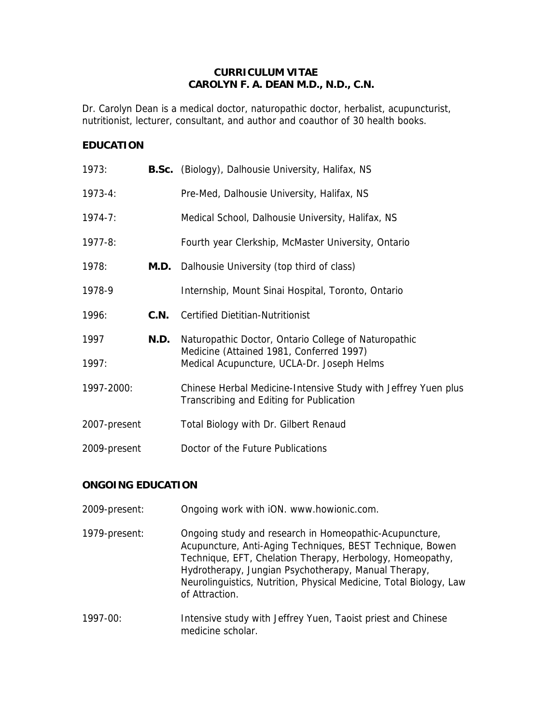# **CURRICULUM VITAE CAROLYN F. A. DEAN M.D., N.D., C.N.**

Dr. Carolyn Dean is a medical doctor, naturopathic doctor, herbalist, acupuncturist, nutritionist, lecturer, consultant, and author and coauthor of 30 health books.

# **EDUCATION**

| 1973:        |      | <b>B.Sc.</b> (Biology), Dalhousie University, Halifax, NS                                                  |
|--------------|------|------------------------------------------------------------------------------------------------------------|
| $1973 - 4:$  |      | Pre-Med, Dalhousie University, Halifax, NS                                                                 |
| $1974 - 7:$  |      | Medical School, Dalhousie University, Halifax, NS                                                          |
| $1977 - 8:$  |      | Fourth year Clerkship, McMaster University, Ontario                                                        |
| 1978:        | M.D. | Dalhousie University (top third of class)                                                                  |
| 1978-9       |      | Internship, Mount Sinai Hospital, Toronto, Ontario                                                         |
| 1996:        | C.N. | <b>Certified Dietitian-Nutritionist</b>                                                                    |
| 1997         | N.D. | Naturopathic Doctor, Ontario College of Naturopathic<br>Medicine (Attained 1981, Conferred 1997)           |
| 1997:        |      | Medical Acupuncture, UCLA-Dr. Joseph Helms                                                                 |
| 1997-2000:   |      | Chinese Herbal Medicine-Intensive Study with Jeffrey Yuen plus<br>Transcribing and Editing for Publication |
| 2007-present |      | Total Biology with Dr. Gilbert Renaud                                                                      |
| 2009-present |      | Doctor of the Future Publications                                                                          |

# **ONGOING EDUCATION**

| 2009-present: | Ongoing work with iON. www.howionic.com.                                                                                                                                                                                                                                                                                         |
|---------------|----------------------------------------------------------------------------------------------------------------------------------------------------------------------------------------------------------------------------------------------------------------------------------------------------------------------------------|
| 1979-present: | Ongoing study and research in Homeopathic-Acupuncture,<br>Acupuncture, Anti-Aging Techniques, BEST Technique, Bowen<br>Technique, EFT, Chelation Therapy, Herbology, Homeopathy,<br>Hydrotherapy, Jungian Psychotherapy, Manual Therapy,<br>Neurolinguistics, Nutrition, Physical Medicine, Total Biology, Law<br>of Attraction. |
| 1997-00:      | Intensive study with Jeffrey Yuen, Taoist priest and Chinese<br>medicine scholar.                                                                                                                                                                                                                                                |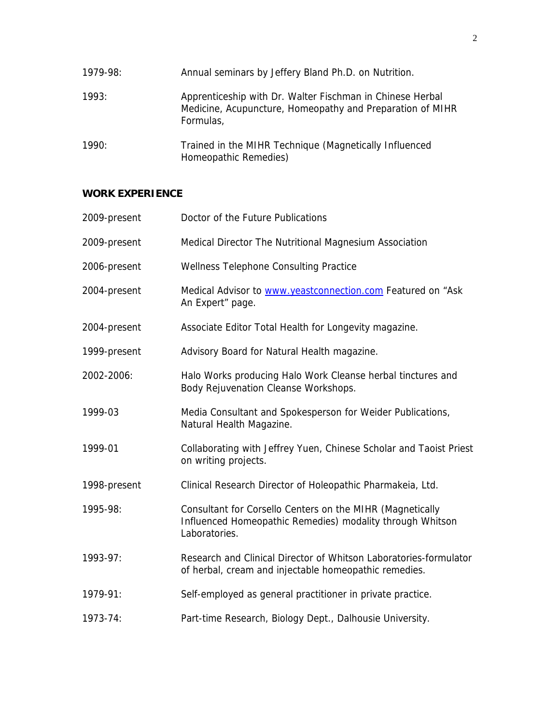| 1979-98: | Annual seminars by Jeffery Bland Ph.D. on Nutrition.                                                                                |
|----------|-------------------------------------------------------------------------------------------------------------------------------------|
| 1993:    | Apprenticeship with Dr. Walter Fischman in Chinese Herbal<br>Medicine, Acupuncture, Homeopathy and Preparation of MIHR<br>Formulas, |
| 1990:    | Trained in the MIHR Technique (Magnetically Influenced<br>Homeopathic Remedies)                                                     |

# **WORK EXPERIENCE**

| 2009-present | Doctor of the Future Publications                                                                                                       |
|--------------|-----------------------------------------------------------------------------------------------------------------------------------------|
| 2009-present | Medical Director The Nutritional Magnesium Association                                                                                  |
| 2006-present | Wellness Telephone Consulting Practice                                                                                                  |
| 2004-present | Medical Advisor to www.yeastconnection.com Featured on "Ask<br>An Expert" page.                                                         |
| 2004-present | Associate Editor Total Health for Longevity magazine.                                                                                   |
| 1999-present | Advisory Board for Natural Health magazine.                                                                                             |
| 2002-2006:   | Halo Works producing Halo Work Cleanse herbal tinctures and<br>Body Rejuvenation Cleanse Workshops.                                     |
| 1999-03      | Media Consultant and Spokesperson for Weider Publications,<br>Natural Health Magazine.                                                  |
| 1999-01      | Collaborating with Jeffrey Yuen, Chinese Scholar and Taoist Priest<br>on writing projects.                                              |
| 1998-present | Clinical Research Director of Holeopathic Pharmakeia, Ltd.                                                                              |
| 1995-98:     | Consultant for Corsello Centers on the MIHR (Magnetically<br>Influenced Homeopathic Remedies) modality through Whitson<br>Laboratories. |
| 1993-97:     | Research and Clinical Director of Whitson Laboratories-formulator<br>of herbal, cream and injectable homeopathic remedies.              |
| 1979-91:     | Self-employed as general practitioner in private practice.                                                                              |
| 1973-74:     | Part-time Research, Biology Dept., Dalhousie University.                                                                                |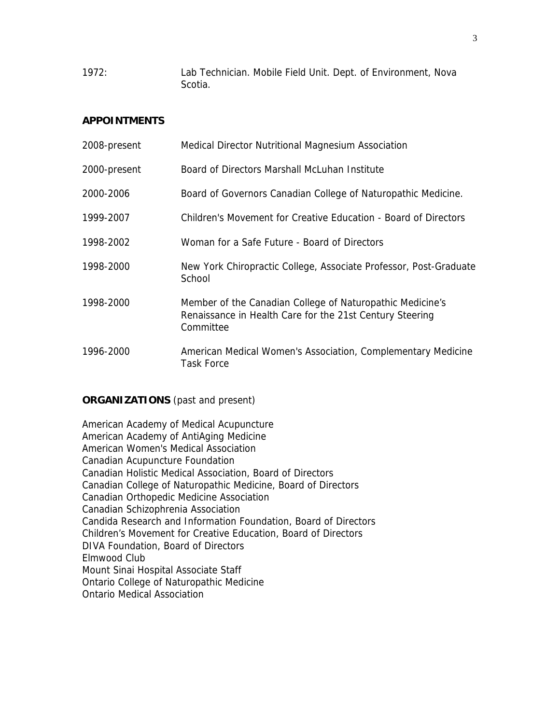1972: Lab Technician. Mobile Field Unit. Dept. of Environment, Nova Scotia.

## **APPOINTMENTS**

| 2008-present | Medical Director Nutritional Magnesium Association                                                                                 |
|--------------|------------------------------------------------------------------------------------------------------------------------------------|
| 2000-present | Board of Directors Marshall McLuhan Institute                                                                                      |
| 2000-2006    | Board of Governors Canadian College of Naturopathic Medicine.                                                                      |
| 1999-2007    | Children's Movement for Creative Education - Board of Directors                                                                    |
| 1998-2002    | Woman for a Safe Future - Board of Directors                                                                                       |
| 1998-2000    | New York Chiropractic College, Associate Professor, Post-Graduate<br>School                                                        |
| 1998-2000    | Member of the Canadian College of Naturopathic Medicine's<br>Renaissance in Health Care for the 21st Century Steering<br>Committee |
| 1996-2000    | American Medical Women's Association, Complementary Medicine<br><b>Task Force</b>                                                  |

## **ORGANIZATIONS** (past and present)

American Academy of Medical Acupuncture American Academy of AntiAging Medicine American Women's Medical Association Canadian Acupuncture Foundation Canadian Holistic Medical Association, Board of Directors Canadian College of Naturopathic Medicine, Board of Directors Canadian Orthopedic Medicine Association Canadian Schizophrenia Association Candida Research and Information Foundation, Board of Directors Children's Movement for Creative Education, Board of Directors DIVA Foundation, Board of Directors Elmwood Club Mount Sinai Hospital Associate Staff Ontario College of Naturopathic Medicine Ontario Medical Association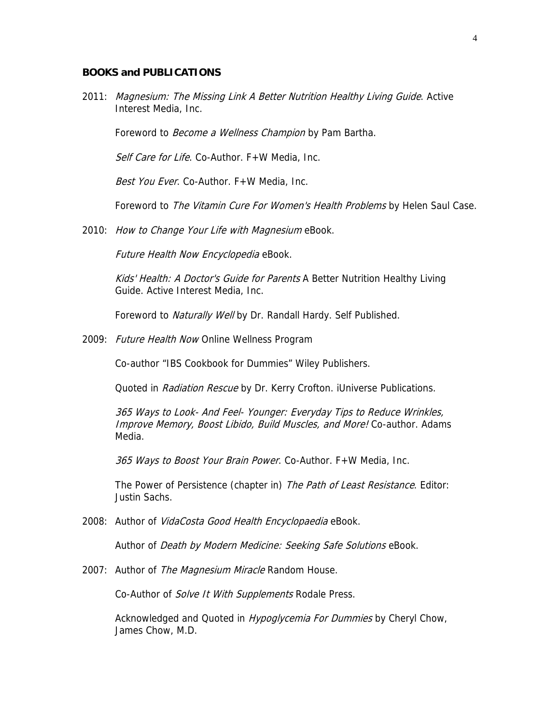### **BOOKS and PUBLICATIONS**

2011: Magnesium: The Missing Link A Better Nutrition Healthy Living Guide. Active Interest Media, Inc.

Foreword to *Become a Wellness Champion* by Pam Bartha.

Self Care for Life. Co-Author. F+W Media, Inc.

Best You Ever. Co-Author. F+W Media, Inc.

Foreword to The Vitamin Cure For Women's Health Problems by Helen Saul Case.

2010: How to Change Your Life with Magnesium eBook.

Future Health Now Encyclopedia eBook.

Kids' Health: A Doctor's Guide for Parents A Better Nutrition Healthy Living Guide. Active Interest Media, Inc.

Foreword to Naturally Well by Dr. Randall Hardy. Self Published.

2009: Future Health Now Online Wellness Program

Co-author "IBS Cookbook for Dummies" Wiley Publishers.

Quoted in Radiation Rescue by Dr. Kerry Crofton. iUniverse Publications.

365 Ways to Look- And Feel- Younger: Everyday Tips to Reduce Wrinkles, Improve Memory, Boost Libido, Build Muscles, and More! Co-author. Adams Media.

365 Ways to Boost Your Brain Power. Co-Author. F+W Media, Inc.

The Power of Persistence (chapter in) The Path of Least Resistance. Editor: Justin Sachs.

2008: Author of VidaCosta Good Health Encyclopaedia eBook.

Author of *Death by Modern Medicine: Seeking Safe Solutions* eBook.

2007: Author of The Magnesium Miracle Random House.

Co-Author of Solve It With Supplements Rodale Press.

Acknowledged and Quoted in *Hypoglycemia For Dummies* by Cheryl Chow, James Chow, M.D.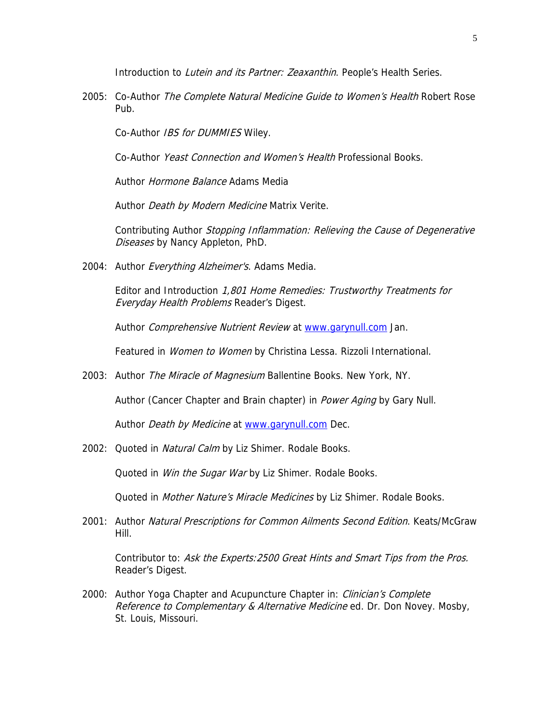Introduction to *Lutein and its Partner: Zeaxanthin*. People's Health Series.

2005: Co-Author The Complete Natural Medicine Guide to Women's Health Robert Rose Pub.

Co-Author IBS for DUMMIES Wiley.

Co-Author Yeast Connection and Women's Health Professional Books.

Author Hormone Balance Adams Media

Author Death by Modern Medicine Matrix Verite.

Contributing Author Stopping Inflammation: Relieving the Cause of Degenerative Diseases by Nancy Appleton, PhD.

2004: Author Everything Alzheimer's. Adams Media.

Editor and Introduction 1,801 Home Remedies: Trustworthy Treatments for Everyday Health Problems Reader's Digest.

Author Comprehensive Nutrient Review at [www.garynull.com](http://www.garynull.com/) Jan.

Featured in Women to Women by Christina Lessa. Rizzoli International.

2003: Author *The Miracle of Magnesium* Ballentine Books. New York, NY.

Author (Cancer Chapter and Brain chapter) in *Power Aging* by Gary Null.

Author *Death by Medicine* at [www.garynull.com](http://www.garynull.com/) Dec.

2002: Quoted in Natural Calm by Liz Shimer. Rodale Books.

Quoted in *Win the Sugar War* by Liz Shimer. Rodale Books.

Quoted in Mother Nature's Miracle Medicines by Liz Shimer. Rodale Books.

2001: Author Natural Prescriptions for Common Ailments Second Edition. Keats/McGraw Hill.

Contributor to: Ask the Experts: 2500 Great Hints and Smart Tips from the Pros. Reader's Digest.

2000: Author Yoga Chapter and Acupuncture Chapter in: Clinician's Complete Reference to Complementary & Alternative Medicine ed. Dr. Don Novey. Mosby, St. Louis, Missouri.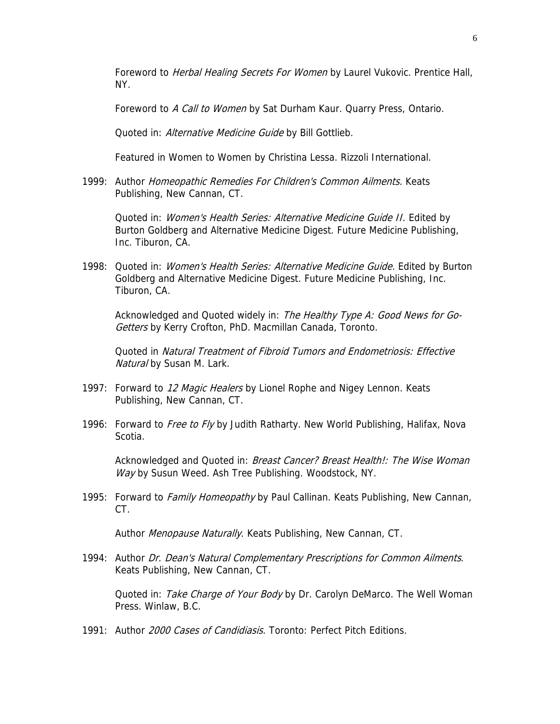Foreword to *Herbal Healing Secrets For Women* by Laurel Vukovic. Prentice Hall, NY.

Foreword to A Call to Women by Sat Durham Kaur. Quarry Press, Ontario.

Quoted in: Alternative Medicine Guide by Bill Gottlieb.

Featured in Women to Women by Christina Lessa. Rizzoli International.

1999: Author Homeopathic Remedies For Children's Common Ailments. Keats Publishing, New Cannan, CT.

Quoted in: Women's Health Series: Alternative Medicine Guide II. Edited by Burton Goldberg and Alternative Medicine Digest. Future Medicine Publishing, Inc. Tiburon, CA.

1998: Quoted in: Women's Health Series: Alternative Medicine Guide. Edited by Burton Goldberg and Alternative Medicine Digest. Future Medicine Publishing, Inc. Tiburon, CA.

Acknowledged and Quoted widely in: The Healthy Type A: Good News for Go-Getters by Kerry Crofton, PhD. Macmillan Canada, Toronto.

Quoted in Natural Treatment of Fibroid Tumors and Endometriosis: Effective Natural by Susan M. Lark.

- 1997: Forward to 12 Magic Healers by Lionel Rophe and Nigey Lennon. Keats Publishing, New Cannan, CT.
- 1996: Forward to *Free to Fly* by Judith Ratharty. New World Publishing, Halifax, Nova Scotia.

Acknowledged and Quoted in: *Breast Cancer? Breast Health!: The Wise Woman* Way by Susun Weed. Ash Tree Publishing. Woodstock, NY.

1995: Forward to Family Homeopathy by Paul Callinan. Keats Publishing, New Cannan, CT.

Author Menopause Naturally. Keats Publishing, New Cannan, CT.

1994: Author Dr. Dean's Natural Complementary Prescriptions for Common Ailments. Keats Publishing, New Cannan, CT.

Quoted in: Take Charge of Your Body by Dr. Carolyn DeMarco. The Well Woman Press. Winlaw, B.C.

1991: Author 2000 Cases of Candidiasis. Toronto: Perfect Pitch Editions.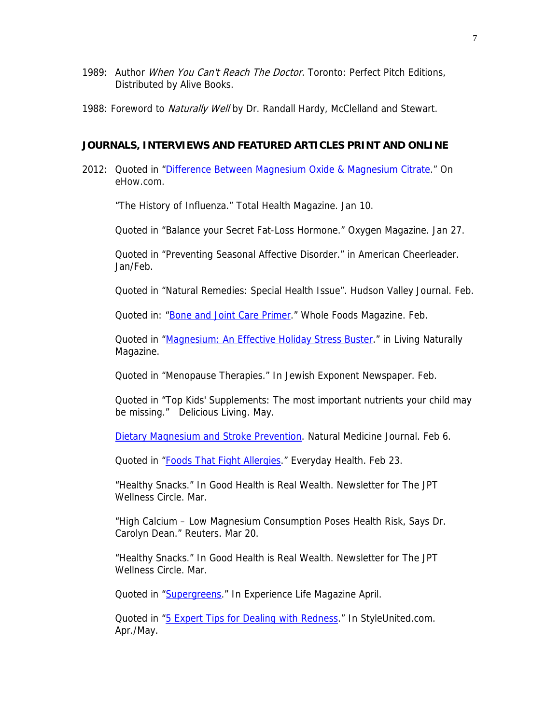- 1989: Author *When You Can't Reach The Doctor*. Toronto: Perfect Pitch Editions, Distributed by Alive Books.
- 1988: Foreword to *Naturally Well* by Dr. Randall Hardy, McClelland and Stewart.

#### **JOURNALS, INTERVIEWS AND FEATURED ARTICLES PRINT AND ONLINE**

2012: Quoted in ["Difference Between Magnesium Oxide & Magnesium Citrate.](http://www.ehow.com/facts_5911101_difference-magnesium-oxide-magnesium-citrate.html)" On eHow.com.

"The History of Influenza." Total Health Magazine. Jan 10.

Quoted in "Balance your Secret Fat-Loss Hormone." Oxygen Magazine. Jan 27.

Quoted in "Preventing Seasonal Affective Disorder." in American Cheerleader. Jan/Feb.

Quoted in "Natural Remedies: Special Health Issue". Hudson Valley Journal. Feb.

Quoted in: ["Bone and Joint Care Primer.](http://www.wholefoodsmagazine.com/supplements/features/bone-and-joint-care-primer)" Whole Foods Magazine. Feb.

Quoted in ["Magnesium: An Effective Holiday Stress Buster.](http://nutritionalmagnesium.org/articles/depression/346-magnesium-an-effective-holiday-stress-buster.html)" in Living Naturally Magazine.

Quoted in "Menopause Therapies." In Jewish Exponent Newspaper. Feb.

Quoted in "Top Kids' Supplements: The most important nutrients your child may be missing." Delicious Living. May.

[Dietary Magnesium and Stroke Prevention.](http://naturalmedicinejournal.com/article_content.asp?edition=1§ion=3&article=288) Natural Medicine Journal. Feb 6.

Quoted in ["Foods That Fight Allergies](http://www.everydayhealth.com/allergy-pictures/foods-that-fight-allergies.aspx)." Everyday Health. Feb 23.

"Healthy Snacks." In Good Health is Real Wealth. Newsletter for The JPT Wellness Circle. Mar.

"High Calcium – Low Magnesium Consumption Poses Health Risk, Says Dr. Carolyn Dean." Reuters. Mar 20.

"Healthy Snacks." In Good Health is Real Wealth. Newsletter for The JPT Wellness Circle. Mar.

Quoted in ["Supergreens](http://experiencelife.com/article/supergreens/)." In Experience Life Magazine April.

Quoted in ["5 Expert Tips for Dealing with Redness.](http://styleunited.com/TipsAndTrends/article/5-Expert-Tips-for-Dealing-with-Redness)" In StyleUnited.com. Apr./May.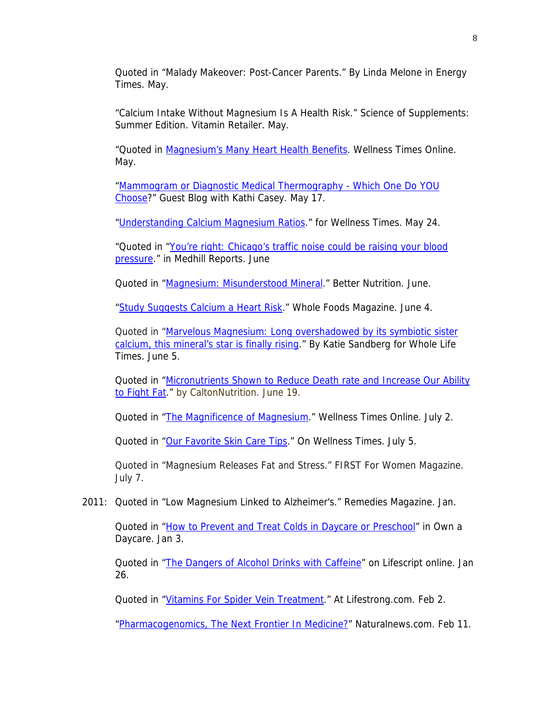Quoted in "Malady Makeover: Post-Cancer Parents." By Linda Melone in Energy Times. May.

"Calcium Intake Without Magnesium Is A Health Risk." Science of Supplements: Summer Edition. Vitamin Retailer. May.

"Quoted in [Magnesium's Many Heart Health Benefits.](http://www.wellnesstimes.com/articles/magnesium%E2%80%99s-many-heart-health-benefits) Wellness Times Online. May.

["Mammogram or Diagnostic Medical Thermography - Which One Do YOU](http://www.kathicaseypilates.com/index.cfm/19981/4600/mammogram_or_diagnostic_medical_thermography__which_one_do_you_choose)  [Choose](http://www.kathicaseypilates.com/index.cfm/19981/4600/mammogram_or_diagnostic_medical_thermography__which_one_do_you_choose)?" Guest Blog with Kathi Casey. May 17.

["Understanding Calcium Magnesium Ratios.](http://www.wellnesstimes.com/articles/understanding-calcium-magnesium-ratio)" for Wellness Times. May 24.

"Quoted in "[You're right: Chicago's traffic noise could be raising your blood](http://news.medill.northwestern.edu/chicago/news.aspx?id=206342&print=1)  [pressure](http://news.medill.northwestern.edu/chicago/news.aspx?id=206342&print=1)." in Medhill Reports. June

Quoted in ["Magnesium: Misunderstood Mineral.](http://www.betternutrition.com/magnesium-anxiety-insomnia-muscle-spasms-anxiety/supplements/checkout/1211)" Better Nutrition. June.

["Study Suggests Calcium a Heart Risk.](http://www.wholefoodsmagazine.com/news/breaking-news/study-suggests-calcium-heart-risk577894516)" Whole Foods Magazine. June 4.

Quoted in "Marvelous Magnesium: Long overshadowed by its symbiotic sister [calcium, this mineral's star is finally rising.](http://www.wholelifemagazine.com/blog/?p=3906)" By Katie Sandberg for Whole Life Times. June 5.

Quoted in ["Micronutrients Shown to Reduce Death rate and Increase Our Ability](http://caltonnutrition.com/article.aspx?pid=76)  [to Fight Fat.](http://caltonnutrition.com/article.aspx?pid=76)" by CaltonNutrition. June 19.

Quoted in ["The Magnificence of Magnesium](http://www.wellnesstimes.com/articles/magnificence-magnesium)." Wellness Times Online. July 2.

Quoted in ["Our Favorite Skin Care Tips](http://www.wellnesstimes.com/articles/our-favorite-skin-care-tips)." On Wellness Times. July 5.

Quoted in "Magnesium Releases Fat and Stress." FIRST For Women Magazine. July 7.

2011: Quoted in "Low Magnesium Linked to Alzheimer's." Remedies Magazine. Jan.

Quoted in ["How to Prevent and Treat Colds in Daycare or Preschool](http://www.ownadaycare.com/blog/how-to-prevent-and-treat-colds-in-daycare-or-preschool)" in Own a Daycare. Jan 3.

Quoted in ["The Dangers of Alcohol Drinks with Caffeine](http://www.lifescript.com/Body/Diet/Eat-well/FDA_Bans_Alcohol_Drinks_with_Caffeine.aspx)" on Lifescript online. Jan 26.

Quoted in ["Vitamins For Spider Vein Treatment](http://www.livestrong.com/article/372284-vitamins-for-spider-vein-treatment/)." At Lifestrong.com. Feb 2.

["Pharmacogenomics, The Next Frontier In Medicine?"](http://www.naturalnews.com/031287_pharmacogenomics_medicine.html) Naturalnews.com. Feb 11.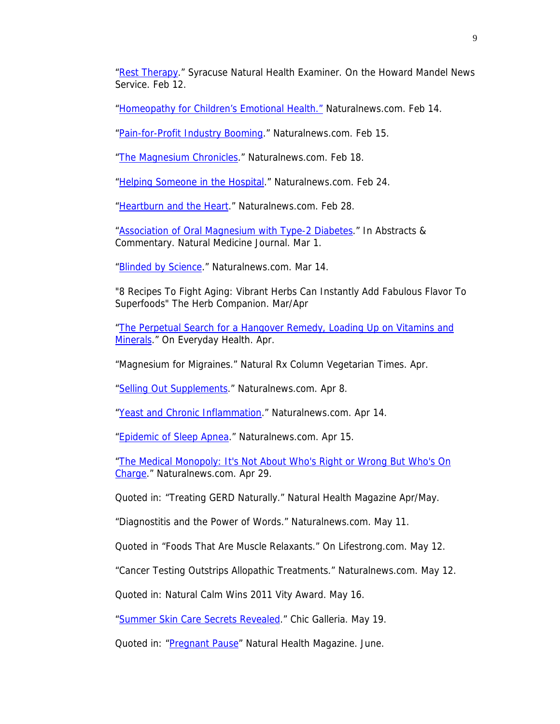["Rest Therapy.](http://www.examiner.com/natural-health-in-syracuse/rest-therapy)" Syracuse Natural Health Examiner. On the Howard Mandel News Service. Feb 12.

["Homeopathy for Children's Emotional Health."](http://www.naturalnews.com/031325_homeopathy_children.html) Naturalnews.com. Feb 14.

["Pain-for-Profit Industry Booming.](http://www.naturalnews.com/031333_pain_drugs.html)" Naturalnews.com. Feb 15.

["The Magnesium Chronicles](http://www.naturalnews.com/031387_magnesium_cures.html)." Naturalnews.com. Feb 18.

["Helping Someone in the Hospital.](http://www.naturalnews.com/031474_hospital_patients.html)" Naturalnews.com. Feb 24.

["Heartburn and the Heart.](http://www.naturalnews.com/031523_heartburn_heart_health.html)" Naturalnews.com. Feb 28.

["Association of Oral Magnesium with Type-2 Diabetes.](http://www.naturalmedicinejournal.com/article_content.asp?article=124)" In Abstracts & Commentary. Natural Medicine Journal. Mar 1.

["Blinded by Science.](http://www.naturalnews.com/031802_blinded_science.html)" Naturalnews.com. Mar 14.

"8 Recipes To Fight Aging: Vibrant Herbs Can Instantly Add Fabulous Flavor To Superfoods" The Herb Companion. Mar/Apr

["The Perpetual Search for a Hangover Remedy, Loading Up on Vitamins and](http://www.everydayhealth.com/mens-health-pictures/loading-up-on-vitamins-and-minerals.aspx)  [Minerals](http://www.everydayhealth.com/mens-health-pictures/loading-up-on-vitamins-and-minerals.aspx)." On Everyday Health. Apr.

"Magnesium for Migraines." Natural Rx Column Vegetarian Times. Apr.

["Selling Out Supplements](http://www.naturalnews.com/031996_dietary_supplements_industry.html)." Naturalnews.com. Apr 8.

["Yeast and Chronic Inflammation](http://www.naturalnews.com/032071_chronic_inflammation_yeast.html)." Naturalnews.com. Apr 14.

["Epidemic of Sleep Apnea](http://www.naturalnews.com/032084_sleep_apnea_epidemic.html)." Naturalnews.com. Apr 15.

["The Medical Monopoly: It's Not About Who's Right or Wrong But Who's On](http://www.naturalnews.com/032229_medical_monopoly_allopathic_medicine.html)  [Charge](http://www.naturalnews.com/032229_medical_monopoly_allopathic_medicine.html)." Naturalnews.com. Apr 29.

Quoted in: "Treating GERD Naturally." Natural Health Magazine Apr/May.

["Diagnostitis and the Power of Words.](http://www.naturalnews.com/032353_diagnostitis_disease_mongering.html)" Naturalnews.com. May 11.

Quoted in ["Foods That Are Muscle Relaxants.](http://www.livestrong.com/article/36825-foods-muscle-relaxants/)" On Lifestrong.com. May 12.

["Cancer Testing Outstrips Allopathic Treatments.](http://www.naturalnews.com/032374_cancer_testing.html)" Naturalnews.com. May 12.

Quoted in: [Natural Calm Wins 2011 Vity Award.](http://naturalvitality.com/news/natural-calm-wins-2011-vity-award/) May 16.

["Summer Skin Care Secrets Revealed](http://chicgalleria.com/2011/05/summer-skin-care-secrets-revealed/)." Chic Galleria. May 19.

Quoted in: ["Pregnant Pause](http://findarticles.com/p/articles/mi_m0NAH/is_5_41/ai_n57490325/)" Natural Health Magazine. June.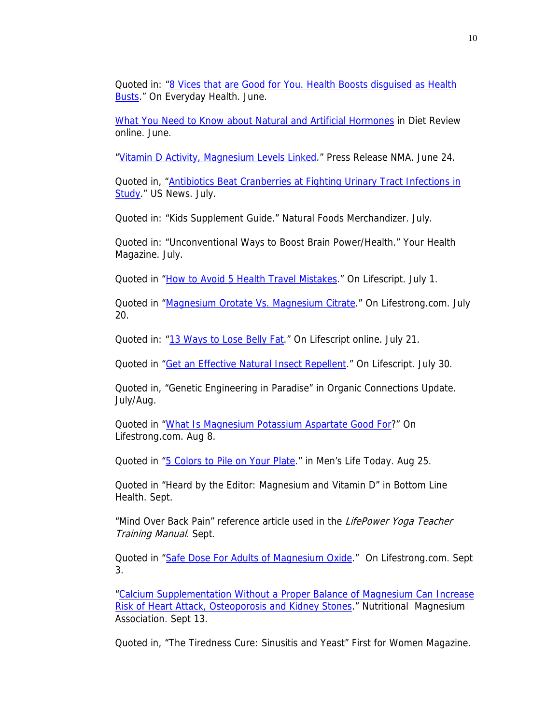Quoted in: ["8 Vices that are Good for You. Health Boosts disguised as Health](http://www.everydayhealth.com/healthy-living-pictures/8-vices-that-are-good-for-you.aspx#/slide-1)  [Busts](http://www.everydayhealth.com/healthy-living-pictures/8-vices-that-are-good-for-you.aspx#/slide-1)." On Everyday Health. June.

[What You Need to Know about Natural and Artificial Hormones](http://www.dietsinreview.com/diet_column/06/what-you-need-to-know-about-natural-and-artificial-hormones/) in Diet Review online. June.

["Vitamin D Activity, Magnesium Levels Linked](http://www.naturalproductsinsider.com/news/2011/06/vitamin-d-activity-magnesium-levels-linked.aspx)." Press Release NMA. June 24.

Quoted in, "Antibiotics Beat Cranberries at Fighting Urinary Tract Infections in [Study](http://consumer.healthday.com/Article.asp?AID=655182)." US News. July.

Quoted in: "Kids Supplement Guide." Natural Foods Merchandizer. July.

Quoted in: "Unconventional Ways to Boost Brain Power/Health." Your Health Magazine. July.

Quoted in ["How to Avoid 5 Health Travel Mistakes.](http://www.lifescript.com/Life/Timeout/Travel/How_to_Avoid_5_Health_Travel_Mistakes.aspx)" On Lifescript. July 1.

Quoted in ["Magnesium Orotate Vs. Magnesium Citrate.](http://www.livestrong.com/article/496936-magnesium-orotate-vs-magnesium-citrate/)" On Lifestrong.com. July 20.

Quoted in: ["13 Ways to Lose Belly Fat](http://www.lifescript.com/Food/Healthy_Eating_Guides/Weight_Loss/Articles/Ways_to_Lose_Belly_Fat.aspx)." On Lifescript online. July 21.

Quoted in ["Get an Effective Natural Insect Repellent.](http://www.lifescript.com/Health/Everyday-Care/Environment/Get_an_Effective_Natural_Insect_Repellent.aspx)" On Lifescript. July 30.

Quoted in, "Genetic Engineering in Paradise" in Organic Connections Update. July/Aug.

Quoted in ["What Is Magnesium Potassium Aspartate Good For?](http://www.livestrong.com/article/511244-what-is-magnesium-potassium-aspartate-good-for/)" On Lifestrong.com. Aug 8.

Quoted in ["5 Colors to Pile on Your Plate.](http://www.menslifetoday.com/worldnowweb/feature/health/wellness/eat_your_colors/index.html)" in Men's Life Today. Aug 25.

Quoted in "Heard by the Editor: Magnesium and Vitamin D" in Bottom Line Health. Sept.

"Mind Over Back Pain" reference article used in the LifePower Yoga Teacher Training Manual. Sept.

Quoted in ["Safe Dose For Adults of Magnesium Oxide](http://www.livestrong.com/article/534672-safe-dose-for-adults-of-magnesium-oxide/)." On Lifestrong.com. Sept 3.

["Calcium Supplementation Without a Proper Balance of Magnesium Can Increase](http://www.ereleases.com/pr/calcium-supplementation-proper-balance-magnesium-increase-risk-heart-attack-osteoporosis-kidney-stones-63617)  [Risk of Heart Attack, Osteoporosis and Kidney Stones](http://www.ereleases.com/pr/calcium-supplementation-proper-balance-magnesium-increase-risk-heart-attack-osteoporosis-kidney-stones-63617)." Nutritional Magnesium Association. Sept 13.

Quoted in, "The Tiredness Cure: Sinusitis and Yeast" First for Women Magazine.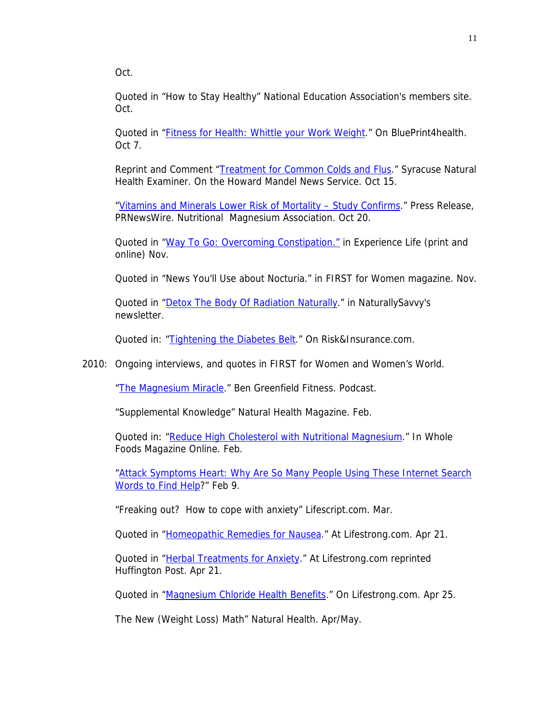Oct.

Quoted in "How to Stay Healthy" National Education Association's members site. Oct.

Quoted in ["Fitness for Health: Whittle your Work Weight](http://www.blueprintdaily.com/2011/10/fitness-friday-whittle-your-work-weight.html)." On BluePrint4health. Oct 7.

Reprint and Comment ["Treatment for Common Colds and Flus.](http://www.examiner.com/health-in-national/treatment-for-common-colds-and-flus)" Syracuse Natural Health Examiner. On the Howard Mandel News Service. Oct 15.

["Vitamins and Minerals Lower Risk of Mortality – Study Confirms.](http://www.prnewswire.com/news-releases/vitamins-and-minerals-lower-risk-of-mortality---study-confirms-132607998.html)" Press Release, PRNewsWire. Nutritional Magnesium Association. Oct 20.

Quoted in ["Way To Go: Overcoming Constipation."](http://experiencelife.com/article/overcoming-constipation/) in Experience Life (print and online) Nov.

Quoted in "News You'll Use about Nocturia." in FIRST for Women magazine. Nov.

Quoted in ["Detox The Body Of Radiation Naturally](http://www.naturallysavvy.com/health-wellness/detox-the-body-of-radiation-naturally)." in NaturallySavvy's newsletter.

Quoted in: ["Tightening the Diabetes Belt](http://www.riskandinsurance.com/story.jsp?storyId=533335307)." On Risk&Insurance.com.

2010: Ongoing interviews, and quotes in FIRST for Women and Women's World.

["The Magnesium Miracle.](http://www.bengreenfieldfitness.com/2009/08/podcast-episode-54-the-m)" Ben Greenfield Fitness. Podcast.

"Supplemental Knowledge" Natural Health Magazine. Feb.

Quoted in: ["Reduce High Cholesterol with Nutritional Magnesium.](http://www.wholefoodsmagazineonline.com/supplements/features/reduce-high-cholesterol-nutritional-magnesium)" In Whole Foods Magazine Online. Feb.

"Attack Symptoms Heart: Why Are So Many People Using These Internet Search [Words to Find Help](http://www.holisticnetworkexchange.com/articles/Article/Print/459.html)?" Feb 9.

"Freaking out? How to cope with anxiety" Lifescript.com. Mar.

Quoted in ["Homeopathic Remedies for Nausea](http://www.livestrong.com/article/109653-homeopathic-remedies-nausea/)." At Lifestrong.com. Apr 21.

Quoted in ["Herbal Treatments for Anxiety.](http://www.huffingtonpost.com/livestrongcom/herbal-treatments-for-anx_b_566659.html)" At Lifestrong.com reprinted Huffington Post. Apr 21.

Quoted in ["Magnesium Chloride Health Benefits](http://www.livestrong.com/article/111999-magnesium-chloride-health-benefits/)." On Lifestrong.com. Apr 25.

The New (Weight Loss) Math" Natural Health. Apr/May.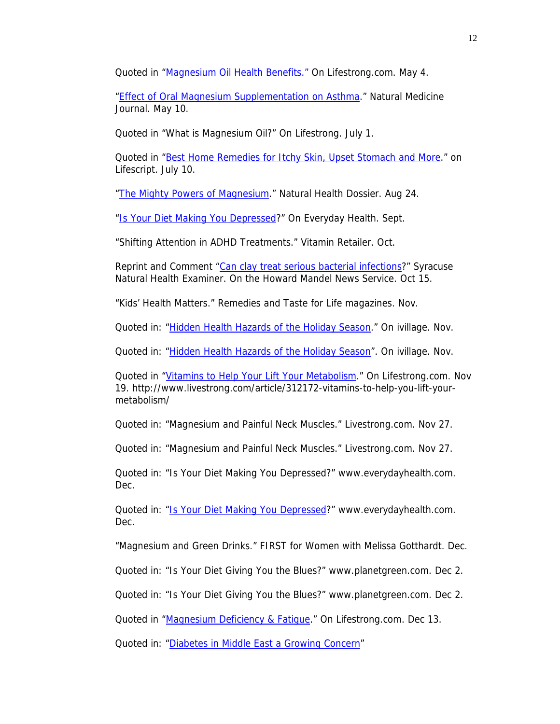Quoted in "*Magnesium Oil Health Benefits."* On Lifestrong.com. May 4.

["Effect of Oral Magnesium Supplementation on Asthma](http://naturalmedicinejournal.net/ac_may10_dean.shtml)." Natural Medicine Journal. May 10.

Quoted in "What is Magnesium Oil?" On Lifestrong. July 1.

Quoted in ["Best Home Remedies for Itchy Skin, Upset Stomach and More.](http://www.lifescript.com/Health/Alternative-Therapies/Natural-Remedies/14_Doctor-Recommended_Natural_Remedies.aspx%20%20http://www.livestrong.com/article/160875-what-is-magnesium-oil/)" on Lifescript. July 10.

["The Mighty Powers of Magnesium](http://naturalhealthdossier.com/2010/08/the-mighty-powers-of-magnesium/)." Natural Health Dossier. Aug 24.

["Is Your Diet Making You Depressed](http://www.everydayhealth.com/depression/is-your-diet-making-you-depressed.aspx)?" On Everyday Health. Sept.

"Shifting Attention in ADHD Treatments." Vitamin Retailer. Oct.

Reprint and Comment ["Can clay treat serious bacterial infections](http://www.examiner.com/natural-health-in-syracuse/can-clay-treat-serious-bacterial-infections)?" Syracuse Natural Health Examiner. On the Howard Mandel News Service. Oct 15.

"Kids' Health Matters." Remedies and Taste for Life magazines. Nov.

Quoted in: ["Hidden Health Hazards of the Holiday Season.](http://www.ivillage.com/hidden-health-hazards-holiday-season/4-b-292367)" On ivillage. Nov.

Quoted in: ["Hidden Health Hazards of the Holiday Season"](http://www.ivillage.com/hidden-health-hazards-holiday-season/4-b-292367). On ivillage. Nov.

Quoted in ["Vitamins to Help Your Lift Your Metabolism.](http://www.livestrong.com/article/312172-vitamins-to-help-you-lift-your-metabolism/)" On Lifestrong.com. Nov 19. http://www.livestrong.com/article/312172-vitamins-to-help-you-lift-yourmetabolism/

Quoted in: "Magnesium and Painful Neck Muscles." Livestrong.com. Nov 27.

Quoted in: "Magnesium and Painful Neck Muscles." Livestrong.com. Nov 27.

Quoted in: "Is Your Diet Making You Depressed?" www.everydayhealth.com. Dec.

Quoted in: ["Is Your Diet Making You Depressed?](http://www.everydayhealth.com/depression/is-your-diet-making-you-depressed.aspx)" www.everydayhealth.com. Dec.

"Magnesium and Green Drinks." FIRST for Women with Melissa Gotthardt. Dec.

Quoted in: "Is Your Diet Giving You the Blues?" www.planetgreen.com. Dec 2.

Quoted in: "Is Your Diet Giving You the Blues?" www.planetgreen.com. Dec 2.

Quoted in ["Magnesium Deficiency & Fatigue](http://www.livestrong.com/article/333372-magnesium-deficiency-fatigue/)." On Lifestrong.com. Dec 13.

Quoted in: ["Diabetes in Middle East a Growing Concern](http://www.dailyinfusion.com/diabetes-in-middle-east-a-growing-concern-alternative-clinic-opening-soon85625/)"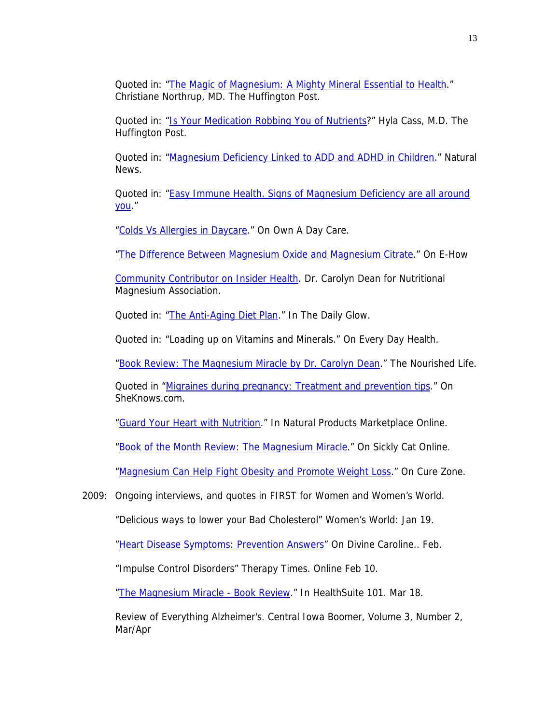Quoted in: ["The Magic of Magnesium: A Mighty Mineral Essential to Health](http://www.huffingtonpost.com/.../magnesium-calcium_b_509115.html)." Christiane Northrup, MD. The Huffington Post.

Quoted in: ["Is Your Medication Robbing You of Nutrients](http://www.naturalnews.com/026782_magnesium_food_adhd.html)?" Hyla Cass, M.D. The Huffington Post.

Quoted in: ["Magnesium Deficiency Linked to ADD and ADHD in Children](http://www.naturalnews.com/026782_magnesium_food_adhd.html)." Natural News.

Quoted in: "Easy Immune Health. Signs of Magnesium Deficiency are all around [you.](http://www.easy-immune-health.com/signs-of-magnesium-deficiency.html)"

["Colds Vs Allergies in Daycare](http://www.ownadaycare.com/blog/colds-vs-allergies-in-daycare%20%E2%80%93)." On Own A Day Care.

["The Difference Between Magnesium Oxide and Magnesium Citrate.](http://www.ehow.com/facts_5911101_difference-magnesium-oxide-magnesium%20citrate.html)" On E-How

[Community Contributor on Insider Health](http://www.insidershealth.com/community/contributor/.../85). Dr. Carolyn Dean for Nutritional Magnesium Association.

Quoted in: ["The Anti-Aging Diet Plan](http://www.dailyglow.com/articles/170/anti-aging-diet.html)." In The Daily Glow.

Quoted in: "Loading up on Vitamins and Minerals." On Every Day Health.

["Book Review: The Magnesium Miracle by Dr. Carolyn Dean.](http://www.livingthenourishedlife.com/2010/08/book-of-month-review-magnesium-miracle.html)" The Nourished Life.

Quoted in ["Migraines during pregnancy: Treatment and prevention tips.](http://pregnancyandbaby.sheknows.com/pregnancy/baby/Migraines-during-pregnancy--Treatment-and-prevention-tips-6520.htm)" On SheKnows.com.

["Guard Your Heart with Nutrition.](http://www.naturalproductsmarketplace.com/articles/2010/10/guard-your-heart-with-nutrition.aspx)" In Natural Products Marketplace Online.

["Book of the Month Review: The Magnesium Miracle.](http://www.sicklycat.com/2010/09/01/book-of-the-month-review-the-magnesium-miracle-by-dr-carolyn-dean/)" On Sickly Cat Online.

["Magnesium Can Help Fight Obesity and Promote Weight Loss.](http://www.curezone.com/forums/fm.asp?i=1636627)" On Cure Zone.

2009: Ongoing interviews, and quotes in FIRST for Women and Women's World.

"Delicious ways to lower your Bad Cholesterol" Women's World: Jan 19.

["Heart Disease Symptoms: Prevention Answers](http://www.divinecaroline.com/article/22178/67938-heart-disease-symptoms--prevention-answers)" On Divine Caroline.. Feb.

"Impulse Control Disorders" Therapy Times. Online Feb 10.

["The Magnesium Miracle - Book Review.](http://www.suite101.com/content/the-magnesium-miracle-book-review-a103370)" In HealthSuite 101. Mar 18.

Review of Everything Alzheimer's. Central Iowa Boomer, Volume 3, Number 2, Mar/Apr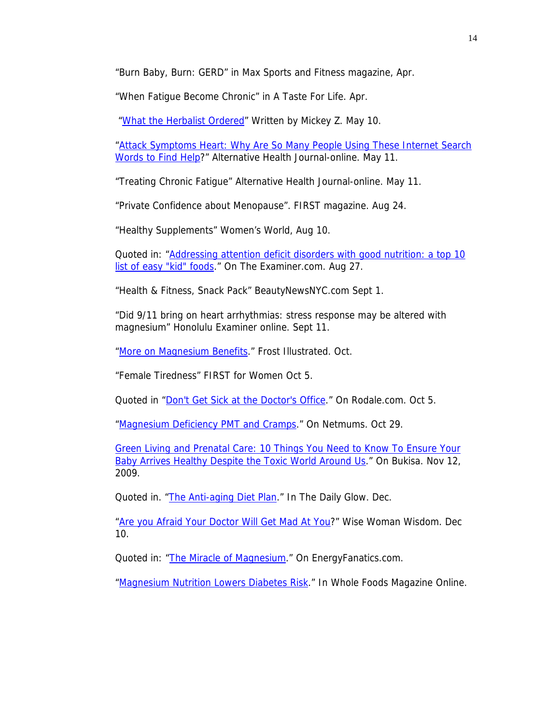"Burn Baby, Burn: GERD" in Max Sports and Fitness magazine, Apr.

"When Fatigue Become Chronic" in A Taste For Life. Apr.

"[What the Herbalist Ordered](http://www.pacificfreepress.com/news/1/4128-what-the-herbalist-ordered.html)" Written by Mickey Z. May 10.

"Attack Symptoms Heart: Why Are So Many People Using These Internet Search [Words to Find Help](http://www.selfgrowth.com/articles/Attack_Symptoms_Heart_Why_Are_So_Many_People_Using_These_Internet_Search_Words_to_Find_Help.html)?" Alternative Health Journal-online. May 11.

"Treating Chronic Fatigue" Alternative Health Journal-online. May 11.

"Private Confidence about Menopause". FIRST magazine. Aug 24.

"Healthy Supplements" Women's World, Aug 10.

Quoted in: ["Addressing attention deficit disorders with good nutrition: a top 10](http://www.examiner.com/holistic-health-in-omaha/addressing-attention-deficit-disorders-with-good-nutrition-a-top-10-list-of-easy-kid-foods)  [list of easy "kid" foods](http://www.examiner.com/holistic-health-in-omaha/addressing-attention-deficit-disorders-with-good-nutrition-a-top-10-list-of-easy-kid-foods)." On The Examiner.com. Aug 27.

"Health & Fitness, Snack Pack" BeautyNewsNYC.com Sept 1.

"Did 9/11 bring on heart arrhythmias: stress response may be altered with magnesium" Honolulu Examiner online. Sept 11.

["More on Magnesium Benefits.](http://www.frostillustrated.com/full.php?sid=6390)" Frost Illustrated. Oct.

"Female Tiredness" FIRST for Women Oct 5.

Quoted in ["Don't Get Sick at the Doctor's Office](http://www.rodale.com/preventing-flu)." On Rodale.com. Oct 5.

["Magnesium Deficiency PMT and Cramps](http://www.netmums.com/coffeehouse/lifestyle-8/health-sex-contraception-48/335583-magnesium-deficiency-pmt-cramps-etc.html)." On Netmums. Oct 29.

[Green Living and Prenatal Care: 10 Things You Need to Know To Ensure Your](http://www.bukisa.com/articles/189951_green-living-and-prenatal-care-10-things-you-need-to-know-to-ensure-your-baby-arrives-healthy-despite-the-toxic-world-around-us)  [Baby Arrives Healthy Despite the Toxic World Around Us](http://www.bukisa.com/articles/189951_green-living-and-prenatal-care-10-things-you-need-to-know-to-ensure-your-baby-arrives-healthy-despite-the-toxic-world-around-us)." On Bukisa. Nov 12, 2009.

Quoted in. "[The Anti-aging Diet Plan.](http://www.dailyglow.com/articles/170/anti-aging-diet.html%20http://www.netmums.com/coffeehouse/lifestyle-8/health-sex-contraception-48/335583-magnesium-deficiency-pmt-cramps-etc.html)" In The Daily Glow. Dec.

["Are you Afraid Your Doctor Will Get Mad At You?](http://www.wisewomantradition.com/empoweringwomen/2009/12/are-you-afraid-your-doctor-will-get-mad-at-you.html)" Wise Woman Wisdom. Dec 10.

Quoted in: ["The Miracle of Magnesium.](http://energyfanatics.com/2009/08/30/miracle-of-magnesium/)" On EnergyFanatics.com.

["Magnesium Nutrition Lowers Diabetes Risk](http://www.wholefoodsmagazineonline.com/supplements/news/magnesium-nutrition-lowers-diabetes-risk)." In Whole Foods Magazine Online.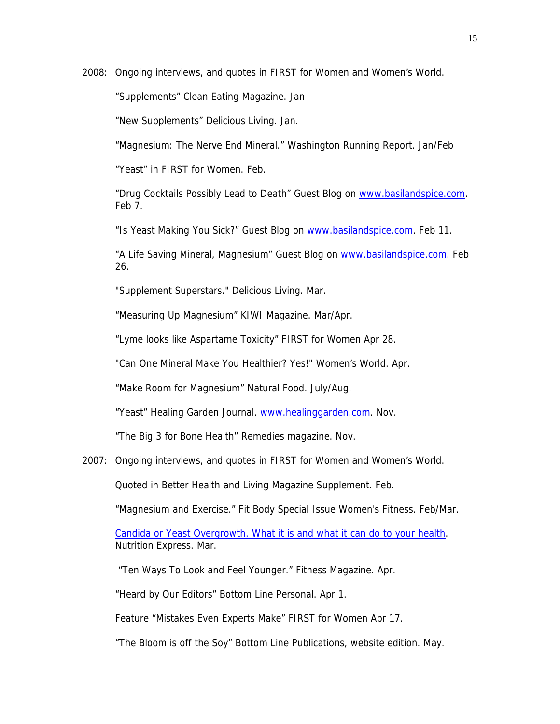2008: Ongoing interviews, and quotes in FIRST for Women and Women's World.

"Supplements" Clean Eating Magazine. Jan

"New Supplements" Delicious Living. Jan.

"Magnesium: The Nerve End Mineral." Washington Running Report. Jan/Feb

"Yeast" in FIRST for Women. Feb.

"Drug Cocktails Possibly Lead to Death" Guest Blog on [www.basilandspice.com.](http://www.basilandspice.com/) Feb 7.

"Is Yeast Making You Sick?" Guest Blog on [www.basilandspice.com.](http://www.basilandspice.com/) Feb 11.

"A Life Saving Mineral, Magnesium" Guest Blog on [www.basilandspice.com](http://www.basilandspice.com/). Feb 26.

"Supplement Superstars." Delicious Living. Mar.

"Measuring Up Magnesium" KIWI Magazine. Mar/Apr.

"Lyme looks like Aspartame Toxicity" FIRST for Women Apr 28.

"Can One Mineral Make You Healthier? Yes!" Women's World. Apr.

"Make Room for Magnesium" Natural Food. July/Aug.

"Yeast" Healing Garden Journal. [www.healinggarden.com.](http://www.healinggarden.com/) Nov.

"The Big 3 for Bone Health" Remedies magazine. Nov.

2007: Ongoing interviews, and quotes in FIRST for Women and Women's World.

Quoted in Better Health and Living Magazine Supplement. Feb.

"Magnesium and Exercise." Fit Body Special Issue Women's Fitness. Feb/Mar.

[Candida or Yeast Overgrowth. What it is and what it can do to your health](http://www.nutritionexpress.com/health+conditions/candida+yeast/). Nutrition Express. Mar.

"Ten Ways To Look and Feel Younger." Fitness Magazine. Apr.

"Heard by Our Editors" Bottom Line Personal. Apr 1.

Feature "Mistakes Even Experts Make" FIRST for Women Apr 17.

"The Bloom is off the Soy" Bottom Line Publications, website edition. May.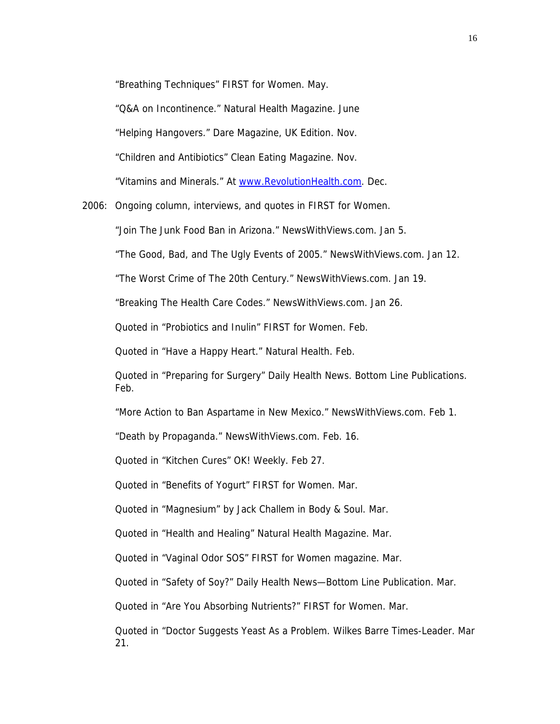"Breathing Techniques" FIRST for Women. May.

"Q&A on Incontinence." Natural Health Magazine. June

"Helping Hangovers." Dare Magazine, UK Edition. Nov.

"Children and Antibiotics" Clean Eating Magazine. Nov.

"Vitamins and Minerals." At [www.RevolutionHealth.com](http://www.revolutionhealth.com/). Dec.

2006: Ongoing column, interviews, and quotes in FIRST for Women.

"Join The Junk Food Ban in Arizona." NewsWithViews.com. Jan 5.

"The Good, Bad, and The Ugly Events of 2005." NewsWithViews.com. Jan 12.

"The Worst Crime of The 20th Century." NewsWithViews.com. Jan 19.

"Breaking The Health Care Codes." NewsWithViews.com. Jan 26.

Quoted in "Probiotics and Inulin" FIRST for Women. Feb.

Quoted in "Have a Happy Heart." Natural Health. Feb.

Quoted in "Preparing for Surgery" Daily Health News. Bottom Line Publications. Feb.

"More Action to Ban Aspartame in New Mexico." NewsWithViews.com. Feb 1.

"Death by Propaganda." NewsWithViews.com. Feb. 16.

Quoted in "Kitchen Cures" OK! Weekly. Feb 27.

Quoted in "Benefits of Yogurt" FIRST for Women. Mar.

Quoted in "Magnesium" by Jack Challem in Body & Soul. Mar.

Quoted in "Health and Healing" Natural Health Magazine. Mar.

Quoted in "Vaginal Odor SOS" FIRST for Women magazine. Mar.

Quoted in "Safety of Soy?" Daily Health News—Bottom Line Publication. Mar.

Quoted in "Are You Absorbing Nutrients?" FIRST for Women. Mar.

Quoted in "Doctor Suggests Yeast As a Problem. Wilkes Barre Times-Leader. Mar 21.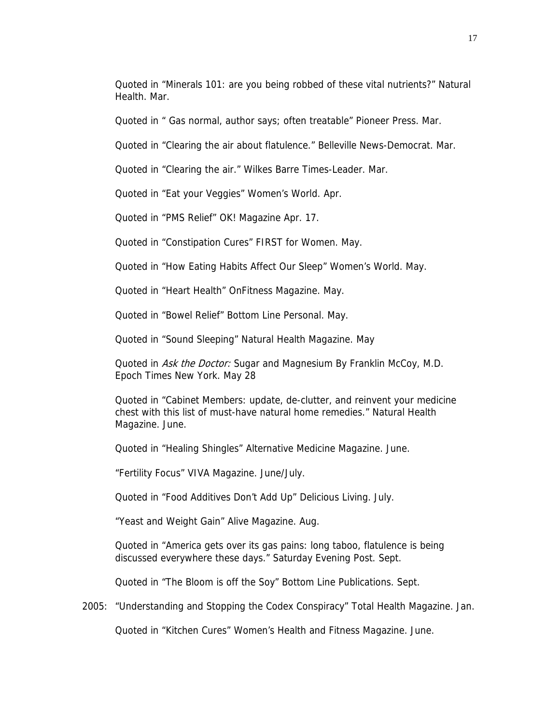Quoted in "Minerals 101: are you being robbed of these vital nutrients?" Natural Health. Mar.

Quoted in " Gas normal, author says; often treatable" Pioneer Press. Mar.

Quoted in "Clearing the air about flatulence." Belleville News-Democrat. Mar.

Quoted in "Clearing the air." Wilkes Barre Times-Leader. Mar.

Quoted in "Eat your Veggies" Women's World. Apr.

Quoted in "PMS Relief" OK! Magazine Apr. 17.

Quoted in "Constipation Cures" FIRST for Women. May.

Quoted in "How Eating Habits Affect Our Sleep" Women's World. May.

Quoted in "Heart Health" OnFitness Magazine. May.

Quoted in "Bowel Relief" Bottom Line Personal. May.

Quoted in "Sound Sleeping" Natural Health Magazine. May

Quoted in Ask the Doctor: Sugar and Magnesium By Franklin McCoy, M.D. Epoch Times New York. May 28

Quoted in "Cabinet Members: update, de-clutter, and reinvent your medicine chest with this list of must-have natural home remedies." Natural Health Magazine. June.

Quoted in "Healing Shingles" Alternative Medicine Magazine. June.

"Fertility Focus" VIVA Magazine. June/July.

Quoted in "Food Additives Don't Add Up" Delicious Living. July.

"Yeast and Weight Gain" Alive Magazine. Aug.

Quoted in "America gets over its gas pains: long taboo, flatulence is being discussed everywhere these days." Saturday Evening Post. Sept.

Quoted in "The Bloom is off the Soy" Bottom Line Publications. Sept.

2005: "Understanding and Stopping the Codex Conspiracy" Total Health Magazine. Jan.

Quoted in "Kitchen Cures" Women's Health and Fitness Magazine. June.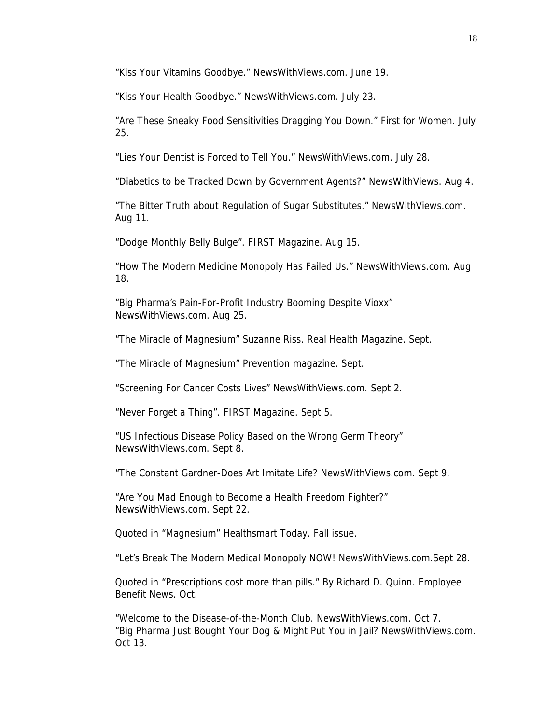"Kiss Your Vitamins Goodbye." NewsWithViews.com. June 19.

"Kiss Your Health Goodbye." NewsWithViews.com. July 23.

"Are These Sneaky Food Sensitivities Dragging You Down." First for Women. July 25.

"Lies Your Dentist is Forced to Tell You." NewsWithViews.com. July 28.

"Diabetics to be Tracked Down by Government Agents?" NewsWithViews. Aug 4.

"The Bitter Truth about Regulation of Sugar Substitutes." NewsWithViews.com. Aug 11.

"Dodge Monthly Belly Bulge". FIRST Magazine. Aug 15.

"How The Modern Medicine Monopoly Has Failed Us." NewsWithViews.com. Aug 18.

"Big Pharma's Pain-For-Profit Industry Booming Despite Vioxx" NewsWithViews.com. Aug 25.

"The Miracle of Magnesium" Suzanne Riss. Real Health Magazine. Sept.

"The Miracle of Magnesium" Prevention magazine. Sept.

"Screening For Cancer Costs Lives" NewsWithViews.com. Sept 2.

"Never Forget a Thing". FIRST Magazine. Sept 5.

"US Infectious Disease Policy Based on the Wrong Germ Theory" NewsWithViews.com. Sept 8.

"The Constant Gardner-Does Art Imitate Life? NewsWithViews.com. Sept 9.

"Are You Mad Enough to Become a Health Freedom Fighter?" NewsWithViews.com. Sept 22.

Quoted in "Magnesium" Healthsmart Today. Fall issue.

"Let's Break The Modern Medical Monopoly NOW! NewsWithViews.com.Sept 28.

Quoted in "Prescriptions cost more than pills." By Richard D. Quinn. Employee Benefit News. Oct.

"Welcome to the Disease-of-the-Month Club. NewsWithViews.com. Oct 7. "Big Pharma Just Bought Your Dog & Might Put You in Jail? NewsWithViews.com. Oct 13.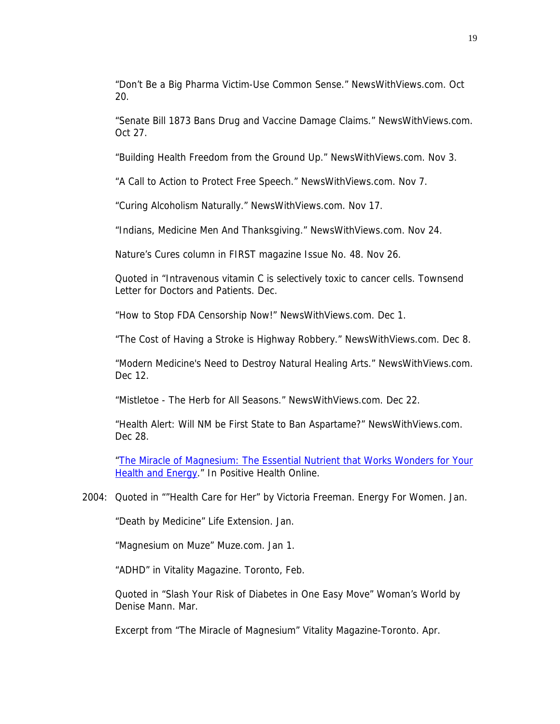"Don't Be a Big Pharma Victim-Use Common Sense." NewsWithViews.com. Oct 20.

"Senate Bill 1873 Bans Drug and Vaccine Damage Claims." NewsWithViews.com. Oct 27.

"Building Health Freedom from the Ground Up." NewsWithViews.com. Nov 3.

"A Call to Action to Protect Free Speech." NewsWithViews.com. Nov 7.

"Curing Alcoholism Naturally." NewsWithViews.com. Nov 17.

"Indians, Medicine Men And Thanksgiving." NewsWithViews.com. Nov 24.

Nature's Cures column in FIRST magazine Issue No. 48. Nov 26.

Quoted in "Intravenous vitamin C is selectively toxic to cancer cells. Townsend Letter for Doctors and Patients. Dec.

"How to Stop FDA Censorship Now!" NewsWithViews.com. Dec 1.

"The Cost of Having a Stroke is Highway Robbery." NewsWithViews.com. Dec 8.

"Modern Medicine's Need to Destroy Natural Healing Arts." NewsWithViews.com. Dec 12.

"Mistletoe - The Herb for All Seasons." NewsWithViews.com. Dec 22.

"Health Alert: Will NM be First State to Ban Aspartame?" NewsWithViews.com. Dec 28.

["The Miracle of Magnesium: The Essential Nutrient that Works Wonders for Your](http://www.positivehealth.com/review/the-miracle-of-magnesium-the-essential-nutrient-that-works-wonders-for-your-health-and-energy)  [Health and Energy.](http://www.positivehealth.com/review/the-miracle-of-magnesium-the-essential-nutrient-that-works-wonders-for-your-health-and-energy)" In Positive Health Online.

#### 2004: Quoted in ""Health Care for Her" by Victoria Freeman. Energy For Women. Jan.

"Death by Medicine" Life Extension. Jan.

"Magnesium on Muze" Muze.com. Jan 1.

"ADHD" in Vitality Magazine. Toronto, Feb.

Quoted in "Slash Your Risk of Diabetes in One Easy Move" Woman's World by Denise Mann. Mar.

Excerpt from "The Miracle of Magnesium" Vitality Magazine-Toronto. Apr.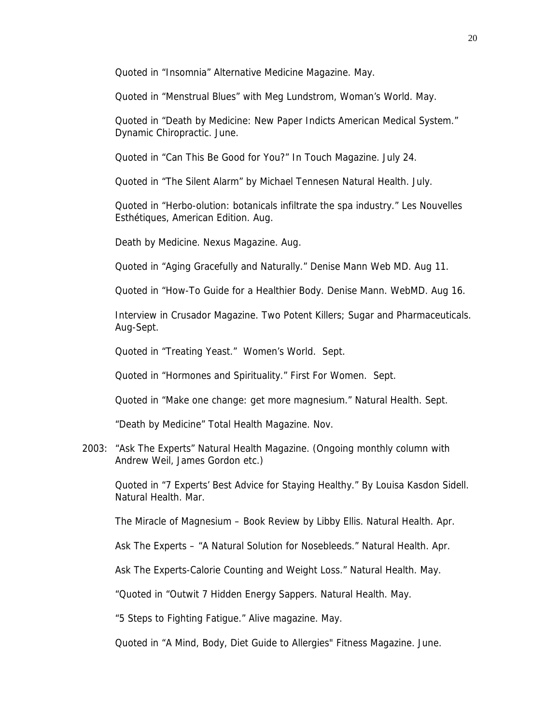Quoted in "Insomnia" Alternative Medicine Magazine. May.

Quoted in "Menstrual Blues" with Meg Lundstrom, Woman's World. May.

 Quoted in "Death by Medicine: New Paper Indicts American Medical System." Dynamic Chiropractic. June.

Quoted in "Can This Be Good for You?" In Touch Magazine. July 24.

Quoted in "The Silent Alarm" by Michael Tennesen Natural Health. July.

Quoted in "Herbo-olution: botanicals infiltrate the spa industry." Les Nouvelles Esthétiques, American Edition. Aug.

Death by Medicine. Nexus Magazine. Aug.

Quoted in "Aging Gracefully and Naturally." Denise Mann Web MD. Aug 11.

Quoted in "How-To Guide for a Healthier Body. Denise Mann. WebMD. Aug 16.

Interview in Crusador Magazine. Two Potent Killers; Sugar and Pharmaceuticals. Aug-Sept.

Quoted in "Treating Yeast." Women's World. Sept.

Quoted in "Hormones and Spirituality." First For Women. Sept.

Quoted in "Make one change: get more magnesium." Natural Health. Sept.

"Death by Medicine" Total Health Magazine. Nov.

2003: "Ask The Experts" Natural Health Magazine. (Ongoing monthly column with Andrew Weil, James Gordon etc.)

Quoted in "7 Experts' Best Advice for Staying Healthy." By Louisa Kasdon Sidell. Natural Health. Mar.

The Miracle of Magnesium – Book Review by Libby Ellis. Natural Health. Apr.

Ask The Experts – "A Natural Solution for Nosebleeds." Natural Health. Apr.

Ask The Experts-Calorie Counting and Weight Loss." Natural Health. May.

"Quoted in "Outwit 7 Hidden Energy Sappers. Natural Health. May.

"5 Steps to Fighting Fatigue." Alive magazine. May.

Quoted in "A Mind, Body, Diet Guide to Allergies" Fitness Magazine. June.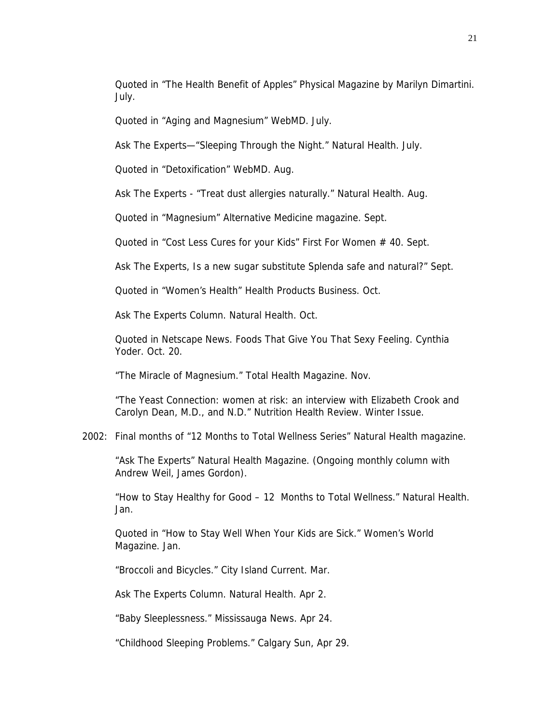Quoted in "The Health Benefit of Apples" Physical Magazine by Marilyn Dimartini. July.

Quoted in "Aging and Magnesium" WebMD. July.

Ask The Experts—"Sleeping Through the Night." Natural Health. July.

Quoted in "Detoxification" WebMD. Aug.

Ask The Experts - "Treat dust allergies naturally." Natural Health. Aug.

Quoted in "Magnesium" Alternative Medicine magazine. Sept.

Quoted in "Cost Less Cures for your Kids" First For Women # 40. Sept.

Ask The Experts, Is a new sugar substitute Splenda safe and natural?" Sept.

Quoted in "Women's Health" Health Products Business. Oct.

Ask The Experts Column. Natural Health. Oct.

Quoted in Netscape News. Foods That Give You That Sexy Feeling. Cynthia Yoder. Oct. 20.

"The Miracle of Magnesium." Total Health Magazine. Nov.

"The Yeast Connection: women at risk: an interview with Elizabeth Crook and Carolyn Dean, M.D., and N.D." Nutrition Health Review. Winter Issue.

#### 2002: Final months of "12 Months to Total Wellness Series" Natural Health magazine.

"Ask The Experts" Natural Health Magazine. (Ongoing monthly column with Andrew Weil, James Gordon).

"How to Stay Healthy for Good – 12 Months to Total Wellness." Natural Health. Jan.

Quoted in "How to Stay Well When Your Kids are Sick." Women's World Magazine. Jan.

"Broccoli and Bicycles." City Island Current. Mar.

Ask The Experts Column. Natural Health. Apr 2.

"Baby Sleeplessness." Mississauga News. Apr 24.

"Childhood Sleeping Problems." Calgary Sun, Apr 29.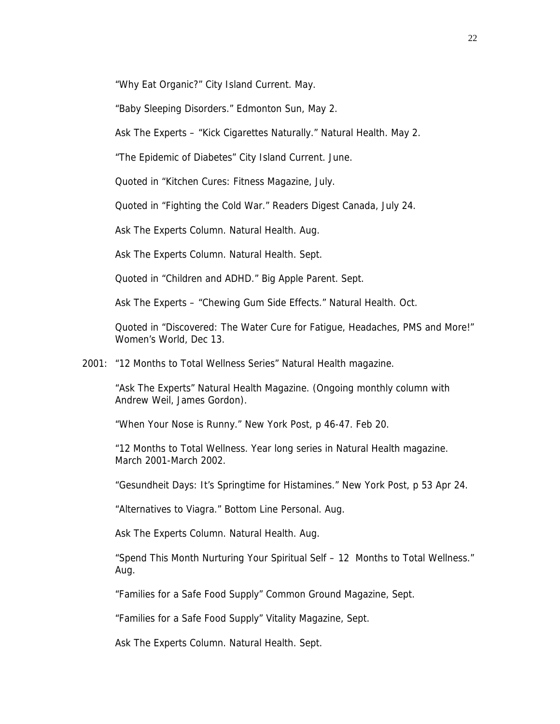"Why Eat Organic?" City Island Current. May.

"Baby Sleeping Disorders." Edmonton Sun, May 2.

Ask The Experts – "Kick Cigarettes Naturally." Natural Health. May 2.

"The Epidemic of Diabetes" City Island Current. June.

Quoted in "Kitchen Cures: Fitness Magazine, July.

Quoted in "Fighting the Cold War." Readers Digest Canada, July 24.

Ask The Experts Column. Natural Health. Aug.

Ask The Experts Column. Natural Health. Sept.

Quoted in "Children and ADHD." Big Apple Parent. Sept.

Ask The Experts – "Chewing Gum Side Effects." Natural Health. Oct.

Quoted in "Discovered: The Water Cure for Fatigue, Headaches, PMS and More!" Women's World, Dec 13.

2001: "12 Months to Total Wellness Series" Natural Health magazine.

"Ask The Experts" Natural Health Magazine. (Ongoing monthly column with Andrew Weil, James Gordon).

"When Your Nose is Runny." New York Post, p 46-47. Feb 20.

"12 Months to Total Wellness. Year long series in Natural Health magazine. March 2001-March 2002.

"Gesundheit Days: It's Springtime for Histamines." New York Post, p 53 Apr 24.

"Alternatives to Viagra." Bottom Line Personal. Aug.

Ask The Experts Column. Natural Health. Aug.

"Spend This Month Nurturing Your Spiritual Self – 12 Months to Total Wellness." Aug.

"Families for a Safe Food Supply" Common Ground Magazine, Sept.

"Families for a Safe Food Supply" Vitality Magazine, Sept.

Ask The Experts Column. Natural Health. Sept.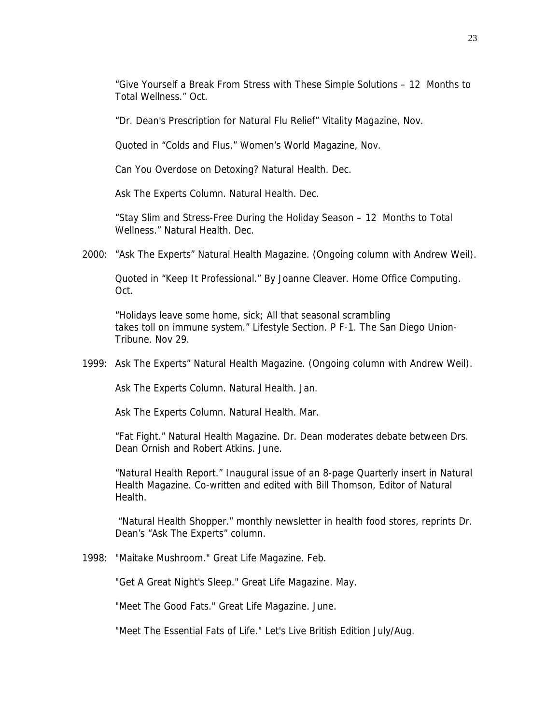"Give Yourself a Break From Stress with These Simple Solutions – 12 Months to Total Wellness." Oct.

"Dr. Dean's Prescription for Natural Flu Relief" Vitality Magazine, Nov.

Quoted in "Colds and Flus." Women's World Magazine, Nov.

Can You Overdose on Detoxing? Natural Health. Dec.

Ask The Experts Column. Natural Health. Dec.

"Stay Slim and Stress-Free During the Holiday Season – 12 Months to Total Wellness." Natural Health. Dec.

2000: "Ask The Experts" Natural Health Magazine. (Ongoing column with Andrew Weil).

Quoted in "Keep It Professional." By Joanne Cleaver. Home Office Computing. Oct.

"Holidays leave some home, sick; All that seasonal scrambling takes toll on immune system." Lifestyle Section. P F-1. The San Diego Union-Tribune. Nov 29.

1999: Ask The Experts" Natural Health Magazine. (Ongoing column with Andrew Weil).

Ask The Experts Column. Natural Health. Jan.

Ask The Experts Column. Natural Health. Mar.

"Fat Fight." Natural Health Magazine. Dr. Dean moderates debate between Drs. Dean Ornish and Robert Atkins. June.

"Natural Health Report." Inaugural issue of an 8-page Quarterly insert in Natural Health Magazine. Co-written and edited with Bill Thomson, Editor of Natural Health.

 "Natural Health Shopper." monthly newsletter in health food stores, reprints Dr. Dean's "Ask The Experts" column.

1998: "Maitake Mushroom." Great Life Magazine. Feb.

"Get A Great Night's Sleep." Great Life Magazine. May.

"Meet The Good Fats." Great Life Magazine. June.

"Meet The Essential Fats of Life." Let's Live British Edition July/Aug.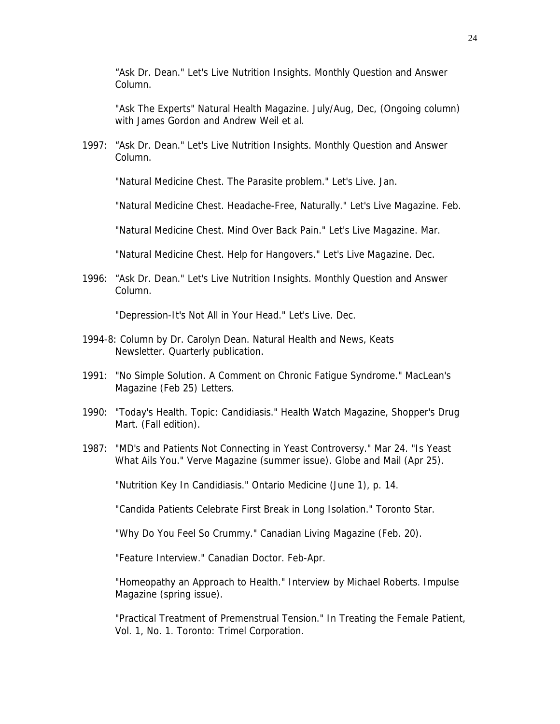"Ask Dr. Dean." Let's Live Nutrition Insights. Monthly Question and Answer Column.

"Ask The Experts" Natural Health Magazine. July/Aug, Dec, (Ongoing column) with James Gordon and Andrew Weil et al.

1997: "Ask Dr. Dean." Let's Live Nutrition Insights. Monthly Question and Answer Column.

"Natural Medicine Chest. The Parasite problem." Let's Live. Jan.

"Natural Medicine Chest. Headache-Free, Naturally." Let's Live Magazine. Feb.

"Natural Medicine Chest. Mind Over Back Pain." Let's Live Magazine. Mar.

"Natural Medicine Chest. Help for Hangovers." Let's Live Magazine. Dec.

1996: "Ask Dr. Dean." Let's Live Nutrition Insights. Monthly Question and Answer Column.

"Depression-It's Not All in Your Head." Let's Live. Dec.

- 1994-8: Column by Dr. Carolyn Dean. Natural Health and News, Keats Newsletter. Quarterly publication.
- 1991: "No Simple Solution. A Comment on Chronic Fatigue Syndrome." MacLean's Magazine (Feb 25) Letters.
- 1990: "Today's Health. Topic: Candidiasis." Health Watch Magazine, Shopper's Drug Mart. (Fall edition).
- 1987: "MD's and Patients Not Connecting in Yeast Controversy." Mar 24. "Is Yeast What Ails You." Verve Magazine (summer issue). Globe and Mail (Apr 25).

"Nutrition Key In Candidiasis." Ontario Medicine (June 1), p. 14.

"Candida Patients Celebrate First Break in Long Isolation." Toronto Star.

"Why Do You Feel So Crummy." Canadian Living Magazine (Feb. 20).

"Feature Interview." Canadian Doctor. Feb-Apr.

"Homeopathy an Approach to Health." Interview by Michael Roberts. Impulse Magazine (spring issue).

"Practical Treatment of Premenstrual Tension." In Treating the Female Patient, Vol. 1, No. 1. Toronto: Trimel Corporation.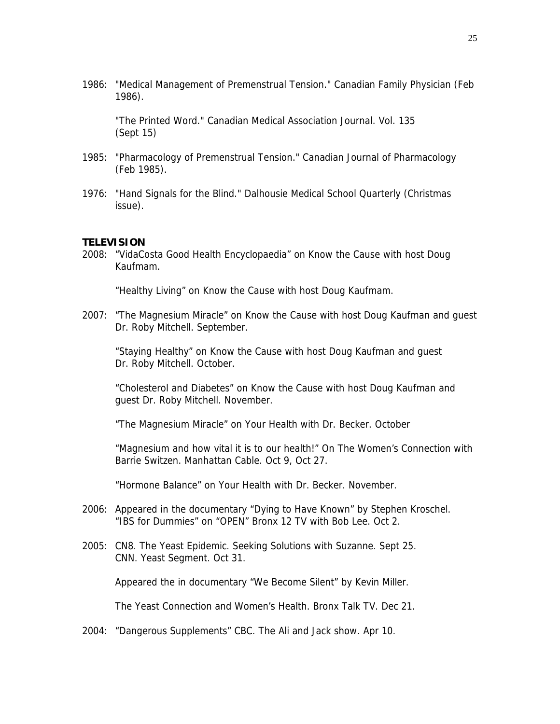1986: "Medical Management of Premenstrual Tension." Canadian Family Physician (Feb 1986).

 "The Printed Word." Canadian Medical Association Journal. Vol. 135 (Sept 15)

- 1985: "Pharmacology of Premenstrual Tension." Canadian Journal of Pharmacology (Feb 1985).
- 1976: "Hand Signals for the Blind." Dalhousie Medical School Quarterly (Christmas issue).

#### **TELEVISION**

2008: "VidaCosta Good Health Encyclopaedia" on Know the Cause with host Doug Kaufmam.

"Healthy Living" on Know the Cause with host Doug Kaufmam.

2007: "The Magnesium Miracle" on Know the Cause with host Doug Kaufman and guest Dr. Roby Mitchell. September.

 "Staying Healthy" on Know the Cause with host Doug Kaufman and guest Dr. Roby Mitchell. October.

 "Cholesterol and Diabetes" on Know the Cause with host Doug Kaufman and guest Dr. Roby Mitchell. November.

"The Magnesium Miracle" on Your Health with Dr. Becker. October

 "Magnesium and how vital it is to our health!" On The Women's Connection with Barrie Switzen. Manhattan Cable. Oct 9, Oct 27.

"Hormone Balance" on Your Health with Dr. Becker. November.

- 2006: Appeared in the documentary "Dying to Have Known" by Stephen Kroschel. "IBS for Dummies" on "OPEN" Bronx 12 TV with Bob Lee. Oct 2.
- 2005: CN8. The Yeast Epidemic. Seeking Solutions with Suzanne. Sept 25. CNN. Yeast Segment. Oct 31.

Appeared the in documentary "We Become Silent" by Kevin Miller.

The Yeast Connection and Women's Health. Bronx Talk TV. Dec 21.

2004: "Dangerous Supplements" CBC. The Ali and Jack show. Apr 10.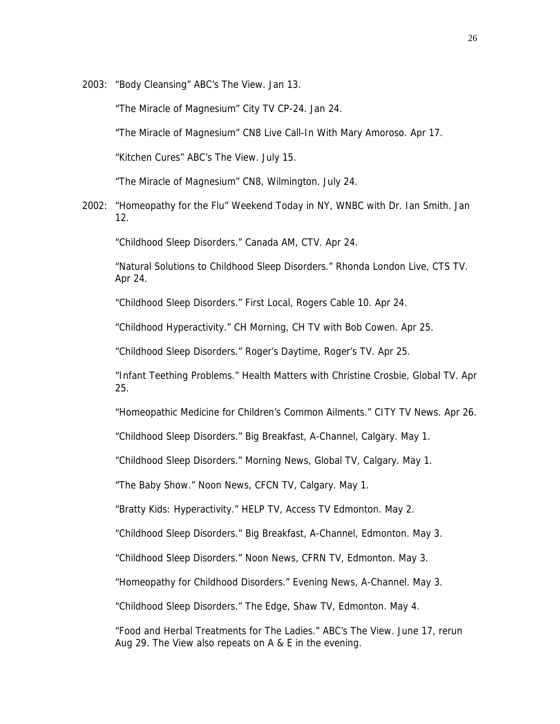2003: "Body Cleansing" ABC's The View. Jan 13.

"The Miracle of Magnesium" City TV CP-24. Jan 24.

"The Miracle of Magnesium" CN8 Live Call-In With Mary Amoroso. Apr 17.

"Kitchen Cures" ABC's The View. July 15.

"The Miracle of Magnesium" CN8, Wilmington. July 24.

2002: "Homeopathy for the Flu" Weekend Today in NY, WNBC with Dr. Ian Smith. Jan 12.

"Childhood Sleep Disorders." Canada AM, CTV. Apr 24.

 "Natural Solutions to Childhood Sleep Disorders." Rhonda London Live, CTS TV. Apr 24.

"Childhood Sleep Disorders." First Local, Rogers Cable 10. Apr 24.

"Childhood Hyperactivity." CH Morning, CH TV with Bob Cowen. Apr 25.

"Childhood Sleep Disorders." Roger's Daytime, Roger's TV. Apr 25.

 "Infant Teething Problems." Health Matters with Christine Crosbie, Global TV. Apr 25.

"Homeopathic Medicine for Children's Common Ailments." CITY TV News. Apr 26.

"Childhood Sleep Disorders." Big Breakfast, A-Channel, Calgary. May 1.

"Childhood Sleep Disorders." Morning News, Global TV, Calgary. May 1.

"The Baby Show." Noon News, CFCN TV, Calgary. May 1.

"Bratty Kids: Hyperactivity." HELP TV, Access TV Edmonton. May 2.

"Childhood Sleep Disorders." Big Breakfast, A-Channel, Edmonton. May 3.

"Childhood Sleep Disorders." Noon News, CFRN TV, Edmonton. May 3.

"Homeopathy for Childhood Disorders." Evening News, A-Channel. May 3.

"Childhood Sleep Disorders." The Edge, Shaw TV, Edmonton. May 4.

 "Food and Herbal Treatments for The Ladies." ABC's The View. June 17, rerun Aug 29. The View also repeats on A & E in the evening.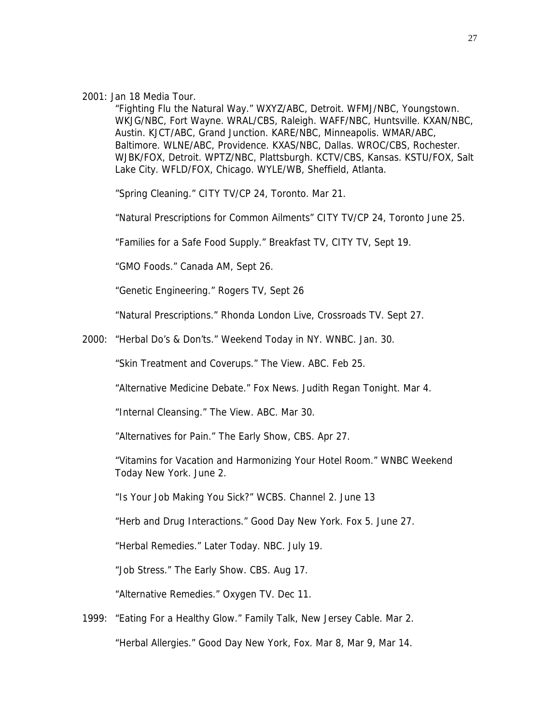2001: Jan 18 Media Tour.

"Fighting Flu the Natural Way." WXYZ/ABC, Detroit. WFMJ/NBC, Youngstown. WKJG/NBC, Fort Wayne. WRAL/CBS, Raleigh. WAFF/NBC, Huntsville. KXAN/NBC, Austin. KJCT/ABC, Grand Junction. KARE/NBC, Minneapolis. WMAR/ABC, Baltimore. WLNE/ABC, Providence. KXAS/NBC, Dallas. WROC/CBS, Rochester. WJBK/FOX, Detroit. WPTZ/NBC, Plattsburgh. KCTV/CBS, Kansas. KSTU/FOX, Salt Lake City. WFLD/FOX, Chicago. WYLE/WB, Sheffield, Atlanta.

"Spring Cleaning." CITY TV/CP 24, Toronto. Mar 21.

"Natural Prescriptions for Common Ailments" CITY TV/CP 24, Toronto June 25.

"Families for a Safe Food Supply." Breakfast TV, CITY TV, Sept 19.

"GMO Foods." Canada AM, Sept 26.

"Genetic Engineering." Rogers TV, Sept 26

"Natural Prescriptions." Rhonda London Live, Crossroads TV. Sept 27.

2000: "Herbal Do's & Don'ts." Weekend Today in NY. WNBC. Jan. 30.

"Skin Treatment and Coverups." The View. ABC. Feb 25.

"Alternative Medicine Debate." Fox News. Judith Regan Tonight. Mar 4.

"Internal Cleansing." The View. ABC. Mar 30.

"Alternatives for Pain." The Early Show, CBS. Apr 27.

"Vitamins for Vacation and Harmonizing Your Hotel Room." WNBC Weekend Today New York. June 2.

"Is Your Job Making You Sick?" WCBS. Channel 2. June 13

"Herb and Drug Interactions." Good Day New York. Fox 5. June 27.

"Herbal Remedies." Later Today. NBC. July 19.

"Job Stress." The Early Show. CBS. Aug 17.

"Alternative Remedies." Oxygen TV. Dec 11.

1999: "Eating For a Healthy Glow." Family Talk, New Jersey Cable. Mar 2. "Herbal Allergies." Good Day New York, Fox. Mar 8, Mar 9, Mar 14.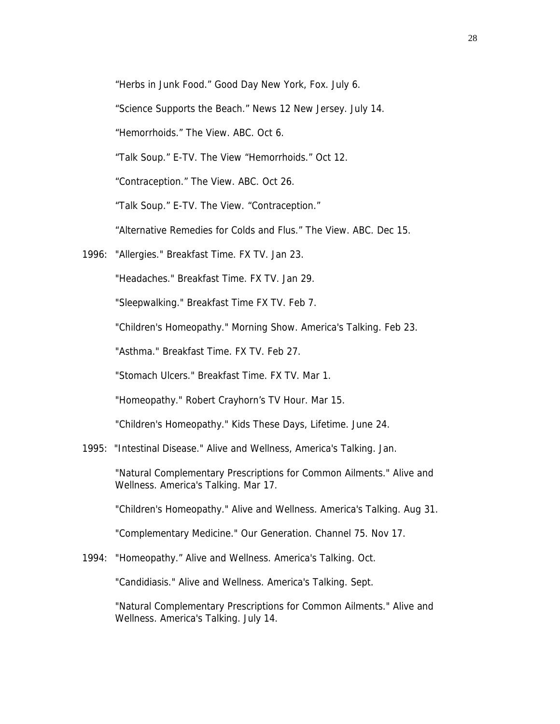"Herbs in Junk Food." Good Day New York, Fox. July 6.

"Science Supports the Beach." News 12 New Jersey. July 14.

"Hemorrhoids." The View. ABC. Oct 6.

"Talk Soup." E-TV. The View "Hemorrhoids." Oct 12.

"Contraception." The View. ABC. Oct 26.

"Talk Soup." E-TV. The View. "Contraception."

"Alternative Remedies for Colds and Flus." The View. ABC. Dec 15.

1996: "Allergies." Breakfast Time. FX TV. Jan 23.

"Headaches." Breakfast Time. FX TV. Jan 29.

"Sleepwalking." Breakfast Time FX TV. Feb 7.

"Children's Homeopathy." Morning Show. America's Talking. Feb 23.

"Asthma." Breakfast Time. FX TV. Feb 27.

"Stomach Ulcers." Breakfast Time. FX TV. Mar 1.

"Homeopathy." Robert Crayhorn's TV Hour. Mar 15.

"Children's Homeopathy." Kids These Days, Lifetime. June 24.

1995: "Intestinal Disease." Alive and Wellness, America's Talking. Jan.

"Natural Complementary Prescriptions for Common Ailments." Alive and Wellness. America's Talking. Mar 17.

"Children's Homeopathy." Alive and Wellness. America's Talking. Aug 31.

"Complementary Medicine." Our Generation. Channel 75. Nov 17.

1994: "Homeopathy." Alive and Wellness. America's Talking. Oct.

"Candidiasis." Alive and Wellness. America's Talking. Sept.

 "Natural Complementary Prescriptions for Common Ailments." Alive and Wellness. America's Talking. July 14.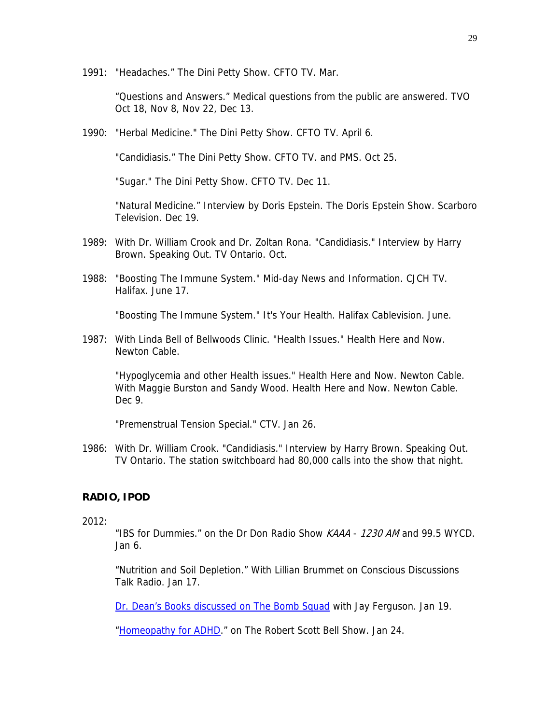1991: "Headaches." The Dini Petty Show. CFTO TV. Mar.

 "Questions and Answers." Medical questions from the public are answered. TVO Oct 18, Nov 8, Nov 22, Dec 13.

1990: "Herbal Medicine." The Dini Petty Show. CFTO TV. April 6.

"Candidiasis." The Dini Petty Show. CFTO TV. and PMS. Oct 25.

"Sugar." The Dini Petty Show. CFTO TV. Dec 11.

"Natural Medicine." Interview by Doris Epstein. The Doris Epstein Show. Scarboro Television. Dec 19.

- 1989: With Dr. William Crook and Dr. Zoltan Rona. "Candidiasis." Interview by Harry Brown. Speaking Out. TV Ontario. Oct.
- 1988: "Boosting The Immune System." Mid-day News and Information. CJCH TV. Halifax. June 17.

"Boosting The Immune System." It's Your Health. Halifax Cablevision. June.

1987: With Linda Bell of Bellwoods Clinic. "Health Issues." Health Here and Now. Newton Cable.

"Hypoglycemia and other Health issues." Health Here and Now. Newton Cable. With Maggie Burston and Sandy Wood. Health Here and Now. Newton Cable. Dec 9.

"Premenstrual Tension Special." CTV. Jan 26.

1986: With Dr. William Crook. "Candidiasis." Interview by Harry Brown. Speaking Out. TV Ontario. The station switchboard had 80,000 calls into the show that night.

## **RADIO, IPOD**

#### 2012:

"IBS for Dummies." on the Dr Don Radio Show KAAA - 1230 AM and 99.5 WYCD. Jan 6.

"Nutrition and Soil Depletion." With Lillian Brummet on Conscious Discussions Talk Radio. Jan 17.

[Dr. Dean's Books discussed on The Bomb Squad](http://www.unregularradio.com/) with Jay Ferguson. Jan 19.

["Homeopathy for ADHD](http://www.naturalnewsradio.com/Archive-RobertScottBell.asp)." on The Robert Scott Bell Show. Jan 24.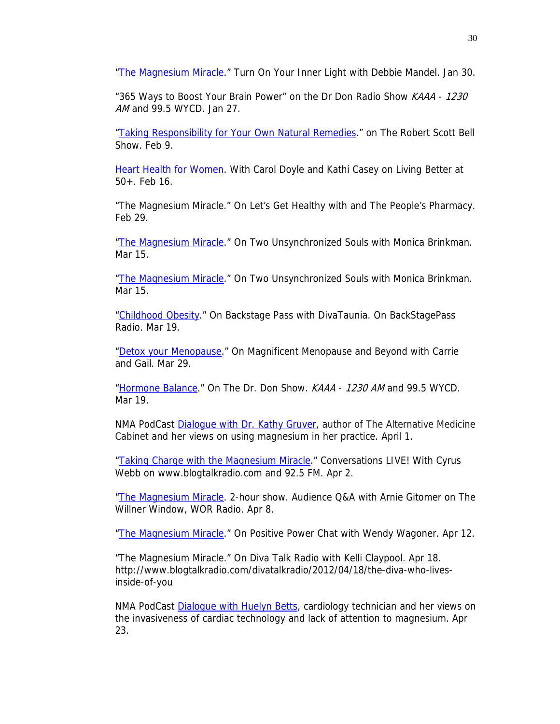["The Magnesium Miracle.](http://www.youtube.com/watch?v=pQuLvhQSPK0&feature=mfu_in_order&list=UL)" Turn On Your Inner Light with Debbie Mandel. Jan 30.

"365 Ways to Boost Your Brain Power" on the Dr Don Radio Show KAAA - 1230 AM and 99.5 WYCD. Jan 27.

["Taking Responsibility for Your Own Natural Remedies](http://www.naturalnewsradio.com/Archive-RobertScottBell.asp)." on The Robert Scott Bell Show. Feb 9.

**[Heart Health for Women.](http://w4wn.com/) With Carol Doyle and Kathi Casey on Living Better at** 50+. Feb 16.

"The Magnesium Miracle." On Let's Get Healthy with and The People's Pharmacy. Feb 29.

["The Magnesium Miracle.](http://theturnofthekarmicwheel.blogspot.com/2012/03/miracle-of-magnesium-with-guest-dr.html)" On Two Unsynchronized Souls with Monica Brinkman. Mar 15.

["The Magnesium Miracle.](http://theturnofthekarmicwheel.blogspot.com/2012/03/miracle-of-magnesium-with-guest-dr.html)" On Two Unsynchronized Souls with Monica Brinkman. Mar 15.

["Childhood Obesity](http://itunes.apple.com/us/podcast/diva-taunias-backstage-pass/id379142136)." On Backstage Pass with DivaTaunia. On BackStagePass Radio. Mar 19.

["Detox your Menopause](http://www.blogtalkradio.com/magnificentmenopause/2012/03/29/the-importance-of-detoxing-with-dr-carolyn-dean)." On Magnificent Menopause and Beyond with Carrie and Gail. Mar 29.

["Hormone Balance.](http://www.bullheadurgentcare.com/archives/playfiles/03192012p.html)" On The Dr. Don Show. KAAA - 1230 AM and 99.5 WYCD. Mar 19.

NMA PodCast Dialoque with Dr. Kathy Gruver, author of The Alternative Medicine Cabinet and her views on using magnesium in her practice. April 1.

["Taking Charge with the Magnesium Miracle.](http://www.blogtalkradio.com/middayconversations/2012/04/02/author-carolyn-dean-actor-nicoye-banks-on-conversations)" Conversations LIVE! With Cyrus Webb on www.blogtalkradio.com and 92.5 FM. Apr 2.

["The Magnesium Miracle.](http://www.willner.com/radiomp3.aspx) 2-hour show. Audience Q&A with Arnie Gitomer on The Willner Window, WOR Radio. Apr 8.

["The Magnesium Miracle.](http://www.blogtalkradio.com/positive-power-chat/2012/04/13/positve-power-chat-with-wendy-wagoner-cht-1#.T4eLqG8xy7E.email)" On Positive Power Chat with Wendy Wagoner. Apr 12.

"The Magnesium Miracle." On Diva Talk Radio with Kelli Claypool. Apr 18. http://www.blogtalkradio.com/divatalkradio/2012/04/18/the-diva-who-livesinside-of-you

NMA PodCast Dialoque with Huelyn Betts, cardiology technician and her views on the invasiveness of cardiac technology and lack of attention to magnesium. Apr 23.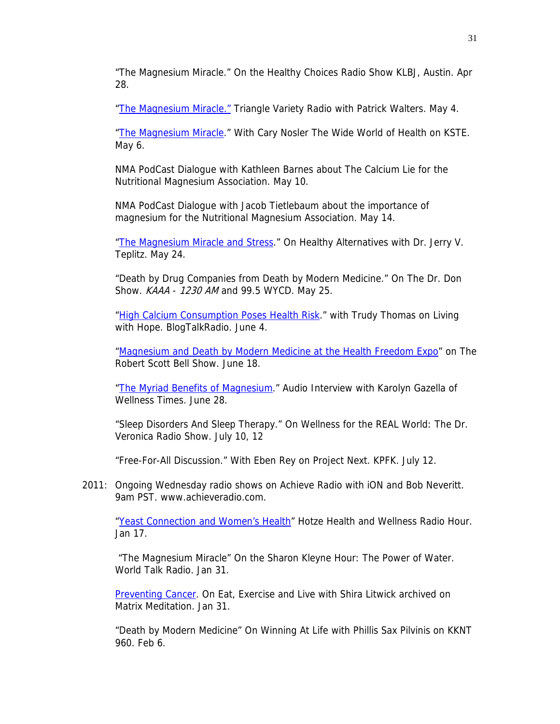"The Magnesium Miracle." On the Healthy Choices Radio Show KLBJ, Austin. Apr 28.

["The Magnesium Miracle."](http://trianglevarietyradio.com/) Triangle Variety Radio with Patrick Walters. May 4.

"The Magnesium Miracle." With Cary Nosler The Wide World of Health on KSTE. May 6.

NMA PodCast Dialogue with Kathleen Barnes about The Calcium Lie for the Nutritional Magnesium Association. May 10.

NMA PodCast Dialogue with Jacob Tietlebaum about the importance of magnesium for the Nutritional Magnesium Association. May 14.

["The Magnesium Miracle and Stress](http://webtalkradio.net/2012/06/04/healthy-alternatives-missing-magnesium-in-your-diet-can-have-a-profound-impact-on-your-health/)." On Healthy Alternatives with Dr. Jerry V. Teplitz. May 24.

"Death by Drug Companies from Death by Modern Medicine." On The Dr. Don Show. *KAAA* - 1230 AM and 99.5 WYCD. May 25.

["High Calcium Consumption Poses Health Risk.](http://www.blogtalkradio.com/thebodymindandspiritnetwork/2012/06/04/living-with-hope)" with Trudy Thomas on Living with Hope. BlogTalkRadio. June 4.

["Magnesium and Death by Modern Medicine at the Health Freedom Expo"](http://www.naturalnewsradio.com/Archive-RobertScottBell.asp) on The Robert Scott Bell Show. June 18.

["The Myriad Benefits of Magnesium](http://www.wellnesstimes.com/articles/myriad-health-benefits-magnesium)." Audio Interview with Karolyn Gazella of Wellness Times. June 28.

"Sleep Disorders And Sleep Therapy." On Wellness for the REAL World: The Dr. Veronica Radio Show. July 10, 12

"Free-For-All Discussion." With Eben Rey on Project Next. KPFK. July 12.

2011: Ongoing Wednesday radio shows on Achieve Radio with iON and Bob Neveritt. 9am PST. www.achieveradio.com.

["Yeast Connection and Women's Health](http://www.drhotze.com/Resource-Library/Audio-Video/Yeast-Overgrowth-with-Dr--Carolyn-Dean.aspx)" Hotze Health and Wellness Radio Hour. Jan 17.

 "The Magnesium Miracle" On the Sharon Kleyne Hour: The Power of Water. World Talk Radio. Jan 31.

[Preventing Cancer](http://www.fitfan4fun.com/FitFan4Fun/Shira_Joins_Web_Talk_Radio.html). On Eat, Exercise and Live with Shira Litwick archived on Matrix Meditation. Jan 31.

"Death by Modern Medicine" On Winning At Life with Phillis Sax Pilvinis on KKNT 960. Feb 6.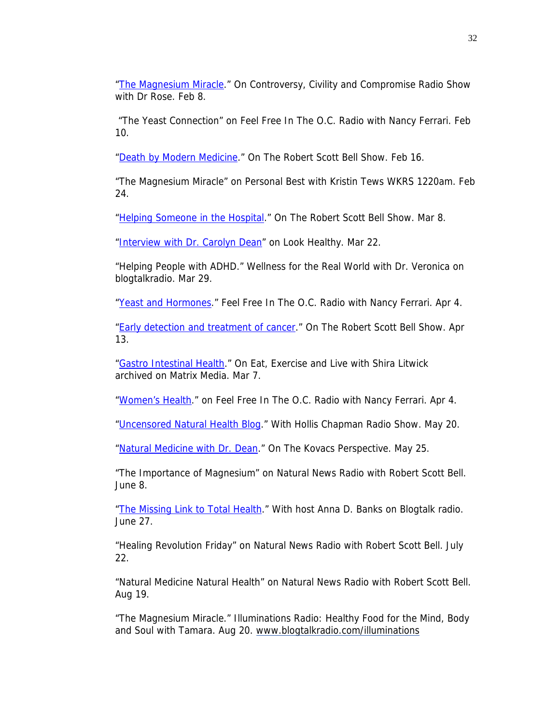["The Magnesium Miracle.](http://webtalkradio.net/2011/02/21/controversy-civility-and-compromise-%E2%80%93-magnesium-miracle/)" On Controversy, Civility and Compromise Radio Show with Dr Rose. Feb 8.

 "The Yeast Connection" on Feel Free In The O.C. Radio with Nancy Ferrari. Feb 10.

["Death by Modern Medicine.](http://www.naturalnewsradio.com/Archive-RobertScottBell.asp)" On The Robert Scott Bell Show. Feb 16.

"The Magnesium Miracle" on Personal Best with Kristin Tews WKRS 1220am. Feb 24.

["Helping Someone in the Hospital.](http://www.naturalnewsradio.com/Archive-RobertScottBell)" On The Robert Scott Bell Show. Mar 8.

["Interview with Dr. Carolyn Dean"](http://www.lookhealthy.org/interview-with-doctor-carolyn-dean/) on Look Healthy. Mar 22.

"Helping People with ADHD." Wellness for the Real World with Dr. Veronica on blogtalkradio. Mar 29.

["Yeast and Hormones](http://www.blogtalkradio.com/nancytferrari/2011/04/04/womens-health-with-dr-carolyn-dean)." Feel Free In The O.C. Radio with Nancy Ferrari. Apr 4.

["Early detection and treatment of cancer](http://www.naturalnewsradio.com/Archive-RobertScottBell.asp)." On The Robert Scott Bell Show. Apr 13.

["Gastro Intestinal Health.](http://www.fitfan4fun.com/FitFan4Fun/Shira_Joins_Web_Talk_Radio.html)" On Eat, Exercise and Live with Shira Litwick archived on Matrix Media. Mar 7.

["Women's Health](http://www.blogtalkradio.com/nancytferrari/2011/04/04/womens-health-with-dr-carolyn-dean)." on Feel Free In The O.C. Radio with Nancy Ferrari. Apr 4.

["Uncensored Natural Health Blog](http://blogtalkradio.com/hollischapmanshow)." With Hollis Chapman Radio Show. May 20.

["Natural Medicine with Dr. Dean](http://www.thekovacsperspective.com/)." On The Kovacs Perspective. May 25.

"The Importance of Magnesium" on Natural News Radio with Robert Scott Bell. June 8.

["The Missing Link to Total Health](http://www.annabanks.com/living-fully-after-40-radio/radio-show-archives)." With host Anna D. Banks on Blogtalk radio. June 27.

"Healing Revolution Friday" on Natural News Radio with Robert Scott Bell. July 22.

"Natural Medicine Natural Health" on Natural News Radio with Robert Scott Bell. Aug 19.

"The Magnesium Miracle." Illuminations Radio: Healthy Food for the Mind, Body and Soul with Tamara. Aug 20. [www.blogtalkradio.com/illuminations](http://www.blogtalkradio.com/illuminations)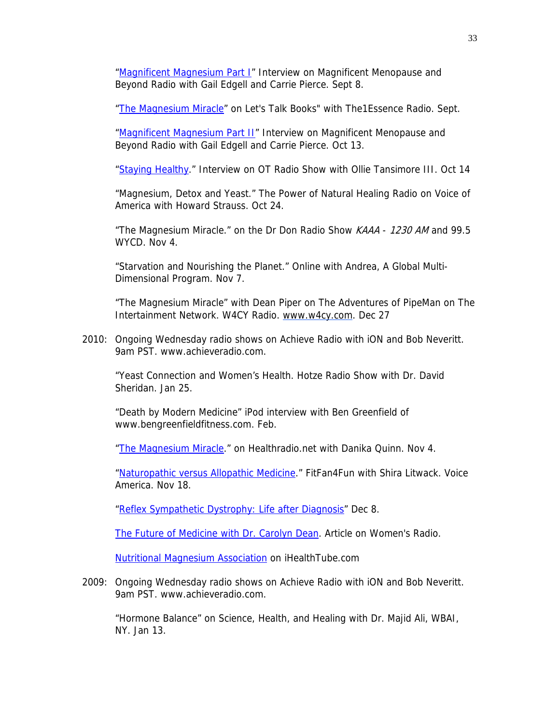["Magnificent Magnesium Part I"](http://www.blogtalkradio.com/magnificentmenopause/2011/09/08/magnesium-deficiency-and-your-menopause-symptoms) Interview on Magnificent Menopause and Beyond Radio with Gail Edgell and Carrie Pierce. Sept 8.

["The Magnesium Miracle"](http://loudcaster.com/channels/581-the1essence-radio) on Let's Talk Books" with The1Essence Radio. Sept.

["Magnificent Magnesium Part II](http://www.blogtalkradio.com/magnificentmenopause/2011/10/13/magnesium-deficiency-menopause-part-2-wdr-carolyn-dean)" Interview on Magnificent Menopause and Beyond Radio with Gail Edgell and Carrie Pierce. Oct 13.

["Staying Healthy](http://www.otshowonline.com/page21.php)." Interview on OT Radio Show with Ollie Tansimore III. Oct 14

"Magnesium, Detox and Yeast." The Power of Natural Healing Radio on Voice of America with Howard Strauss. Oct 24.

"The Magnesium Miracle." on the Dr Don Radio Show KAAA - 1230 AM and 99.5 WYCD. Nov 4.

"Starvation and Nourishing the Planet." Online with Andrea, A Global Multi-Dimensional Program. Nov 7.

"The Magnesium Miracle" with Dean Piper on The Adventures of PipeMan on The Intertainment Network. W4CY Radio. [www.w4cy.com.](http://www.w4cy.com/) Dec 27

2010: Ongoing Wednesday radio shows on Achieve Radio with iON and Bob Neveritt. 9am PST. www.achieveradio.com.

"Yeast Connection and Women's Health. Hotze Radio Show with Dr. David Sheridan. Jan 25.

 "Death by Modern Medicine" iPod interview with Ben Greenfield of www.bengreenfieldfitness.com. Feb.

["The Magnesium Miracle.](http://www.healthradio.net/show/insiders-healthradio/Health-Radio-Shows/Insider%27s-HealthRadio/The-Miracle-of-Magnesium-43361/details)" on Healthradio.net with Danika Quinn. Nov 4.

["Naturopathic versus Allopathic Medicine](http://www.voiceamerica.com/voiceamerica/vshow.aspx?sid=1752)." FitFan4Fun with Shira Litwack. Voice America. Nov 18.

["Reflex Sympathetic Dystrophy: Life after Diagnosis](http://www.blogtalkradio.com/thebodymindandspiritnetwork)" Dec 8.

[The Future of Medicine with Dr. Carolyn Dean.](http://www.womensradio.com/episodes/The-Future-of-Medicine-with-Dr.-Carolyn-Dean/5504.html) Article on Women's Radio.

[Nutritional Magnesium Association](http://www.ihealthtube.com/aspx/contributors.aspx?sp=147) on iHealthTube.com

2009: Ongoing Wednesday radio shows on Achieve Radio with iON and Bob Neveritt. 9am PST. www.achieveradio.com.

"Hormone Balance" on Science, Health, and Healing with Dr. Majid Ali, WBAI, NY. Jan 13.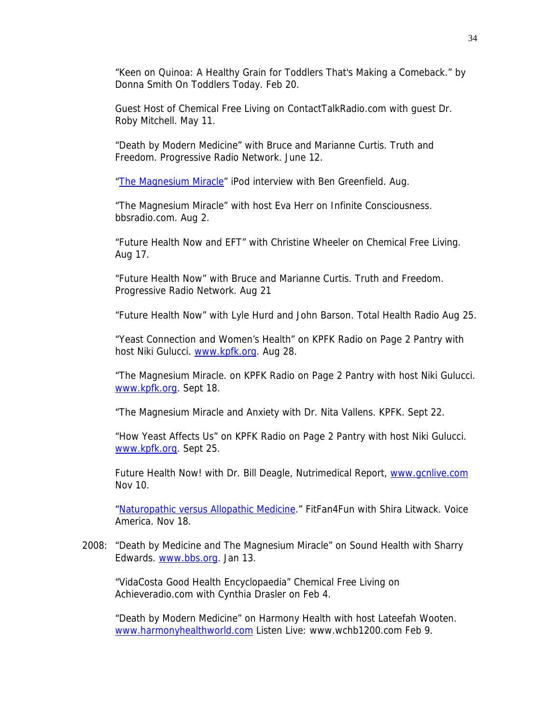"Keen on Quinoa: A Healthy Grain for Toddlers That's Making a Comeback." by Donna Smith On Toddlers Today. Feb 20.

Guest Host of Chemical Free Living on ContactTalkRadio.com with guest Dr. Roby Mitchell. May 11.

"Death by Modern Medicine" with Bruce and Marianne Curtis. Truth and Freedom. Progressive Radio Network. June 12.

["The Magnesium Miracle"](http://www.bengreenfieldfitness.com/2009/08/podcast-episode-54-the-m) iPod interview with Ben Greenfield. Aug.

"The Magnesium Miracle" with host Eva Herr on Infinite Consciousness. bbsradio.com. Aug 2.

"Future Health Now and EFT" with Christine Wheeler on Chemical Free Living. Aug 17.

"Future Health Now" with Bruce and Marianne Curtis. Truth and Freedom. Progressive Radio Network. Aug 21

"Future Health Now" with Lyle Hurd and John Barson. Total Health Radio Aug 25.

"Yeast Connection and Women's Health" on KPFK Radio on Page 2 Pantry with host Niki Gulucci. [www.kpfk.org.](http://www.kpfk.org/) Aug 28.

"The Magnesium Miracle. on KPFK Radio on Page 2 Pantry with host Niki Gulucci. [www.kpfk.org.](http://www.kpfk.org/) Sept 18.

"The Magnesium Miracle and Anxiety with Dr. Nita Vallens. KPFK. Sept 22.

"How Yeast Affects Us" on KPFK Radio on Page 2 Pantry with host Niki Gulucci. [www.kpfk.org.](http://www.kpfk.org/) Sept 25.

Future Health Now! with Dr. Bill Deagle, Nutrimedical Report, [www.gcnlive.com](http://www.rbnlive.com/) Nov 10.

["Naturopathic versus Allopathic Medicine](http://www.voiceamerica.com/voiceamerica/vshow.aspx?sid=1752)." FitFan4Fun with Shira Litwack. Voice America. Nov 18.

2008: "Death by Medicine and The Magnesium Miracle" on Sound Health with Sharry Edwards. [www.bbs.org](http://www.bbs.org/). Jan 13.

"VidaCosta Good Health Encyclopaedia" Chemical Free Living on Achieveradio.com with Cynthia Drasler on Feb 4.

"Death by Modern Medicine" on Harmony Health with host Lateefah Wooten. [www.harmonyhealthworld.com](http://www.harmonyhealthworld.com/) Listen Live: www.wchb1200.com Feb 9.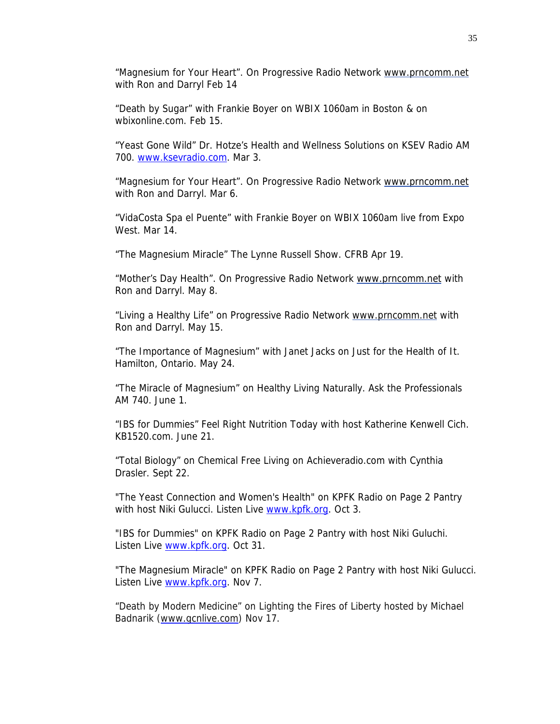"Magnesium for Your Heart". On Progressive Radio Network www.prncomm.net with Ron and Darryl Feb 14

"Death by Sugar" with Frankie Boyer on WBIX 1060am in Boston & on wbixonline.com. Feb 15.

"Yeast Gone Wild" Dr. Hotze's Health and Wellness Solutions on KSEV Radio AM 700. [www.ksevradio.com](http://www.ksevradio.com/). Mar 3.

"Magnesium for Your Heart". On Progressive Radio Network www.prncomm.net with Ron and Darryl. Mar 6.

"VidaCosta Spa el Puente" with Frankie Boyer on WBIX 1060am live from Expo West. Mar 14.

"The Magnesium Miracle" The Lynne Russell Show. CFRB Apr 19.

"Mother's Day Health". On Progressive Radio Network www.prncomm.net with Ron and Darryl. May 8.

"Living a Healthy Life" on Progressive Radio Network www.prncomm.net with Ron and Darryl. May 15.

"The Importance of Magnesium" with Janet Jacks on Just for the Health of It. Hamilton, Ontario. May 24.

"The Miracle of Magnesium" on Healthy Living Naturally. Ask the Professionals AM 740. June 1.

"IBS for Dummies" Feel Right Nutrition Today with host Katherine Kenwell Cich. KB1520.com. June 21.

"Total Biology" on Chemical Free Living on Achieveradio.com with Cynthia Drasler. Sept 22.

"The Yeast Connection and Women's Health" on KPFK Radio on Page 2 Pantry with host Niki Gulucci. Listen Live [www.kpfk.org](http://www.kpfk.org/). Oct 3.

"IBS for Dummies" on KPFK Radio on Page 2 Pantry with host Niki Guluchi. Listen Live [www.kpfk.org](http://www.kpfk.org/). Oct 31.

"The Magnesium Miracle" on KPFK Radio on Page 2 Pantry with host Niki Gulucci. Listen Live [www.kpfk.org](http://www.kpfk.org/). Nov 7.

"Death by Modern Medicine" on Lighting the Fires of Liberty hosted by Michael Badnarik ([www.gcnlive.com\)](http://www.gcnlive.com/) Nov 17.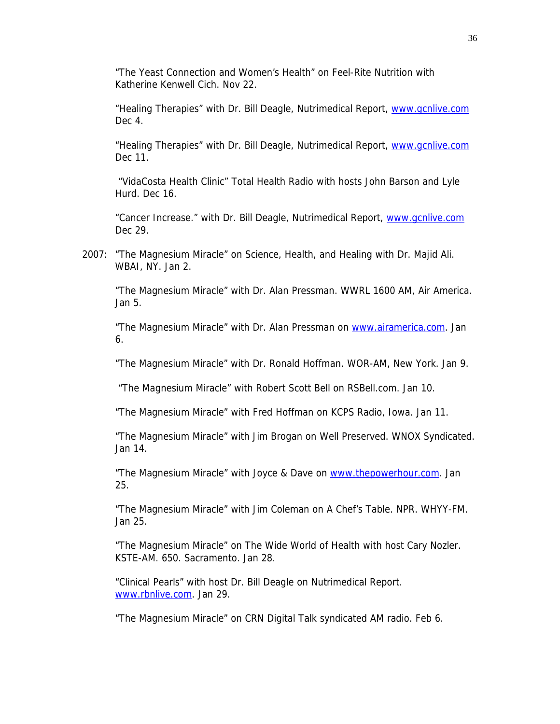"The Yeast Connection and Women's Health" on Feel-Rite Nutrition with Katherine Kenwell Cich. Nov 22.

"Healing Therapies" with Dr. Bill Deagle, Nutrimedical Report, [www.gcnlive.com](http://www.rbnlive.com/) Dec 4.

"Healing Therapies" with Dr. Bill Deagle, Nutrimedical Report, [www.gcnlive.com](http://www.rbnlive.com/) Dec 11.

 "VidaCosta Health Clinic" Total Health Radio with hosts John Barson and Lyle Hurd. Dec 16.

"Cancer Increase." with Dr. Bill Deagle, Nutrimedical Report, [www.gcnlive.com](http://www.rbnlive.com/) Dec 29.

2007: "The Magnesium Miracle" on Science, Health, and Healing with Dr. Majid Ali. WBAI, NY. Jan 2.

"The Magnesium Miracle" with Dr. Alan Pressman. WWRL 1600 AM, Air America. Jan 5.

 "The Magnesium Miracle" with Dr. Alan Pressman on [www.airamerica.com.](http://www.airamerica.com/) Jan 6.

"The Magnesium Miracle" with Dr. Ronald Hoffman. WOR-AM, New York. Jan 9.

"The Magnesium Miracle" with Robert Scott Bell on RSBell.com. Jan 10.

"The Magnesium Miracle" with Fred Hoffman on KCPS Radio, Iowa. Jan 11.

"The Magnesium Miracle" with Jim Brogan on Well Preserved. WNOX Syndicated. Jan 14.

"The Magnesium Miracle" with Joyce & Dave on [www.thepowerhour.com](http://www.thepowerhour.com/). Jan 25.

"The Magnesium Miracle" with Jim Coleman on A Chef's Table. NPR. WHYY-FM. Jan 25.

 "The Magnesium Miracle" on The Wide World of Health with host Cary Nozler. KSTE-AM. 650. Sacramento. Jan 28.

"Clinical Pearls" with host Dr. Bill Deagle on Nutrimedical Report. [www.rbnlive.com.](http://www.rbnlive.com/) Jan 29.

"The Magnesium Miracle" on CRN Digital Talk syndicated AM radio. Feb 6.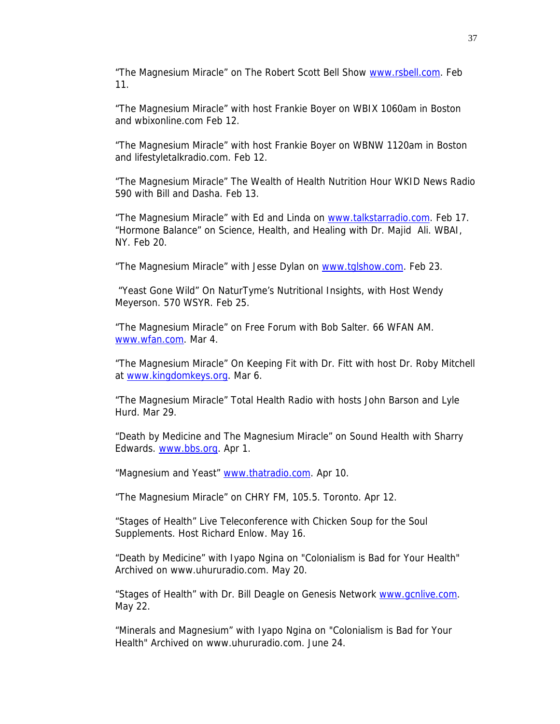"The Magnesium Miracle" on The Robert Scott Bell Show [www.rsbell.com](http://www.rsbell.com/). Feb 11.

"The Magnesium Miracle" with host Frankie Boyer on WBIX 1060am in Boston and [wbixonline.com](http://www.wbixonline.com/) Feb 12.

"The Magnesium Miracle" with host Frankie Boyer on WBNW 1120am in Boston and [lifestyletalkradio.com](http://www.lifestyletalkradio.com/). Feb 12.

"The Magnesium Miracle" The Wealth of Health Nutrition Hour WKID News Radio 590 with Bill and Dasha. Feb 13.

"The Magnesium Miracle" with Ed and Linda on [www.talkstarradio.com](http://www.talkstarradio.com/). Feb 17. "Hormone Balance" on Science, Health, and Healing with Dr. Majid Ali. WBAI, NY. Feb 20.

"The Magnesium Miracle" with Jesse Dylan on [www.tglshow.com](http://www.tglshow.com/). Feb 23.

 "Yeast Gone Wild" On NaturTyme's Nutritional Insights, with Host Wendy Meyerson. 570 WSYR. Feb 25.

"The Magnesium Miracle" on Free Forum with Bob Salter. 66 WFAN AM. [www.wfan.com](http://www.wfan.com/). Mar 4.

"The Magnesium Miracle" On Keeping Fit with Dr. Fitt with host Dr. Roby Mitchell at [www.kingdomkeys.org](http://www.kingdomkeys.org/). Mar 6.

"The Magnesium Miracle" Total Health Radio with hosts John Barson and Lyle Hurd. Mar 29.

"Death by Medicine and The Magnesium Miracle" on Sound Health with Sharry Edwards. [www.bbs.org](http://www.bbs.org/). Apr 1.

"Magnesium and Yeast" [www.thatradio.com.](http://www.thatradio.com/) Apr 10.

"The Magnesium Miracle" on CHRY FM, 105.5. Toronto. Apr 12.

"Stages of Health" Live Teleconference with Chicken Soup for the Soul Supplements. Host Richard Enlow. May 16.

"Death by Medicine" with Iyapo Ngina on "Colonialism is Bad for Your Health" Archived on [www.uhururadio.com.](http://www.uhururadio.com/) May 20.

"Stages of Health" with Dr. Bill Deagle on Genesis Network [www.gcnlive.com.](http://www.gcnlive.com/) May 22.

"Minerals and Magnesium" with Iyapo Ngina on "Colonialism is Bad for Your Health" Archived on [www.uhururadio.com.](http://www.uhururadio.com/) June 24.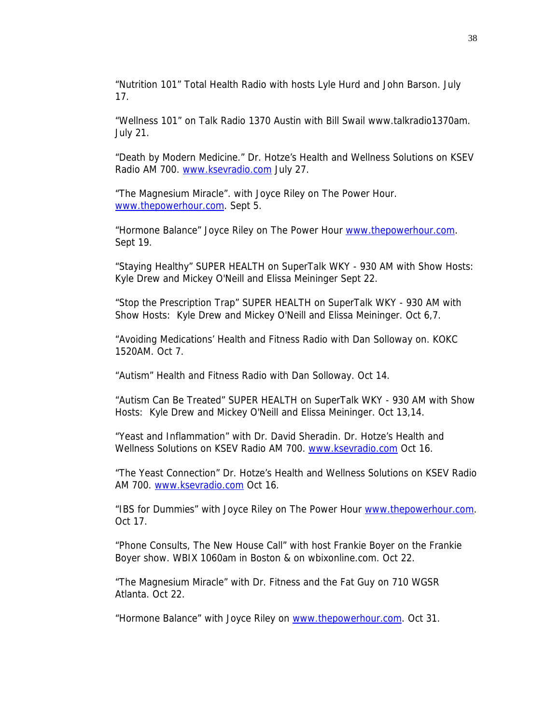"Nutrition 101" Total Health Radio with hosts Lyle Hurd and John Barson. July 17.

"Wellness 101" on Talk Radio 1370 Austin with Bill Swail www.talkradio1370am. July 21.

"Death by Modern Medicine." Dr. Hotze's Health and Wellness Solutions on KSEV Radio AM 700. [www.ksevradio.com](http://www.ksevradio.com/) July 27.

"The Magnesium Miracle". with Joyce Riley on The Power Hour. [www.thepowerhour.com](http://www.thepowerhour.com/). Sept 5.

"Hormone Balance" Joyce Riley on The Power Hour [www.thepowerhour.com](http://www.thepowerhour.com/). Sept 19.

"Staying Healthy" SUPER HEALTH on SuperTalk WKY - 930 AM with Show Hosts: Kyle Drew and Mickey O'Neill and Elissa Meininger Sept 22.

"Stop the Prescription Trap" SUPER HEALTH on SuperTalk WKY - 930 AM with Show Hosts: Kyle Drew and Mickey O'Neill and Elissa Meininger. Oct 6,7.

"Avoiding Medications' Health and Fitness Radio with Dan Solloway on. KOKC 1520AM. Oct 7.

"Autism" Health and Fitness Radio with Dan Solloway. Oct 14.

"Autism Can Be Treated" SUPER HEALTH on SuperTalk WKY - 930 AM with Show Hosts: Kyle Drew and Mickey O'Neill and Elissa Meininger. Oct 13,14.

"Yeast and Inflammation" with Dr. David Sheradin. Dr. Hotze's Health and Wellness Solutions on KSEV Radio AM 700. [www.ksevradio.com](http://www.ksevradio.com/) Oct 16.

"The Yeast Connection" Dr. Hotze's Health and Wellness Solutions on KSEV Radio AM 700. [www.ksevradio.com](http://www.ksevradio.com/) Oct 16.

"IBS for Dummies" with Joyce Riley on The Power Hour [www.thepowerhour.com](http://www.thepowerhour.com/). Oct 17.

"Phone Consults, The New House Call" with host Frankie Boyer on the Frankie Boyer show. WBIX 1060am in Boston & on wbixonline.com. Oct 22.

 "The Magnesium Miracle" with Dr. Fitness and the Fat Guy on 710 WGSR Atlanta. Oct 22.

"Hormone Balance" with Joyce Riley on [www.thepowerhour.com](http://www.thepowerhour.com/). Oct 31.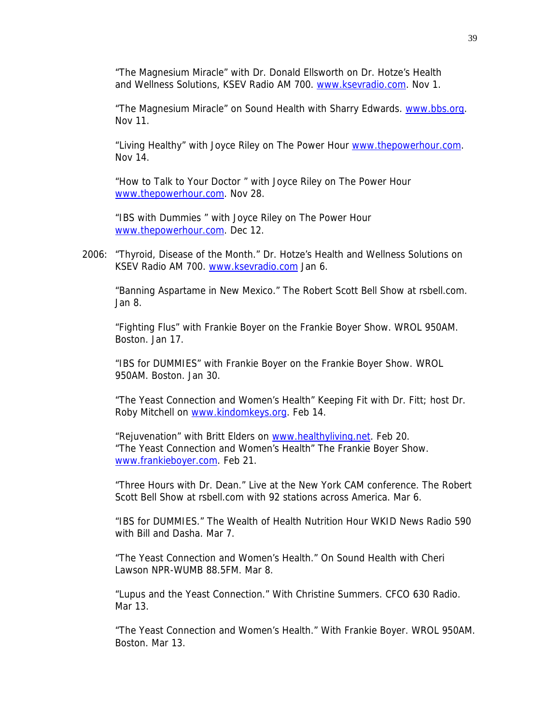"The Magnesium Miracle" with Dr. Donald Ellsworth on Dr. Hotze's Health and Wellness Solutions, KSEV Radio AM 700. [www.ksevradio.com](http://www.ksevradio.com/). Nov 1.

"The Magnesium Miracle" on Sound Health with Sharry Edwards. [www.bbs.org.](http://www.bbs.org/) Nov 11.

"Living Healthy" with Joyce Riley on The Power Hour [www.thepowerhour.com](http://www.thepowerhour.com/). Nov 14.

 "How to Talk to Your Doctor " with Joyce Riley on The Power Hour [www.thepowerhour.com](http://www.thepowerhour.com/). Nov 28.

 "IBS with Dummies " with Joyce Riley on The Power Hour [www.thepowerhour.com](http://www.thepowerhour.com/). Dec 12.

2006: "Thyroid, Disease of the Month." Dr. Hotze's Health and Wellness Solutions on KSEV Radio AM 700. [www.ksevradio.com](http://www.ksevradio.com/) Jan 6.

"Banning Aspartame in New Mexico." The Robert Scott Bell Show at rsbell.com. Jan 8.

"Fighting Flus" with Frankie Boyer on the Frankie Boyer Show. WROL 950AM. Boston. Jan 17.

"IBS for DUMMIES" with Frankie Boyer on the Frankie Boyer Show. WROL 950AM. Boston. Jan 30.

"The Yeast Connection and Women's Health" Keeping Fit with Dr. Fitt; host Dr. Roby Mitchell on [www.kindomkeys.org.](http://www.kindomkeys.org/) Feb 14.

"Rejuvenation" with Britt Elders on [www.healthyliving.net](http://www.healthyliving.net/). Feb 20. "The Yeast Connection and Women's Health" The Frankie Boyer Show. [www.frankieboyer.com.](http://www.frankieboyer.com/) Feb 21.

"Three Hours with Dr. Dean." Live at the New York CAM conference. The Robert Scott Bell Show at rsbell.com with 92 stations across America. Mar 6.

"IBS for DUMMIES." The Wealth of Health Nutrition Hour WKID News Radio 590 with Bill and Dasha. Mar 7.

"The Yeast Connection and Women's Health." On Sound Health with Cheri Lawson NPR-WUMB 88.5FM. Mar 8.

"Lupus and the Yeast Connection." With Christine Summers. CFCO 630 Radio. Mar 13.

"The Yeast Connection and Women's Health." With Frankie Boyer. WROL 950AM. Boston. Mar 13.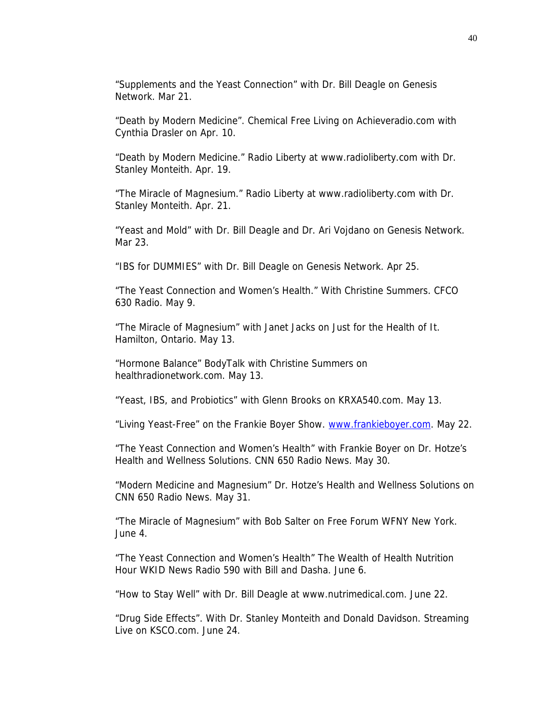"Supplements and the Yeast Connection" with Dr. Bill Deagle on Genesis Network. Mar 21.

"Death by Modern Medicine". Chemical Free Living on Achieveradio.com with Cynthia Drasler on Apr. 10.

"Death by Modern Medicine." Radio Liberty at www.radioliberty.com with Dr. Stanley Monteith. Apr. 19.

"The Miracle of Magnesium." Radio Liberty at www.radioliberty.com with Dr. Stanley Monteith. Apr. 21.

"Yeast and Mold" with Dr. Bill Deagle and Dr. Ari Vojdano on Genesis Network. Mar 23.

"IBS for DUMMIES" with Dr. Bill Deagle on Genesis Network. Apr 25.

"The Yeast Connection and Women's Health." With Christine Summers. CFCO 630 Radio. May 9.

"The Miracle of Magnesium" with Janet Jacks on Just for the Health of It. Hamilton, Ontario. May 13.

"Hormone Balance" BodyTalk with Christine Summers on healthradionetwork.com. May 13.

"Yeast, IBS, and Probiotics" with Glenn Brooks on KRXA540.com. May 13.

"Living Yeast-Free" on the Frankie Boyer Show. [www.frankieboyer.com](http://www.frankieboyer.com/). May 22.

"The Yeast Connection and Women's Health" with Frankie Boyer on Dr. Hotze's Health and Wellness Solutions. CNN 650 Radio News. May 30.

"Modern Medicine and Magnesium" Dr. Hotze's Health and Wellness Solutions on CNN 650 Radio News. May 31.

"The Miracle of Magnesium" with Bob Salter on Free Forum WFNY New York. June 4.

"The Yeast Connection and Women's Health" The Wealth of Health Nutrition Hour WKID News Radio 590 with Bill and Dasha. June 6.

"How to Stay Well" with Dr. Bill Deagle at www.nutrimedical.com. June 22.

"Drug Side Effects". With Dr. Stanley Monteith and Donald Davidson. Streaming Live on KSCO.com. June 24.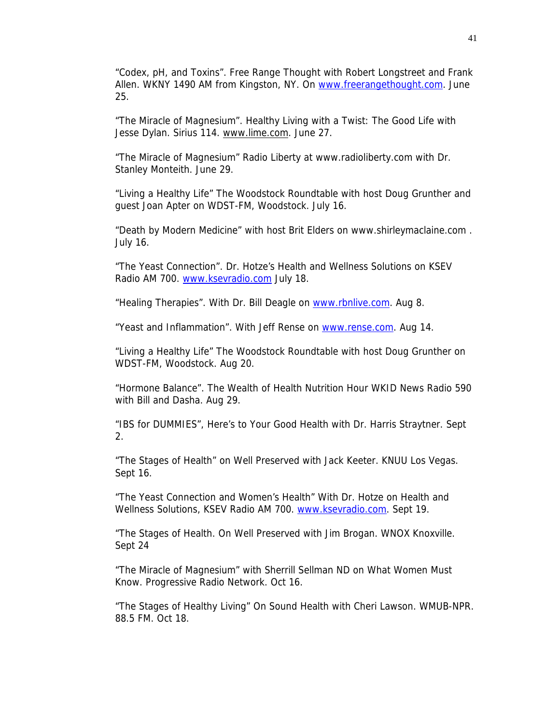"Codex, pH, and Toxins". Free Range Thought with Robert Longstreet and Frank Allen. WKNY 1490 AM from Kingston, NY. On [www.freerangethought.com](http://www.freerangethought.com/). June 25.

"The Miracle of Magnesium". Healthy Living with a Twist: The Good Life with Jesse Dylan. Sirius 114. [www.lime.com](http://www.lime.com/). June 27.

"The Miracle of Magnesium" Radio Liberty at www.radioliberty.com with Dr. Stanley Monteith. June 29.

"Living a Healthy Life" The Woodstock Roundtable with host Doug Grunther and guest Joan Apter on WDST-FM, Woodstock. July 16.

"Death by Modern Medicine" with host Brit Elders on www.shirleymaclaine.com . July 16.

"The Yeast Connection". Dr. Hotze's Health and Wellness Solutions on KSEV Radio AM 700. [www.ksevradio.com](http://www.ksevradio.com/) July 18.

"Healing Therapies". With Dr. Bill Deagle on [www.rbnlive.com](http://www.rbnlive.com/). Aug 8.

"Yeast and Inflammation". With Jeff Rense on [www.rense.com](http://www.rense.com/). Aug 14.

"Living a Healthy Life" The Woodstock Roundtable with host Doug Grunther on WDST-FM, Woodstock. Aug 20.

"Hormone Balance". The Wealth of Health Nutrition Hour WKID News Radio 590 with Bill and Dasha. Aug 29.

"IBS for DUMMIES", Here's to Your Good Health with Dr. Harris Straytner. Sept 2.

"The Stages of Health" on Well Preserved with Jack Keeter. KNUU Los Vegas. Sept 16.

"The Yeast Connection and Women's Health" With Dr. Hotze on Health and Wellness Solutions, KSEV Radio AM 700. [www.ksevradio.com.](http://www.ksevradio.com/) Sept 19.

"The Stages of Health. On Well Preserved with Jim Brogan. WNOX Knoxville. Sept 24

"The Miracle of Magnesium" with Sherrill Sellman ND on What Women Must Know. Progressive Radio Network. Oct 16.

"The Stages of Healthy Living" On Sound Health with Cheri Lawson. WMUB-NPR. 88.5 FM. Oct 18.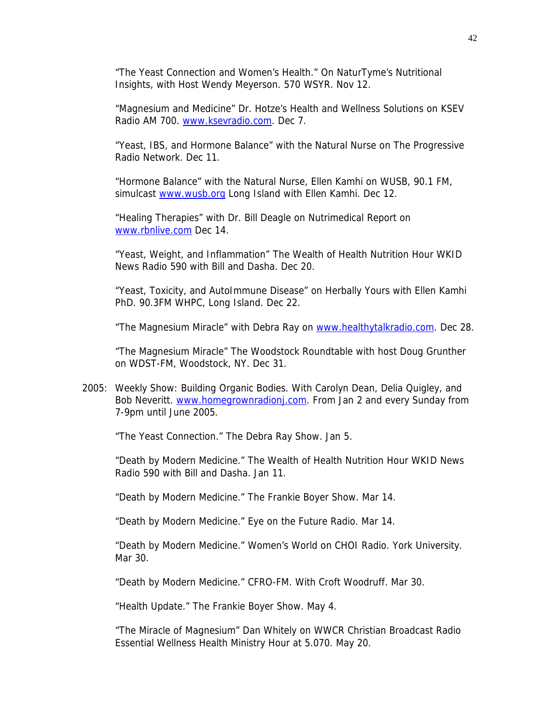"The Yeast Connection and Women's Health." On NaturTyme's Nutritional Insights, with Host Wendy Meyerson. 570 WSYR. Nov 12.

"Magnesium and Medicine" Dr. Hotze's Health and Wellness Solutions on KSEV Radio AM 700. [www.ksevradio.com](http://www.ksevradio.com/). Dec 7.

"Yeast, IBS, and Hormone Balance" with the Natural Nurse on The Progressive Radio Network. Dec 11.

"Hormone Balance" with the Natural Nurse, Ellen Kamhi on WUSB, 90.1 FM, simulcast [www.wusb.org](http://www.wusb.org/) Long Island with Ellen Kamhi. Dec 12.

"Healing Therapies" with Dr. Bill Deagle on Nutrimedical Report on [www.rbnlive.com](http://www.rbnlive.com/) Dec 14.

"Yeast, Weight, and Inflammation" The Wealth of Health Nutrition Hour WKID News Radio 590 with Bill and Dasha. Dec 20.

"Yeast, Toxicity, and AutoImmune Disease" on Herbally Yours with Ellen Kamhi PhD. 90.3FM WHPC, Long Island. Dec 22.

"The Magnesium Miracle" with Debra Ray on [www.healthytalkradio.com.](http://www.healthytalkradio.com/) Dec 28.

"The Magnesium Miracle" The Woodstock Roundtable with host Doug Grunther on WDST-FM, Woodstock, NY. Dec 31.

2005: Weekly Show: Building Organic Bodies. With Carolyn Dean, Delia Quigley, and Bob Neveritt. [www.homegrownradionj.com](http://www.homegrownradionj.com/). From Jan 2 and every Sunday from 7-9pm until June 2005.

"The Yeast Connection." The Debra Ray Show. Jan 5.

"Death by Modern Medicine." The Wealth of Health Nutrition Hour WKID News Radio 590 with Bill and Dasha. Jan 11.

"Death by Modern Medicine." The Frankie Boyer Show. Mar 14.

"Death by Modern Medicine." Eye on the Future Radio. Mar 14.

"Death by Modern Medicine." Women's World on CHOI Radio. York University. Mar 30.

"Death by Modern Medicine." CFRO-FM. With Croft Woodruff. Mar 30.

"Health Update." The Frankie Boyer Show. May 4.

"The Miracle of Magnesium" Dan Whitely on WWCR Christian Broadcast Radio Essential Wellness Health Ministry Hour at 5.070. May 20.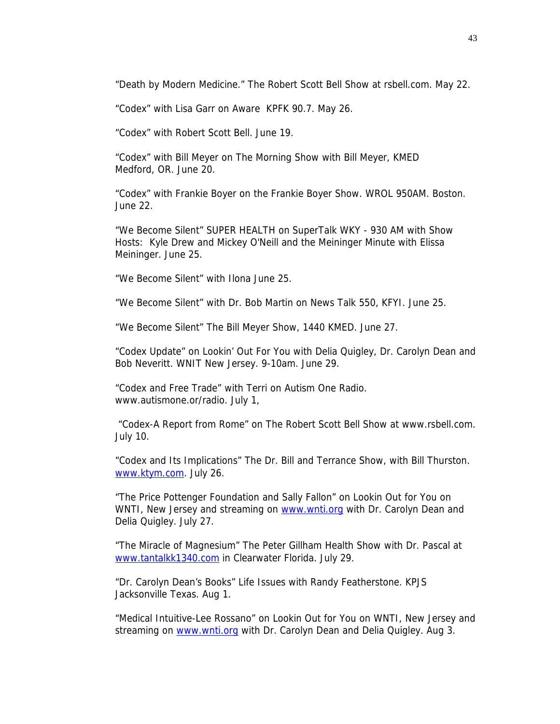"Death by Modern Medicine." The Robert Scott Bell Show at rsbell.com. May 22.

"Codex" with Lisa Garr on Aware KPFK 90.7. May 26.

"Codex" with Robert Scott Bell. June 19.

"Codex" with Bill Meyer on The Morning Show with Bill Meyer, KMED Medford, OR. June 20.

"Codex" with Frankie Boyer on the Frankie Boyer Show. WROL 950AM. Boston. June 22.

"We Become Silent" SUPER HEALTH on SuperTalk WKY - 930 AM with Show Hosts: Kyle Drew and Mickey O'Neill and the Meininger Minute with Elissa Meininger. June 25.

"We Become Silent" with Ilona June 25.

"We Become Silent" with Dr. Bob Martin on News Talk 550, KFYI. June 25.

"We Become Silent" The Bill Meyer Show, 1440 KMED. June 27.

"Codex Update" on Lookin' Out For You with Delia Quigley, Dr. Carolyn Dean and Bob Neveritt. WNIT New Jersey. 9-10am. June 29.

"Codex and Free Trade" with Terri on Autism One Radio. www.autismone.or/radio. July 1,

 "Codex-A Report from Rome" on The Robert Scott Bell Show at www.rsbell.com. July 10.

"Codex and Its Implications" The Dr. Bill and Terrance Show, with Bill Thurston. [www.ktym.com](http://www.ktym.com/). July 26.

"The Price Pottenger Foundation and Sally Fallon" on Lookin Out for You on WNTI, New Jersey and streaming on [www.wnti.org](http://www.wnti.org/) with Dr. Carolyn Dean and Delia Quigley. July 27.

"The Miracle of Magnesium" The Peter Gillham Health Show with Dr. Pascal at [www.tantalkk1340.com](http://www.tantalkk1340.com/) in Clearwater Florida. July 29.

"Dr. Carolyn Dean's Books" Life Issues with Randy Featherstone. KPJS Jacksonville Texas. Aug 1.

"Medical Intuitive-Lee Rossano" on Lookin Out for You on WNTI, New Jersey and streaming on [www.wnti.org](http://www.wnti.org/) with Dr. Carolyn Dean and Delia Quigley. Aug 3.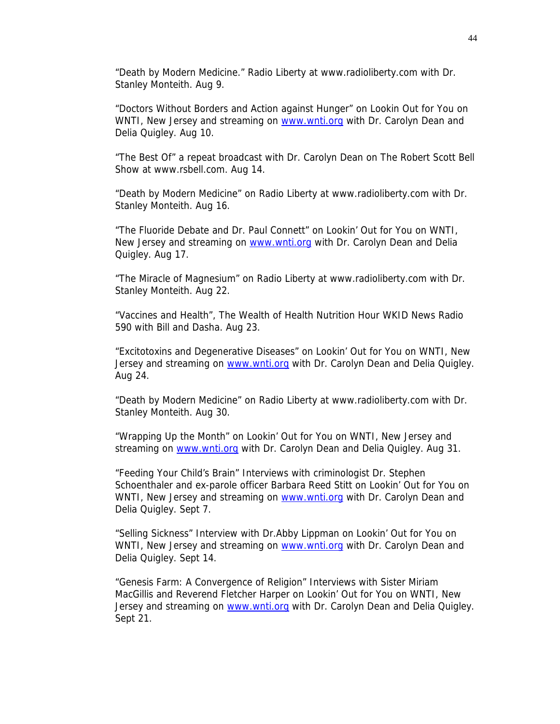"Death by Modern Medicine." Radio Liberty at www.radioliberty.com with Dr. Stanley Monteith. Aug 9.

"Doctors Without Borders and Action against Hunger" on Lookin Out for You on WNTI, New Jersey and streaming on [www.wnti.org](http://www.wnti.org/) with Dr. Carolyn Dean and Delia Quigley. Aug 10.

"The Best Of" a repeat broadcast with Dr. Carolyn Dean on The Robert Scott Bell Show at www.rsbell.com. Aug 14.

"Death by Modern Medicine" on Radio Liberty at www.radioliberty.com with Dr. Stanley Monteith. Aug 16.

"The Fluoride Debate and Dr. Paul Connett" on Lookin' Out for You on WNTI, New Jersey and streaming on [www.wnti.org](http://www.wnti.org/) with Dr. Carolyn Dean and Delia Quigley. Aug 17.

"The Miracle of Magnesium" on Radio Liberty at www.radioliberty.com with Dr. Stanley Monteith. Aug 22.

"Vaccines and Health", The Wealth of Health Nutrition Hour WKID News Radio 590 with Bill and Dasha. Aug 23.

"Excitotoxins and Degenerative Diseases" on Lookin' Out for You on WNTI, New Jersey and streaming on [www.wnti.org](http://www.wnti.org/) with Dr. Carolyn Dean and Delia Quigley. Aug 24.

"Death by Modern Medicine" on Radio Liberty at www.radioliberty.com with Dr. Stanley Monteith. Aug 30.

"Wrapping Up the Month" on Lookin' Out for You on WNTI, New Jersey and streaming on [www.wnti.org](http://www.wnti.org/) with Dr. Carolyn Dean and Delia Quigley. Aug 31.

"Feeding Your Child's Brain" Interviews with criminologist Dr. Stephen Schoenthaler and ex-parole officer Barbara Reed Stitt on Lookin' Out for You on WNTI, New Jersey and streaming on [www.wnti.org](http://www.wnti.org/) with Dr. Carolyn Dean and Delia Quigley. Sept 7.

"Selling Sickness" Interview with Dr.Abby Lippman on Lookin' Out for You on WNTI, New Jersey and streaming on [www.wnti.org](http://www.wnti.org/) with Dr. Carolyn Dean and Delia Quigley. Sept 14.

"Genesis Farm: A Convergence of Religion" Interviews with Sister Miriam MacGillis and Reverend Fletcher Harper on Lookin' Out for You on WNTI, New Jersey and streaming on [www.wnti.org](http://www.wnti.org/) with Dr. Carolyn Dean and Delia Quigley. Sept 21.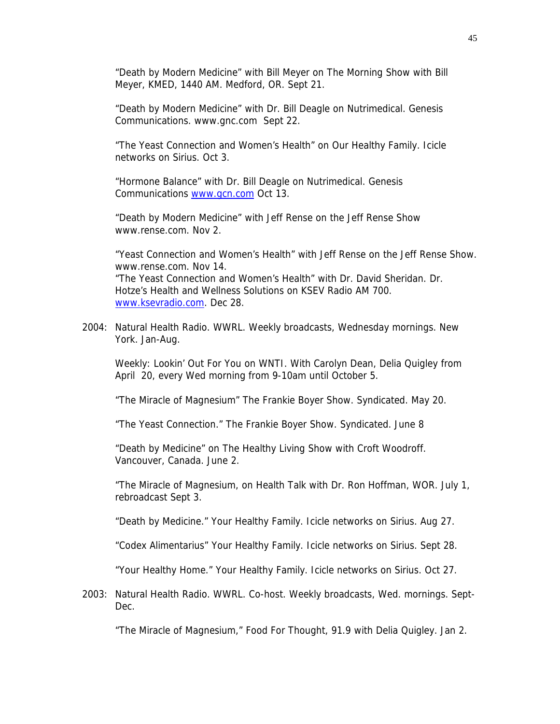"Death by Modern Medicine" with Bill Meyer on The Morning Show with Bill Meyer, KMED, 1440 AM. Medford, OR. Sept 21.

"Death by Modern Medicine" with Dr. Bill Deagle on Nutrimedical. Genesis Communications. www.gnc.com Sept 22.

"The Yeast Connection and Women's Health" on Our Healthy Family. Icicle networks on Sirius. Oct 3.

"Hormone Balance" with Dr. Bill Deagle on Nutrimedical. Genesis Communications [www.gcn.com](http://www.gcn.com/) Oct 13.

"Death by Modern Medicine" with Jeff Rense on the Jeff Rense Show www.rense.com. Nov 2.

"Yeast Connection and Women's Health" with Jeff Rense on the Jeff Rense Show. www.rense.com. Nov 14. "The Yeast Connection and Women's Health" with Dr. David Sheridan. Dr. Hotze's Health and Wellness Solutions on KSEV Radio AM 700. [www.ksevradio.com](http://www.ksevradio.com/). Dec 28.

2004: Natural Health Radio. WWRL. Weekly broadcasts, Wednesday mornings. New York. Jan-Aug.

Weekly: Lookin' Out For You on WNTI. With Carolyn Dean, Delia Quigley from April 20, every Wed morning from 9-10am until October 5.

"The Miracle of Magnesium" The Frankie Boyer Show. Syndicated. May 20.

"The Yeast Connection." The Frankie Boyer Show. Syndicated. June 8

"Death by Medicine" on The Healthy Living Show with Croft Woodroff. Vancouver, Canada. June 2.

"The Miracle of Magnesium, on Health Talk with Dr. Ron Hoffman, WOR. July 1, rebroadcast Sept 3.

"Death by Medicine." Your Healthy Family. Icicle networks on Sirius. Aug 27.

"Codex Alimentarius" Your Healthy Family. Icicle networks on Sirius. Sept 28.

"Your Healthy Home." Your Healthy Family. Icicle networks on Sirius. Oct 27.

2003: Natural Health Radio. WWRL. Co-host. Weekly broadcasts, Wed. mornings. Sept-Dec.

"The Miracle of Magnesium," Food For Thought, 91.9 with Delia Quigley. Jan 2.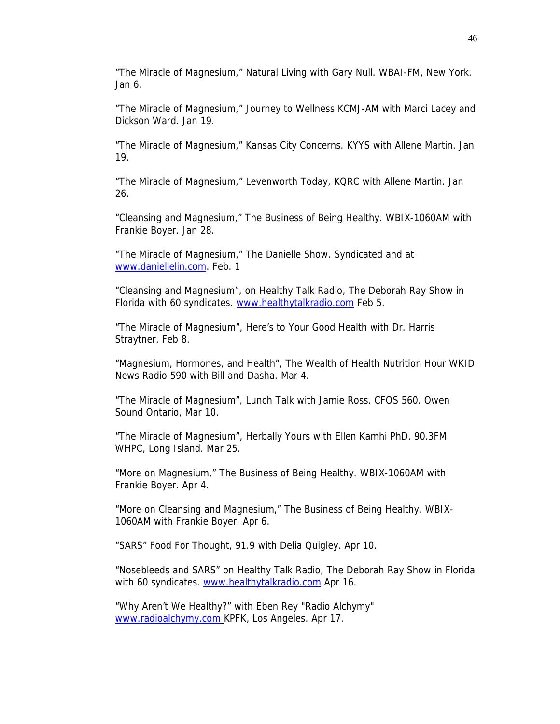"The Miracle of Magnesium," Natural Living with Gary Null. WBAI-FM, New York. Jan 6.

"The Miracle of Magnesium," Journey to Wellness KCMJ-AM with Marci Lacey and Dickson Ward. Jan 19.

"The Miracle of Magnesium," Kansas City Concerns. KYYS with Allene Martin. Jan 19.

"The Miracle of Magnesium," Levenworth Today, KQRC with Allene Martin. Jan 26.

"Cleansing and Magnesium," The Business of Being Healthy. WBIX-1060AM with Frankie Boyer. Jan 28.

"The Miracle of Magnesium," The Danielle Show. Syndicated and at [www.daniellelin.com.](http://www.daniellelin.com/) Feb. 1

"Cleansing and Magnesium", on Healthy Talk Radio, The Deborah Ray Show in Florida with 60 syndicates. [www.healthytalkradio.com](http://www.healthytalkradio.com/) Feb 5.

"The Miracle of Magnesium", Here's to Your Good Health with Dr. Harris Straytner. Feb 8.

"Magnesium, Hormones, and Health", The Wealth of Health Nutrition Hour WKID News Radio 590 with Bill and Dasha. Mar 4.

"The Miracle of Magnesium", Lunch Talk with Jamie Ross. CFOS 560. Owen Sound Ontario, Mar 10.

"The Miracle of Magnesium", Herbally Yours with Ellen Kamhi PhD. 90.3FM WHPC, Long Island. Mar 25.

"More on Magnesium," The Business of Being Healthy. WBIX-1060AM with Frankie Boyer. Apr 4.

"More on Cleansing and Magnesium," The Business of Being Healthy. WBIX-1060AM with Frankie Boyer. Apr 6.

"SARS" Food For Thought, 91.9 with Delia Quigley. Apr 10.

"Nosebleeds and SARS" on Healthy Talk Radio, The Deborah Ray Show in Florida with 60 syndicates. [www.healthytalkradio.com](http://www.healthytalkradio.com/) Apr 16.

"Why Aren't We Healthy?" with Eben Rey "Radio Alchymy" [www.radioalchymy.com](http://www.radioalchymy.com/) KPFK, Los Angeles. Apr 17.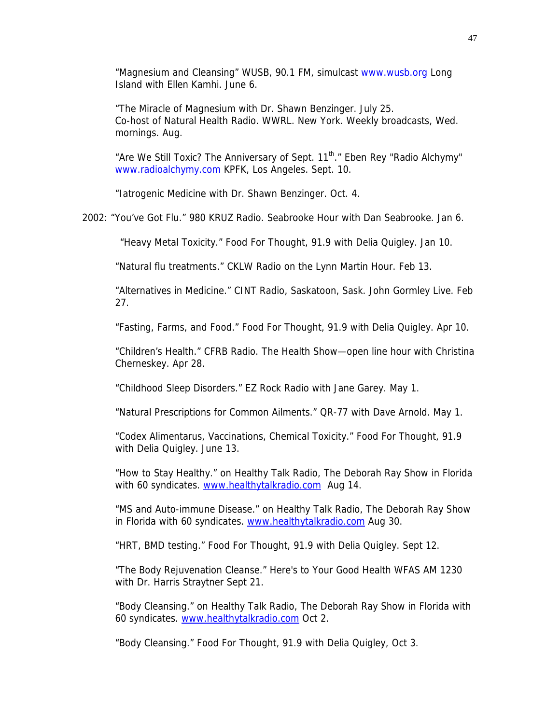"Magnesium and Cleansing" WUSB, 90.1 FM, simulcast [www.wusb.org](http://www.wusb.org/) Long Island with Ellen Kamhi. June 6.

"The Miracle of Magnesium with Dr. Shawn Benzinger. July 25. Co-host of Natural Health Radio. WWRL. New York. Weekly broadcasts, Wed. mornings. Aug.

"Are We Still Toxic? The Anniversary of Sept. 11<sup>th</sup>." Eben Rey "Radio Alchymy" [www.radioalchymy.com](http://www.radioalchymy.com/) KPFK, Los Angeles. Sept. 10.

"Iatrogenic Medicine with Dr. Shawn Benzinger. Oct. 4.

2002: "You've Got Flu." 980 KRUZ Radio. Seabrooke Hour with Dan Seabrooke. Jan 6.

"Heavy Metal Toxicity." Food For Thought, 91.9 with Delia Quigley. Jan 10.

"Natural flu treatments." CKLW Radio on the Lynn Martin Hour. Feb 13.

"Alternatives in Medicine." CINT Radio, Saskatoon, Sask. John Gormley Live. Feb 27.

"Fasting, Farms, and Food." Food For Thought, 91.9 with Delia Quigley. Apr 10.

 "Children's Health." CFRB Radio. The Health Show—open line hour with Christina Cherneskey. Apr 28.

"Childhood Sleep Disorders." EZ Rock Radio with Jane Garey. May 1.

"Natural Prescriptions for Common Ailments." QR-77 with Dave Arnold. May 1.

"Codex Alimentarus, Vaccinations, Chemical Toxicity." Food For Thought, 91.9 with Delia Quigley. June 13.

"How to Stay Healthy." on Healthy Talk Radio, The Deborah Ray Show in Florida with 60 syndicates. [www.healthytalkradio.com](http://www.healthytalkradio.com/) Aug 14.

"MS and Auto-immune Disease." on Healthy Talk Radio, The Deborah Ray Show in Florida with 60 syndicates. [www.healthytalkradio.com](http://www.healthytalkradio.com/) Aug 30.

"HRT, BMD testing." Food For Thought, 91.9 with Delia Quigley. Sept 12.

"The Body Rejuvenation Cleanse." Here's to Your Good Health WFAS AM 1230 with Dr. Harris Straytner Sept 21.

"Body Cleansing." on Healthy Talk Radio, The Deborah Ray Show in Florida with 60 syndicates. [www.healthytalkradio.com](http://www.healthytalkradio.com/) Oct 2.

"Body Cleansing." Food For Thought, 91.9 with Delia Quigley, Oct 3.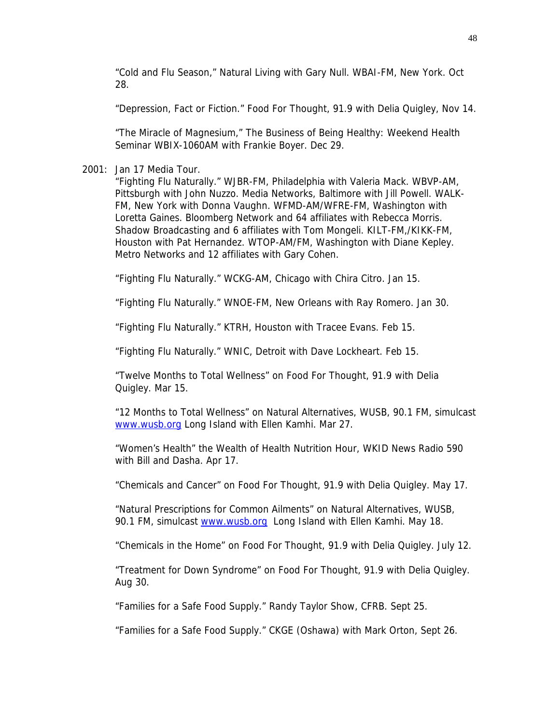"Cold and Flu Season," Natural Living with Gary Null. WBAI-FM, New York. Oct 28.

"Depression, Fact or Fiction." Food For Thought, 91.9 with Delia Quigley, Nov 14.

"The Miracle of Magnesium," The Business of Being Healthy: Weekend Health Seminar WBIX-1060AM with Frankie Boyer. Dec 29.

2001: Jan 17 Media Tour.

"Fighting Flu Naturally." WJBR-FM, Philadelphia with Valeria Mack. WBVP-AM, Pittsburgh with John Nuzzo. Media Networks, Baltimore with Jill Powell. WALK-FM, New York with Donna Vaughn. WFMD-AM/WFRE-FM, Washington with Loretta Gaines. Bloomberg Network and 64 affiliates with Rebecca Morris. Shadow Broadcasting and 6 affiliates with Tom Mongeli. KILT-FM,/KIKK-FM, Houston with Pat Hernandez. WTOP-AM/FM, Washington with Diane Kepley. Metro Networks and 12 affiliates with Gary Cohen.

"Fighting Flu Naturally." WCKG-AM, Chicago with Chira Citro. Jan 15.

"Fighting Flu Naturally." WNOE-FM, New Orleans with Ray Romero. Jan 30.

"Fighting Flu Naturally." KTRH, Houston with Tracee Evans. Feb 15.

"Fighting Flu Naturally." WNIC, Detroit with Dave Lockheart. Feb 15.

"Twelve Months to Total Wellness" on Food For Thought, 91.9 with Delia Quigley. Mar 15.

"12 Months to Total Wellness" on Natural Alternatives, WUSB, 90.1 FM, simulcast [www.wusb.org](http://www.wusb.org/) Long Island with Ellen Kamhi. Mar 27.

"Women's Health" the Wealth of Health Nutrition Hour, WKID News Radio 590 with Bill and Dasha. Apr 17.

"Chemicals and Cancer" on Food For Thought, 91.9 with Delia Quigley. May 17.

"Natural Prescriptions for Common Ailments" on Natural Alternatives, WUSB, 90.1 FM, simulcast [www.wusb.org](http://www.wusb.org/) Long Island with Ellen Kamhi. May 18.

"Chemicals in the Home" on Food For Thought, 91.9 with Delia Quigley. July 12.

"Treatment for Down Syndrome" on Food For Thought, 91.9 with Delia Quigley. Aug 30.

"Families for a Safe Food Supply." Randy Taylor Show, CFRB. Sept 25.

"Families for a Safe Food Supply." CKGE (Oshawa) with Mark Orton, Sept 26.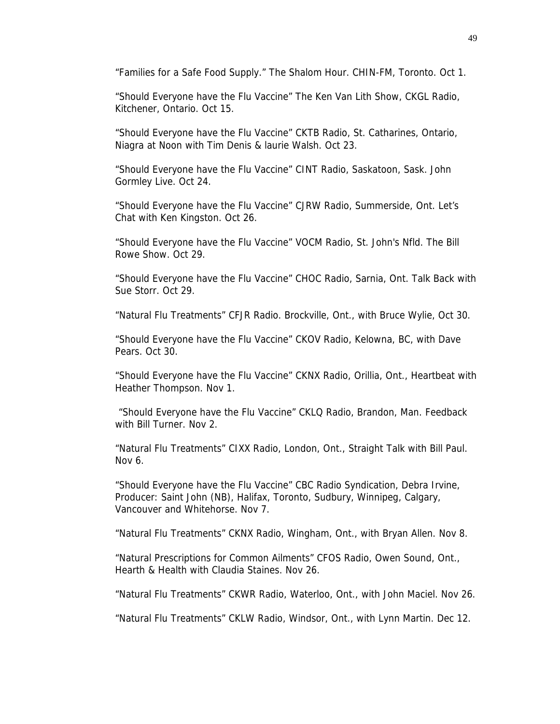"Families for a Safe Food Supply." The Shalom Hour. CHIN-FM, Toronto. Oct 1.

"Should Everyone have the Flu Vaccine" The Ken Van Lith Show, CKGL Radio, Kitchener, Ontario. Oct 15.

"Should Everyone have the Flu Vaccine" CKTB Radio, St. Catharines, Ontario, Niagra at Noon with Tim Denis & laurie Walsh. Oct 23.

"Should Everyone have the Flu Vaccine" CINT Radio, Saskatoon, Sask. John Gormley Live. Oct 24.

"Should Everyone have the Flu Vaccine" CJRW Radio, Summerside, Ont. Let's Chat with Ken Kingston. Oct 26.

"Should Everyone have the Flu Vaccine" VOCM Radio, St. John's Nfld. The Bill Rowe Show. Oct 29.

"Should Everyone have the Flu Vaccine" CHOC Radio, Sarnia, Ont. Talk Back with Sue Storr. Oct 29.

"Natural Flu Treatments" CFJR Radio. Brockville, Ont., with Bruce Wylie, Oct 30.

"Should Everyone have the Flu Vaccine" CKOV Radio, Kelowna, BC, with Dave Pears. Oct 30.

"Should Everyone have the Flu Vaccine" CKNX Radio, Orillia, Ont., Heartbeat with Heather Thompson. Nov 1.

"Should Everyone have the Flu Vaccine" CKLQ Radio, Brandon, Man. Feedback with Bill Turner. Nov 2.

"Natural Flu Treatments" CIXX Radio, London, Ont., Straight Talk with Bill Paul. Nov 6.

"Should Everyone have the Flu Vaccine" CBC Radio Syndication, Debra Irvine, Producer: Saint John (NB), Halifax, Toronto, Sudbury, Winnipeg, Calgary, Vancouver and Whitehorse. Nov 7.

"Natural Flu Treatments" CKNX Radio, Wingham, Ont., with Bryan Allen. Nov 8.

"Natural Prescriptions for Common Ailments" CFOS Radio, Owen Sound, Ont., Hearth & Health with Claudia Staines. Nov 26.

"Natural Flu Treatments" CKWR Radio, Waterloo, Ont., with John Maciel. Nov 26.

"Natural Flu Treatments" CKLW Radio, Windsor, Ont., with Lynn Martin. Dec 12.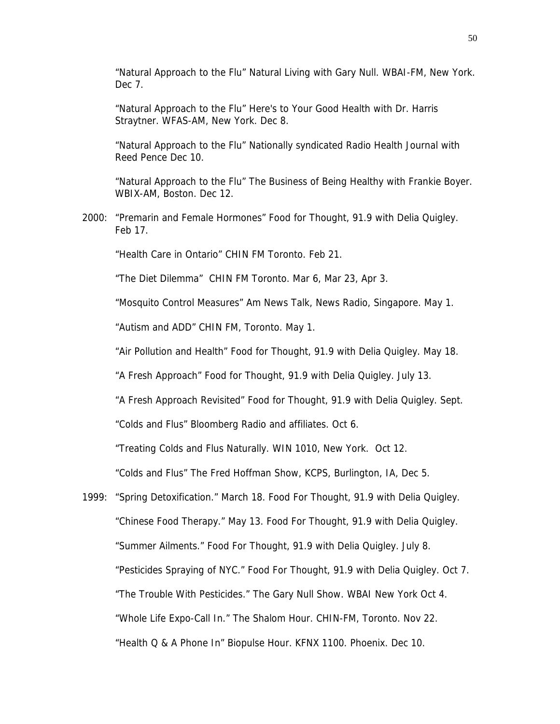"Natural Approach to the Flu" Natural Living with Gary Null. WBAI-FM, New York. Dec 7.

"Natural Approach to the Flu" Here's to Your Good Health with Dr. Harris Straytner. WFAS-AM, New York. Dec 8.

"Natural Approach to the Flu" Nationally syndicated Radio Health Journal with Reed Pence Dec 10.

"Natural Approach to the Flu" The Business of Being Healthy with Frankie Boyer. WBIX-AM, Boston. Dec 12.

2000: "Premarin and Female Hormones" Food for Thought, 91.9 with Delia Quigley. Feb 17.

"Health Care in Ontario" CHIN FM Toronto. Feb 21.

"The Diet Dilemma" CHIN FM Toronto. Mar 6, Mar 23, Apr 3.

"Mosquito Control Measures" Am News Talk, News Radio, Singapore. May 1.

"Autism and ADD" CHIN FM, Toronto. May 1.

"Air Pollution and Health" Food for Thought, 91.9 with Delia Quigley. May 18.

"A Fresh Approach" Food for Thought, 91.9 with Delia Quigley. July 13.

"A Fresh Approach Revisited" Food for Thought, 91.9 with Delia Quigley. Sept.

"Colds and Flus" Bloomberg Radio and affiliates. Oct 6.

"Treating Colds and Flus Naturally. WIN 1010, New York. Oct 12.

"Colds and Flus" The Fred Hoffman Show, KCPS, Burlington, IA, Dec 5.

1999: "Spring Detoxification." March 18. Food For Thought, 91.9 with Delia Quigley. "Chinese Food Therapy." May 13. Food For Thought, 91.9 with Delia Quigley. "Summer Ailments." Food For Thought, 91.9 with Delia Quigley. July 8. "Pesticides Spraying of NYC." Food For Thought, 91.9 with Delia Quigley. Oct 7. "The Trouble With Pesticides." The Gary Null Show. WBAI New York Oct 4. "Whole Life Expo-Call In." The Shalom Hour. CHIN-FM, Toronto. Nov 22. "Health Q & A Phone In" Biopulse Hour. KFNX 1100. Phoenix. Dec 10.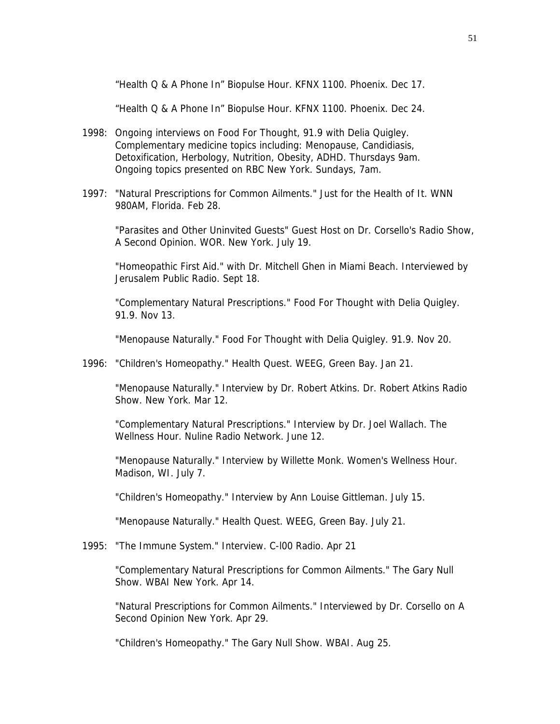"Health Q & A Phone In" Biopulse Hour. KFNX 1100. Phoenix. Dec 17.

"Health Q & A Phone In" Biopulse Hour. KFNX 1100. Phoenix. Dec 24.

- 1998: Ongoing interviews on Food For Thought, 91.9 with Delia Quigley. Complementary medicine topics including: Menopause, Candidiasis, Detoxification, Herbology, Nutrition, Obesity, ADHD. Thursdays 9am. Ongoing topics presented on RBC New York. Sundays, 7am.
- 1997: "Natural Prescriptions for Common Ailments." Just for the Health of It. WNN 980AM, Florida. Feb 28.

"Parasites and Other Uninvited Guests" Guest Host on Dr. Corsello's Radio Show, A Second Opinion. WOR. New York. July 19.

"Homeopathic First Aid." with Dr. Mitchell Ghen in Miami Beach. Interviewed by Jerusalem Public Radio. Sept 18.

"Complementary Natural Prescriptions." Food For Thought with Delia Quigley. 91.9. Nov 13.

"Menopause Naturally." Food For Thought with Delia Quigley. 91.9. Nov 20.

1996: "Children's Homeopathy." Health Quest. WEEG, Green Bay. Jan 21.

"Menopause Naturally." Interview by Dr. Robert Atkins. Dr. Robert Atkins Radio Show. New York. Mar 12.

"Complementary Natural Prescriptions." Interview by Dr. Joel Wallach. The Wellness Hour. Nuline Radio Network. June 12.

"Menopause Naturally." Interview by Willette Monk. Women's Wellness Hour. Madison, WI. July 7.

"Children's Homeopathy." Interview by Ann Louise Gittleman. July 15.

"Menopause Naturally." Health Quest. WEEG, Green Bay. July 21.

1995: "The Immune System." Interview. C-l00 Radio. Apr 21

"Complementary Natural Prescriptions for Common Ailments." The Gary Null Show. WBAI New York. Apr 14.

"Natural Prescriptions for Common Ailments." Interviewed by Dr. Corsello on A Second Opinion New York. Apr 29.

"Children's Homeopathy." The Gary Null Show. WBAI. Aug 25.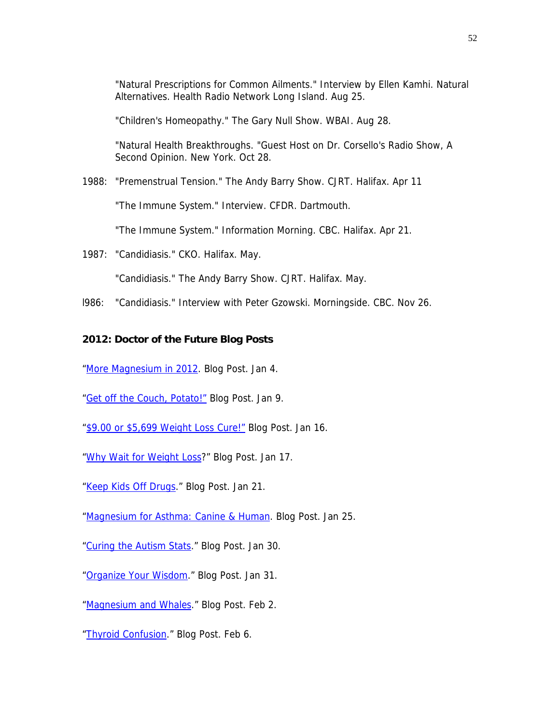"Natural Prescriptions for Common Ailments." Interview by Ellen Kamhi. Natural Alternatives. Health Radio Network Long Island. Aug 25.

"Children's Homeopathy." The Gary Null Show. WBAI. Aug 28.

"Natural Health Breakthroughs. "Guest Host on Dr. Corsello's Radio Show, A Second Opinion. New York. Oct 28.

1988: "Premenstrual Tension." The Andy Barry Show. CJRT. Halifax. Apr 11

"The Immune System." Interview. CFDR. Dartmouth.

"The Immune System." Information Morning. CBC. Halifax. Apr 21.

1987: "Candidiasis." CKO. Halifax. May.

"Candidiasis." The Andy Barry Show. CJRT. Halifax. May.

l986: "Candidiasis." Interview with Peter Gzowski. Morningside. CBC. Nov 26.

# **2012: Doctor of the Future Blog Posts**

["More Magnesium in 2012.](http://drcarolyndean.com/2012/01/magnesium-in-2012/) Blog Post. Jan 4.

["Get off the Couch, Potato!"](http://drcarolyndean.com/2012/01/get-off-the-couch-potato/) Blog Post. Jan 9.

- ["\\$9.00 or \\$5,699 Weight Loss Cure!"](http://drcarolyndean.com/2012/01/9-99-or-5699-weight-loss-cure/) Blog Post. Jan 16.
- ["Why Wait for Weight Loss](http://drcarolyndean.com/2012/01/4307/)?" Blog Post. Jan 17.
- ["Keep Kids Off Drugs](http://drcarolyndean.com/2012/01/keep-kids-off-drugs/)." Blog Post. Jan 21.

["Magnesium for Asthma: Canine & Human](http://drcarolyndean.com/2012/01/magnesium-for-asthma-canine-and-human/). Blog Post. Jan 25.

["Curing the Autism Stats.](http://drcarolyndean.com/2012/01/curing-the-autism-stats/)" Blog Post. Jan 30.

["Organize Your Wisdom](http://drcarolyndean.com/2012/01/organize-your-wisdom/)." Blog Post. Jan 31.

["Magnesium and Whales](http://drcarolyndean.com/2012/02/magnesium-and-whales/)." Blog Post. Feb 2.

["Thyroid Confusion](http://drcarolyndean.com/2012/02/thyroid-confusion/)." Blog Post. Feb 6.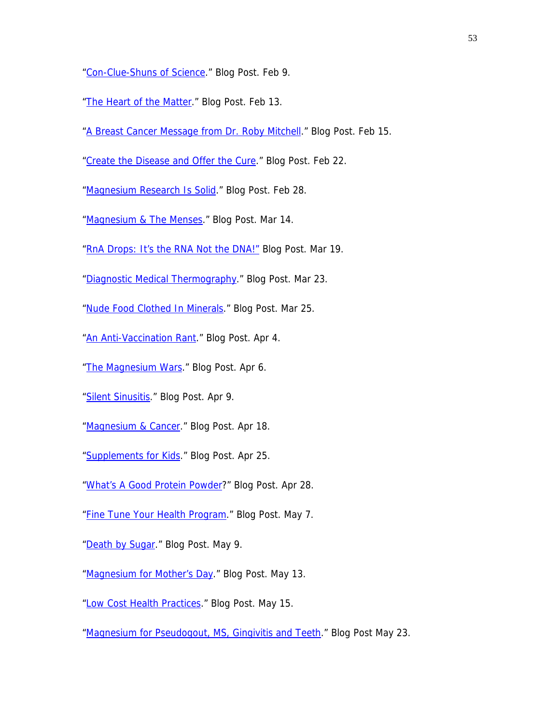["Con-Clue-Shuns of Science](http://drcarolyndean.com/2012/02/con-clue-shuns-of-science/)." Blog Post. Feb 9.

- ["The Heart of the Matter.](http://drcarolyndean.com/2012/02/the-heart-of-the-matter/)" Blog Post. Feb 13.
- ["A Breast Cancer Message from Dr. Roby Mitchell](http://drcarolyndean.com/2012/02/a-breast-cancer-message-from-dr-roby-mitchell/)." Blog Post. Feb 15.
- ["Create the Disease and Offer the Cure.](http://drcarolyndean.com/2012/02/create-the-disease-and-offer-the-cure/)" Blog Post. Feb 22.

["Magnesium Research Is Solid](http://drcarolyndean.com/2012/02/magnesium-research-is-solid/)." Blog Post. Feb 28.

- ["Magnesium & The Menses.](http://drcarolyndean.com/2012/03/magnesium-the-menses/)" Blog Post. Mar 14.
- ["RnA Drops: It's the RNA Not the DNA!"](http://drcarolyndean.com/2012/03/rna-drops-its-the-rna-not-the-dna-stupid/) Blog Post. Mar 19.
- ["Diagnostic Medical Thermography.](http://drcarolyndean.com/2012/03/diagnostic-medical-thermography/)" Blog Post. Mar 23.
- ["Nude Food Clothed In Minerals](http://drcarolyndean.com/2012/03/nude-food-clothed-in-minerals/)." Blog Post. Mar 25.
- ["An Anti-Vaccination Rant.](http://drcarolyndean.com/2012/04/an-anti-vaccination-rant/)" Blog Post. Apr 4.
- ["The Magnesium Wars](http://drcarolyndean.com/2012/04/the-magnesium-wars/)." Blog Post. Apr 6.
- ["Silent Sinusitis](http://drcarolyndean.com/2012/04/silent-sinusitis/)." Blog Post. Apr 9.
- ["Magnesium & Cancer](http://drcarolyndean.com/2012/04/magnesium-cancer/)." Blog Post. Apr 18.
- ["Supplements for Kids](http://drcarolyndean.com/2012/04/supplements-for-kids/)." Blog Post. Apr 25.
- ["What's A Good Protein Powder](http://drcarolyndean.com/2012/04/whats-a-good-protein-powder/)?" Blog Post. Apr 28.
- ["Fine Tune Your Health Program.](http://drcarolyndean.com/2012/05/fine-tune-your-health-program/)" Blog Post. May 7.
- ["Death by Sugar.](http://drcarolyndean.com/2012/05/death-by-sugar/)" Blog Post. May 9.
- ["Magnesium for Mother's Day](http://drcarolyndean.com/2012/05/magnesium-for-mothers-day/)." Blog Post. May 13.
- ["Low Cost Health Practices.](http://drcarolyndean.com/2012/05/low-cost-health-practices/)" Blog Post. May 15.
- ["Magnesium for Pseudogout, MS, Gingivitis and Teeth](http://drcarolyndean.com/2012/05/magnesium-for-pseudogout-ms-gingivitis-and-teeth/)." Blog Post May 23.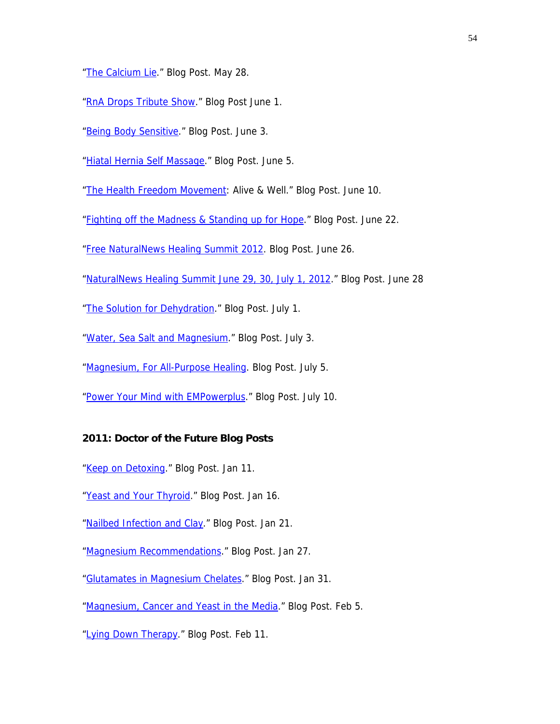["The Calcium Lie](http://drcarolyndean.com/2012/05/the-calcium-lie/)." Blog Post. May 28.

["RnA Drops Tribute Show.](http://drcarolyndean.com/2012/06/rna-drops-tribute-show/)" Blog Post June 1.

["Being Body Sensitive](http://drcarolyndean.com/2012/06/being-body-sensitive/)." Blog Post. June 3.

["Hiatal Hernia Self Massage.](http://drcarolyndean.com/2012/06/healing-hiatal-hernia-with-massage/)" Blog Post. June 5.

["The Health Freedom Movement:](http://drcarolyndean.com/2012/06/the-health-freedom-movement/) Alive & Well." Blog Post. June 10.

["Fighting off the Madness & Standing up for Hope](http://drcarolyndean.com/2012/06/fighting-off-the-madness-standing-up-for-hope/)." Blog Post. June 22.

["Free NaturalNews Healing Summit 2012](http://drcarolyndean.com/2012/06/naturalnews-healing-summit-2012/). Blog Post. June 26.

["NaturalNews Healing Summit June 29, 30, July 1, 2012.](http://drcarolyndean.com/2012/06/naturalnews-healing-summit-june-29-30-july-1-2012/)" Blog Post. June 28

["The Solution for Dehydration.](http://drcarolyndean.com/2012/07/the-solution-for-dehydration/)" Blog Post. July 1.

["Water, Sea Salt and Magnesium](http://drcarolyndean.com/2012/07/water-sea-salt-and-magnesium/)." Blog Post. July 3.

["Magnesium, For All-Purpose Healing.](http://drcarolyndean.com/2012/07/magnesium-for-all-purpose-healing/) Blog Post. July 5.

["Power Your Mind with EMPowerplus](http://drcarolyndean.com/2012/07/power-your-mind-with-empowerplus/)." Blog Post. July 10.

# **2011: Doctor of the Future Blog Posts**

["Keep on Detoxing.](http://drcarolyndean.com/2011/01/keep-on-detoxing/)" Blog Post. Jan 11.

["Yeast and Your Thyroid](http://drcarolyndean.com/2011/01/yeast-and-your-thyroid/)." Blog Post. Jan 16.

["Nailbed Infection and Clay](http://drcarolyndean.com/2011/01/nailbed-infection-and-clay/)." Blog Post. Jan 21.

["Magnesium Recommendations.](http://drcarolyndean.com/2011/01/magnesium-recommendations/)" Blog Post. Jan 27.

["Glutamates in Magnesium Chelates](http://drcarolyndean.com/2011/01/glutamates-in-magnesium-chelates/)." Blog Post. Jan 31.

["Magnesium, Cancer and Yeast in the Media](http://drcarolyndean.com/2011/02/magnesium-cancer-and-yeast-in-the-media/)." Blog Post. Feb 5.

["Lying Down Therapy](http://drcarolyndean.com/2011/02/lying-down-therapy-2/)." Blog Post. Feb 11.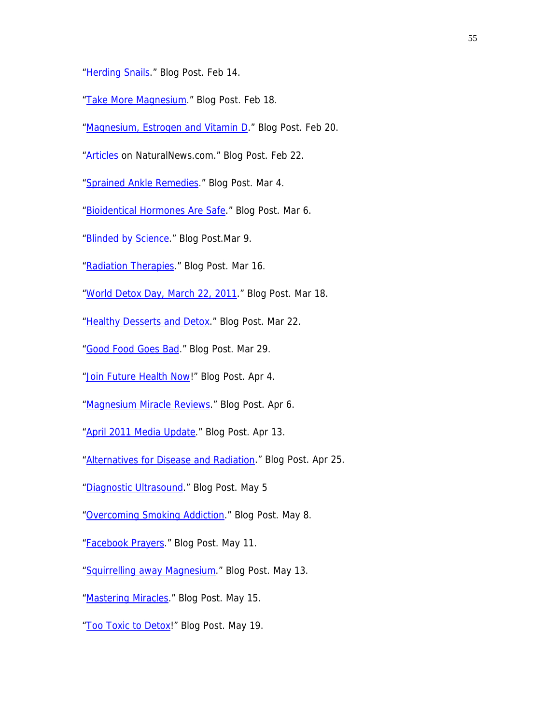["Herding Snails.](http://drcarolyndean.com/2011/02/herding-snails/)" Blog Post. Feb 14.

["Take More Magnesium](http://drcarolyndean.com/2011/02/take-more-magnesium/)." Blog Post. Feb 18.

["Magnesium, Estrogen and Vitamin D](http://drcarolyndean.com/2011/02/magnesium-estrogen-and-vitamin-d/)." Blog Post. Feb 20.

"**Articles** on NaturalNews.com." Blog Post. Feb 22.

["Sprained Ankle Remedies](http://drcarolyndean.com/2011/03/sprained-ankle-remedies/)." Blog Post. Mar 4.

["Bioidentical Hormones Are Safe.](http://drcarolyndean.com/2011/03/bioidentical-hormones-are-safe/)" Blog Post. Mar 6.

["Blinded by Science.](http://drcarolyndean.com/2011/03/blinded-by-science/)" Blog Post.Mar 9.

["Radiation Therapies](http://drcarolyndean.com/2011/03/radiation-therapies/)." Blog Post. Mar 16.

["World Detox Day, March 22, 2011](http://drcarolyndean.com/2011/03/world-detox-day-march-22-2011/)." Blog Post. Mar 18.

["Healthy Desserts and Detox](http://drcarolyndean.com/2011/03/healthy-desserts-and-detox/)." Blog Post. Mar 22.

["Good Food Goes Bad](http://drcarolyndean.com/2011/03/good-food-goes-bad/)." Blog Post. Mar 29.

["Join Future Health Now](http://drcarolyndean.com/2011/04/join-future-health-now/)!" Blog Post. Apr 4.

["Magnesium Miracle Reviews.](http://drcarolyndean.com/2011/04/magnesium-miracle-reviews/)" Blog Post. Apr 6.

["April 2011 Media Update.](http://drcarolyndean.com/2011/04/april-2011-media-update/)" Blog Post. Apr 13.

["Alternatives for Disease and Radiation.](http://drcarolyndean.com/2011/04/alternatives-for-disease-and-radiation/)" Blog Post. Apr 25.

["Diagnostic Ultrasound](http://drcarolyndean.com/2011/05/diagnostic-ultrasound/)." Blog Post. May 5

["Overcoming Smoking Addiction](http://drcarolyndean.com/2011/05/overcoming-smoking-addiction/)." Blog Post. May 8.

["Facebook Prayers.](http://drcarolyndean.com/2011/05/facebook-prayers/)" Blog Post. May 11.

["Squirrelling away Magnesium.](http://drcarolyndean.com/2011/05/squirrelling-away-magnesium/)" Blog Post. May 13.

["Mastering Miracles](http://drcarolyndean.com/2011/05/mastering-miracles/)." Blog Post. May 15.

["Too Toxic to Detox!](http://drcarolyndean.com/2011/05/too-toxic-to-detox/)" Blog Post. May 19.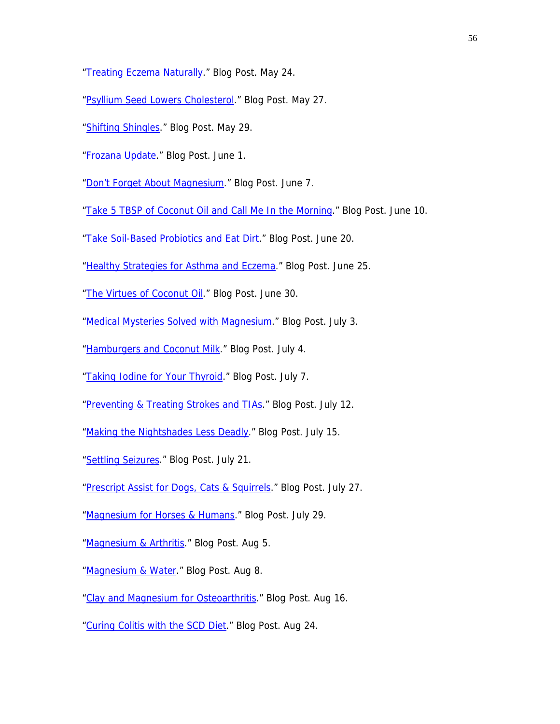- ["Treating Eczema Naturally.](http://drcarolyndean.com/2011/05/treating-eczema-naturally/)" Blog Post. May 24.
- ["Psyllium Seed Lowers Cholesterol](http://drcarolyndean.com/2011/05/psyllium-seed-lowers-cholesterol/)." Blog Post. May 27.
- ["Shifting Shingles.](http://drcarolyndean.com/2011/05/shifting-shingles/)" Blog Post. May 29.
- ["Frozana Update.](http://drcarolyndean.com/2011/06/frozana-update/)" Blog Post. June 1.

["Don't Forget About Magnesium.](http://drcarolyndean.com/2011/06/3377/)" Blog Post. June 7.

["Take 5 TBSP of Coconut Oil and Call Me In the Morning](http://drcarolyndean.com/2011/06/take-5-tbsp-of-coconut-oil-and-call-me-in-the-morning/)." Blog Post. June 10.

["Take Soil-Based Probiotics and Eat Dirt](http://drcarolyndean.com/2011/06/take-soil-based-probiotics-and-eat-dirt/)." Blog Post. June 20.

["Healthy Strategies for Asthma and Eczema](http://drcarolyndean.com/2011/06/healthy-strategies-for-asthma-and-eczema/)." Blog Post. June 25.

["The Virtues of Coconut Oil.](http://drcarolyndean.com/2011/06/the-virtues-of-coconut-oil/)" Blog Post. June 30.

["Medical Mysteries Solved with Magnesium](http://drcarolyndean.com/2011/07/medical-mysteries-solved-with-magnesium/)." Blog Post. July 3.

["Hamburgers and Coconut Milk.](http://drcarolyndean.com/2011/07/hamburgers-and-coconut-milk/)" Blog Post. July 4.

["Taking Iodine for Your Thyroid.](http://drcarolyndean.com/2011/07/taking-iodine-for-your-thyroid/)" Blog Post. July 7.

- ["Preventing & Treating Strokes and TIAs.](http://drcarolyndean.com/2011/07/preventing-treating-strokes-tias/)" Blog Post. July 12.
- ["Making the Nightshades Less Deadly.](http://drcarolyndean.com/2011/07/3498/)" Blog Post. July 15.

["Settling Seizures](http://drcarolyndean.com/2011/07/settling-seizures/)." Blog Post. July 21.

["Prescript Assist for Dogs, Cats & Squirrels](http://drcarolyndean.com/2011/07/prescript-assist-for-dogs-cats-squirrels/)." Blog Post. July 27.

["Magnesium for Horses & Humans.](http://drcarolyndean.com/2011/07/magnesium-for-horses-humans/)" Blog Post. July 29.

["Magnesium & Arthritis.](http://drcarolyndean.com/2011/08/magnesium-arthritis/)" Blog Post. Aug 5.

["Magnesium & Water.](http://drcarolyndean.com/2011/08/magnesium-water/)" Blog Post. Aug 8.

["Clay and Magnesium for Osteoarthritis](http://drcarolyndean.com/2011/08/clay-and-magnesium-for-osteoarthritis/)." Blog Post. Aug 16.

["Curing Colitis with the SCD Diet](http://drcarolyndean.com/2011/08/curing-colitis-with-the-scd-diet/)." Blog Post. Aug 24.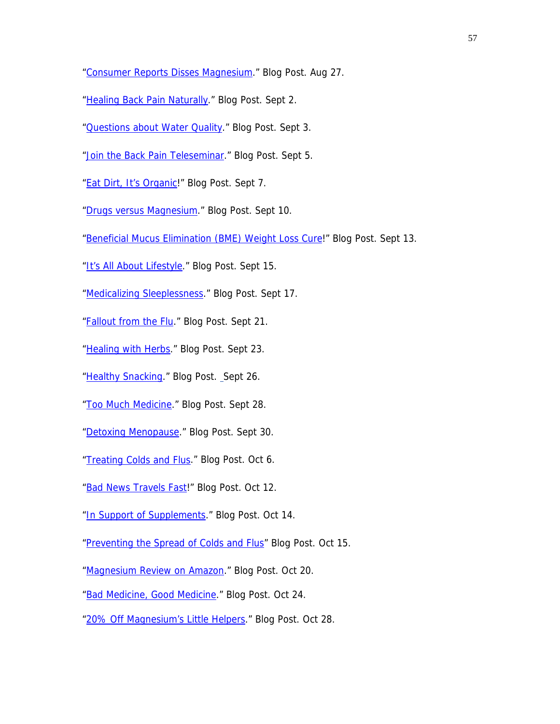["Consumer Reports Disses Magnesium](http://drcarolyndean.com/2011/08/consumer-reports-disses-magnesium/)." Blog Post. Aug 27.

["Healing Back Pain Naturally](http://drcarolyndean.com/2011/09/healing-back-pain-naturally/)." Blog Post. Sept 2.

["Questions about Water Quality](http://drcarolyndean.com/2011/09/questions-about-water-quality/)." Blog Post. Sept 3.

["Join the Back Pain Teleseminar](http://drcarolyndean.com/2011/09/join-the-back-pain-teleseminar/)." Blog Post. Sept 5.

["Eat Dirt, It's Organic!](http://drcarolyndean.com/2011/09/eat-dirt-it%E2%80%99s-organic/)" Blog Post. Sept 7.

["Drugs versus Magnesium](http://drcarolyndean.com/2011/09/drugs-versus-magnesium/)." Blog Post. Sept 10.

["Beneficial Mucus Elimination \(BME\) Weight Loss Cure!](http://drcarolyndean.com/2011/09/beneficial-mucus-elimination-bme-weight-loss-cure/)" Blog Post. Sept 13.

["It's All About Lifestyle](http://drcarolyndean.com/2011/09/it%E2%80%99s-all-about-lifestyle/)." Blog Post. Sept 15.

["Medicalizing Sleeplessness](http://drcarolyndean.com/2011/09/medicalizing-sleeplessness/)." Blog Post. Sept 17.

["Fallout from the Flu.](http://drcarolyndean.com/2011/09/fallout-from-the-flu/)" Blog Post. Sept 21.

["Healing with Herbs](http://drcarolyndean.com/2011/09/healing-with-herbs/)." Blog Post. Sept 23.

["Healthy Snacking.](http://drcarolyndean.com/2011/09/healthy-snacking/)" Blog Post. Sept 26.

["Too Much Medicine.](http://drcarolyndean.com/2011/09/too-much-medicine/)" Blog Post. Sept 28.

["Detoxing Menopause.](http://drcarolyndean.com/2011/09/detoxing-menopause/)" Blog Post. Sept 30.

["Treating Colds and Flus](http://drcarolyndean.com/2011/10/treating-colds-and-flus/)." Blog Post. Oct 6.

["Bad News Travels Fast](http://drcarolyndean.com/2011/10/bad-news-travels-fast/)!" Blog Post. Oct 12.

["In Support of Supplements.](http://drcarolyndean.com/2011/10/in-support-of-supplements/)" Blog Post. Oct 14.

["Preventing the Spread of Colds and Flus"](http://drcarolyndean.com/2011/10/preventing-the-spread-of-colds-and-flus/) Blog Post. Oct 15.

["Magnesium Review on Amazon](http://drcarolyndean.com/2011/10/magnesium-review-on-amazon/)." Blog Post. Oct 20.

["Bad Medicine, Good Medicine](http://drcarolyndean.com/2011/10/3863/)." Blog Post. Oct 24.

["20% Off Magnesium's Little Helpers](http://drcarolyndean.com/2011/10/20-off-magnesium%e2%80%99s-little-helpers/)." Blog Post. Oct 28.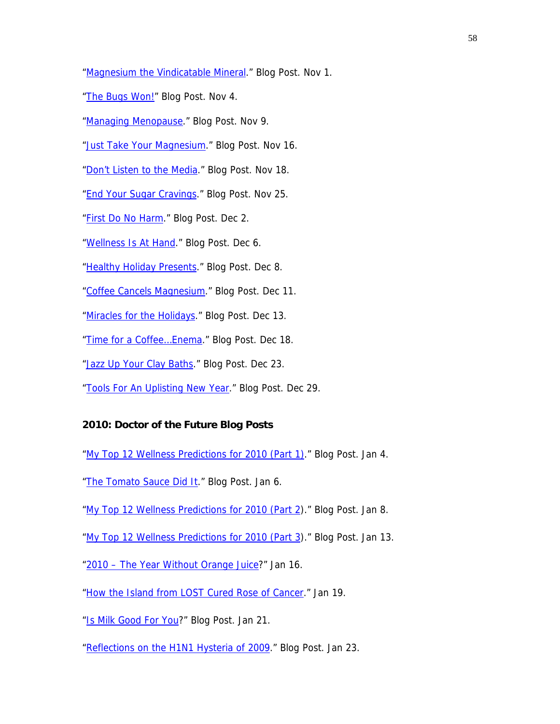["Magnesium the Vindicatable Mineral.](http://drcarolyndean.com/2011/11/magnesium-the-vindicatable-mineral/)" Blog Post. Nov 1.

["The Bugs Won!"](http://drcarolyndean.com/2011/11/the-bugs-won/) Blog Post. Nov 4.

["Managing Menopause.](http://drcarolyndean.com/2011/11/managing-menopause/)" Blog Post. Nov 9.

["Just Take Your Magnesium.](http://drcarolyndean.com/2011/11/just-take-your-magnesium/)" Blog Post. Nov 16.

["Don't Listen to the Media](http://drcarolyndean.com/2011/11/don%E2%80%99t-listen-to-the-media/)." Blog Post. Nov 18.

["End Your Sugar Cravings](http://drcarolyndean.com/2011/11/end-your-sugar-cravings/)." Blog Post. Nov 25.

["First Do No Harm.](http://drcarolyndean.com/2011/12/first-do-no-harm/)" Blog Post. Dec 2.

["Wellness Is At Hand.](http://drcarolyndean.com/2011/12/wellness-is-at-hand/)" Blog Post. Dec 6.

["Healthy Holiday Presents](http://drcarolyndean.com/2011/12/healthy-holiday-presents/)." Blog Post. Dec 8.

["Coffee Cancels Magnesium](http://drcarolyndean.com/2011/12/coffee-cancels-magnesium/)." Blog Post. Dec 11.

["Miracles for the Holidays.](http://drcarolyndean.com/2011/12/miracles-for-the-holidays/)" Blog Post. Dec 13.

"Time for a Coffee...Enema." Blog Post. Dec 18.

["Jazz Up Your Clay Baths](http://drcarolyndean.com/2011/12/jazz-up-your-clay-baths/)." Blog Post. Dec 23.

["Tools For An Uplisting New Year.](http://drcarolyndean.com/2011/12/tools-for-an-uplifting-new-year/)" Blog Post. Dec 29.

#### **2010: Doctor of the Future Blog Posts**

["My Top 12 Wellness Predictions for 2010 \(Part 1\).](http://drcarolyndean.com/2010/01/my-top-12-wellness-predictions-for-2010-part-1/)" Blog Post. Jan 4.

["The Tomato Sauce Did It](http://drcarolyndean.com/2010/01/the-tomato-sauce-did-it/)." Blog Post. Jan 6.

["My Top 12 Wellness Predictions for 2010 \(Part 2\)](http://drcarolyndean.com/2010/01/my-top-12-wellness-predictions-for-2010-part-2/)." Blog Post. Jan 8.

["My Top 12 Wellness Predictions for 2010 \(Part 3\)](http://drcarolyndean.com/2010/01/my-top-12-wellness-predictions-for-2010-part-3/)." Blog Post. Jan 13.

["2010 – The Year Without Orange Juice?](http://drcarolyndean.com/2010/01/2010-%E2%80%93-the-year-without-orange-juice/)" Jan 16.

["How the Island from LOST Cured Rose of Cancer.](http://drcarolyndean.com/2010/01/how-the-island-from-lost-cured-rose-of-cancer)" Jan 19.

["Is Milk Good For You?](http://drcarolyndean.com/2010/01/dietary-dogmatism/)" Blog Post. Jan 21.

["Reflections on the H1N1 Hysteria of 2009](http://drcarolyndean.com/2010/01/reflections-on-the-h1n1-hysteria-of-2009/)." Blog Post. Jan 23.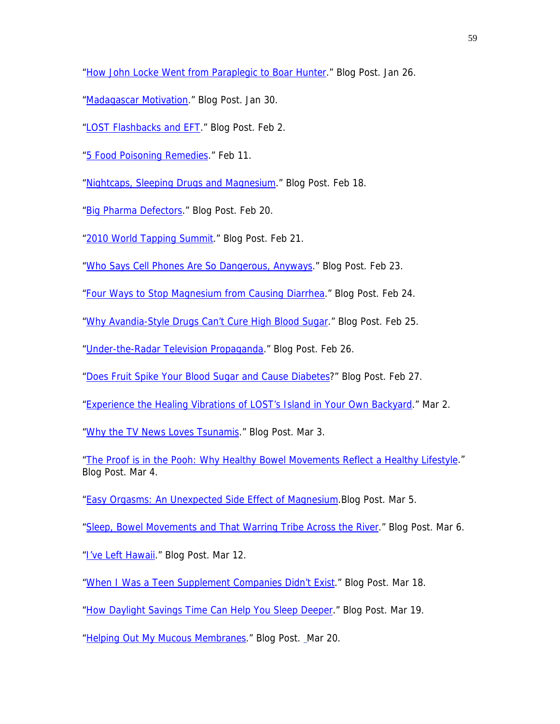["How John Locke Went from Paraplegic to Boar Hunter.](http://drcarolyndean.com/2010/01/how-john-locke-went-from-paraplegic-to-boar-hunter/)" Blog Post. Jan 26.

- ["Madagascar Motivation.](http://drcarolyndean.com/2010/01/madagascar-motivation/)" Blog Post. Jan 30.
- ["LOST Flashbacks and EFT](http://drcarolyndean.com/2010/02/lost-flashbacks-and-eft/)." Blog Post. Feb 2.
- ["5 Food Poisoning Remedies.](http://drcarolyndean.com/2010/02/5-food-poisoning-remedies/)" Feb 11.

["Nightcaps, Sleeping Drugs and Magnesium.](http://drcarolyndean.com/2010/02/nightcaps-sleeping-drugs-and-magnesium/)" Blog Post. Feb 18.

["Big Pharma Defectors](http://drcarolyndean.com/2010/02/big-pharma-defectors-2/)." Blog Post. Feb 20.

["2010 World Tapping Summit](http://drcarolyndean.com/2010/02/2010-world-tapping-summit/)." Blog Post. Feb 21.

["Who Says Cell Phones Are So Dangerous, Anyways.](http://drcarolyndean.com/2010/02/who-says-cell-phones-are-so-dangerous-anyways/)" Blog Post. Feb 23.

["Four Ways to Stop Magnesium from Causing Diarrhea](http://drcarolyndean.com/2010/02/four-ways-to-stop-magnesium-from-causing-diarrhea/)." Blog Post. Feb 24.

["Why Avandia-Style Drugs Can't Cure High Blood Sugar.](http://drcarolyndean.com/2010/02/why-avandia-style-drugs-cant-cure-high-blood-sugar/)" Blog Post. Feb 25.

["Under-the-Radar Television Propaganda](http://drcarolyndean.com/2010/02/under-the-radar-television-propaganda/)." Blog Post. Feb 26.

["Does Fruit Spike Your Blood Sugar and Cause Diabetes?](http://drcarolyndean.com/2010/02/should-you-eat-fruit-before-or-after-a-meal/)" Blog Post. Feb 27.

["Experience the Healing Vibrations of LOST's Island in Your Own Backyard.](http://drcarolyndean.com/2010/03/experience-the-healing-vibrations-of-losts-island-in-your-own-backyard/)" Mar 2.

["Why the TV News Loves Tsunamis](http://drcarolyndean.com/2010/03/why-the-tv-news-loves-tsunamis/)." Blog Post. Mar 3.

["The Proof is in the Pooh: Why Healthy Bowel Movements Reflect a Healthy Lifestyle.](http://drcarolyndean.com/2010/03/the-proof-is-in-the-pooh/)" Blog Post. Mar 4.

["Easy Orgasms: An Unexpected Side Effect of Magnesium.](http://drcarolyndean.com/2010/03/easy-orgasms-an-unexpected-side-effect-of-magnesium/)Blog Post. Mar 5.

["Sleep, Bowel Movements and That Warring Tribe Across the River](http://drcarolyndean.com/2010/03/sleep-bowel-movements-and-that-warring-tribe-across-the-river/)." Blog Post. Mar 6.

["I've Left Hawaii.](http://drcarolyndean.com/2010/03/ive-left-hawaii/)" Blog Post. Mar 12.

["When I Was a Teen Supplement Companies Didn't Exist](http://drcarolyndean.com/2010/03/when-i-was-a-little-girl-there-were-no-supplement-companies/)." Blog Post. Mar 18.

["How Daylight Savings Time Can Help You Sleep Deeper](http://drcarolyndean.com/2010/03/how-daylight-savings-time-can-help-you-sleep-deeper/)." Blog Post. Mar 19.

["Helping Out My Mucous Membranes](http://drcarolyndean.com/2010/03/helping-out-my-mucous-membranes/)." Blog Post. [M](http://drcarolyndean.com/2010/03/helping-out-my-mucous-membranes/)ar 20.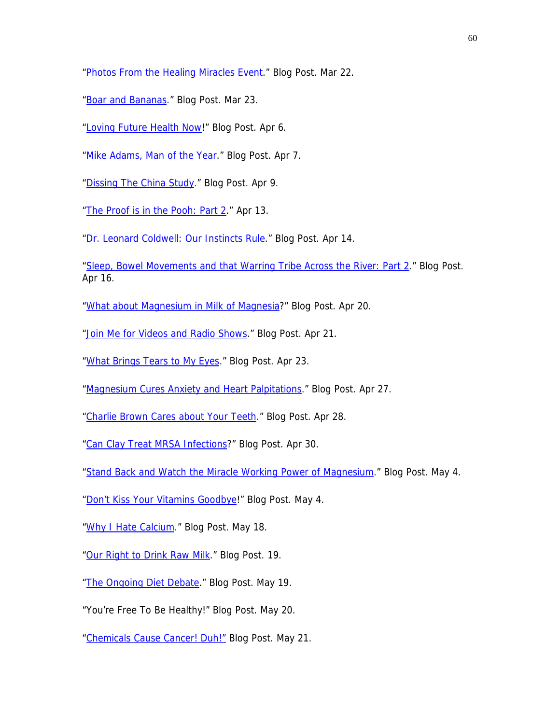["Photos From the Healing Miracles Event](http://drcarolyndean.com/2010/03/photos-from-the-healing-miracles-event/)." Blog Post. Mar 22.

["Boar and Bananas](http://drcarolyndean.com/2010/03/boar-and-bananas/)." Blog Post. Mar 23.

["Loving Future Health Now!](http://drcarolyndean.com/2010/04/loving-future-health-now/)" Blog Post. Apr 6.

["Mike Adams, Man of the Year](http://drcarolyndean.com/2010/04/mike-adams-man-of-the-year-2/)." Blog Post. Apr 7.

["Dissing The China Study](http://drcarolyndean.com/2010/04/dissing-the-china-study/)." Blog Post. Apr 9.

["The Proof is in the Pooh: Part 2](http://drcarolyndean.com/2010/04/the-proof-is-in-the-pooh-part-2/)." Apr 13.

["Dr. Leonard Coldwell: Our Instincts Rule.](http://drcarolyndean.com/2010/04/dr-leonard-coldwell-our-instincts-rule/)" Blog Post. Apr 14.

["Sleep, Bowel Movements and that Warring Tribe Across the River: Part 2.](http://drcarolyndean.com/2010/04/sleep-bowel-movements-and-that-warring-tribe-across-the-river-part-2/)" Blog Post. Apr 16.

["What about Magnesium in Milk of Magnesia?](http://drcarolyndean.com/2010/04/what-about-magnesium-in-milk-of-magnesia/)" Blog Post. Apr 20.

["Join Me for Videos and Radio Shows](http://drcarolyndean.com/2010/04/join-me-for-videos-and-radio-shows/)." Blog Post. Apr 21.

["What Brings Tears to My Eyes](http://drcarolyndean.com/2010/04/what-brings-tears-to-my-eyes/)." Blog Post. Apr 23.

["Magnesium Cures Anxiety and Heart Palpitations.](http://drcarolyndean.com/2010/04/magnesium-cures-anxiety-and-heart-palpitations/)" Blog Post. Apr 27.

["Charlie Brown Cares about Your Teeth](http://drcarolyndean.com/2010/04/charlie-brown-cares-about-your-teeth/)." Blog Post. Apr 28.

["Can Clay Treat MRSA Infections](http://drcarolyndean.com/2010/04/can-clay-treat-mrsa-infections/)?" Blog Post. Apr 30.

["Stand Back and Watch the Miracle Working Power of Magnesium.](http://drcarolyndean.com/2010/05/stand-back-and-watch-the-miracle-working-power-of-magnesium/)" Blog Post. May 4.

["Don't Kiss Your Vitamins Goodbye!](http://drcarolyndean.com/2010/05/don%E2%80%99t-kiss-your-vitamins-goodbye/)" Blog Post. May 4.

["Why I Hate Calcium.](http://drcarolyndean.com/2010/05/why-i-hate-calcium/)" Blog Post. May 18.

["Our Right to Drink Raw Milk.](http://drcarolyndean.com/2010/05/our-right-to-drink-raw-milk/%20May)" Blog Post. 19.

["The Ongoing Diet Debate.](http://drcarolyndean.com/2010/05/the-ongoing-diet-debate/)" Blog Post. May 19.

"You're Free To Be Healthy!" Blog Post. May 20.

["Chemicals Cause Cancer! Duh!"](http://drcarolyndean.com/2010/05/chemicals-cause-cancer-duh/) Blog Post. May 21.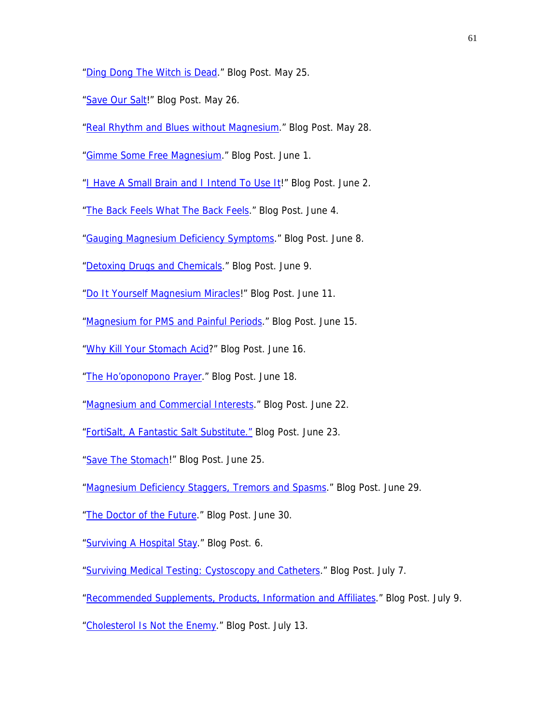["Ding Dong The Witch is Dead.](http://drcarolyndean.com/2010/05/ding-dong-the-witch-is-dead/)" Blog Post. May 25.

- ["Save Our Salt](http://drcarolyndean.com/2010/05/save-our-salt/)!" Blog Post. May 26.
- ["Real Rhythm and Blues without Magnesium](http://drcarolyndean.com/2010/05/real-rhythm-and-blues-without-magnesium/)." Blog Post. May 28.
- ["Gimme Some Free Magnesium](http://drcarolyndean.com/2010/06/gimme-some-free-magnesium/)." Blog Post. June 1.

["I Have A Small Brain and I Intend To Use It](http://drcarolyndean.com/2010/06/i-have-a-small-brain-and-i-intend-to-use-it/)!" Blog Post. June 2.

["The Back Feels What The Back Feels](http://drcarolyndean.com/2010/06/the-back-feels-what-the-back-feels/)." Blog Post. June 4.

["Gauging Magnesium Deficiency Symptoms.](http://drcarolyndean.com/2010/06/gauging-magnesium-deficiency-symptoms/)" Blog Post. June 8.

- ["Detoxing Drugs and Chemicals.](http://drcarolyndean.com/2010/06/detoxing-drugs-and-chemicals/)" Blog Post. June 9.
- ["Do It Yourself Magnesium Miracles](http://drcarolyndean.com/2010/06/do-it-yourself-magnesium-miracles/)!" Blog Post. June 11.
- ["Magnesium for PMS and Painful Periods.](http://drcarolyndean.com/2010/06/magnesium-for-pms-and-painful-periods/)" Blog Post. June 15.
- ["Why Kill Your Stomach Acid](http://drcarolyndean.com/2010/06/why-kill-your-stomach-acid/)?" Blog Post. June 16.
- ["The Ho'oponopono Prayer.](http://drcarolyndean.com/2010/06/the-ho%E2%80%99oponopono-prayer/)" Blog Post. June 18.
- ["Magnesium and Commercial Interests](http://drcarolyndean.com/2010/06/magnesium-and-commercial-interests/)." Blog Post. June 22.
- ["FortiSalt, A Fantastic Salt Substitute."](http://drcarolyndean.com/2010/06/fortisalt-a-fantastic-salt-substitute/) Blog Post. June 23.
- ["Save The Stomach!](http://drcarolyndean.com/2010/06/save-the-stomach/)" Blog Post. June 25.
- ["Magnesium Deficiency Staggers, Tremors and Spasms](http://drcarolyndean.com/2010/06/magnesium-deficiency-staggers-tremors-and-spasms/)." Blog Post. June 29.
- ["The Doctor of the Future](http://drcarolyndean.com/2010/06/the-doctor-of-the-future/)." Blog Post. June 30.
- ["Surviving A Hospital Stay.](http://drcarolyndean.com/2010/07/surviving-a-hospital-stay/%20July)" Blog Post. 6.
- ["Surviving Medical Testing: Cystoscopy and Catheters](http://drcarolyndean.com/2010/07/surviving-medical-testing-cystoscopy-and-catheters/)." Blog Post. July 7.
- ["Recommended Supplements, Products, Information and Affiliates.](http://drcarolyndean.com/2010/07/recommended-supplements-products-information-and-affiliates/)" Blog Post. July 9.

["Cholesterol Is Not the Enemy](http://drcarolyndean.com/2010/07/cholesterol-is-not-the-enemy/)." Blog Post. July 13.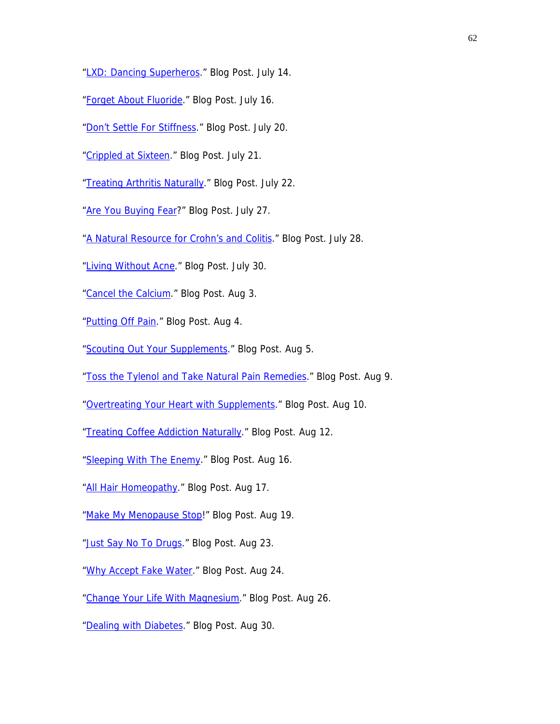- ["LXD: Dancing Superheros](http://drcarolyndean.com/2010/07/lxd-dancing-superheros/)." Blog Post. July 14.
- ["Forget About Fluoride.](http://drcarolyndean.com/2010/07/lxd-dancing-superheros/)" Blog Post. July 16.
- ["Don't Settle For Stiffness.](http://drcarolyndean.com/2010/07/don%E2%80%99t-settle-for-stiffness/)" Blog Post. July 20.
- ["Crippled at Sixteen.](http://drcarolyndean.com/2010/07/crippled-at-sixteen/)" Blog Post. July 21.
- ["Treating Arthritis Naturally.](http://drcarolyndean.com/2010/07/treating-arthritis-naturally/)" Blog Post. July 22.
- ["Are You Buying Fear?](http://drcarolyndean.com/2010/07/are-you-buying-fear/)" Blog Post. July 27.
- ["A Natural Resource for Crohn's and Colitis.](http://drcarolyndean.com/2010/07/a-natural-resource-for-crohn%E2%80%99s-and-colitis/)" Blog Post. July 28.
- ["Living Without Acne](http://drcarolyndean.com/2010/07/living-without-acne/)." Blog Post. July 30.
- ["Cancel the Calcium.](http://drcarolyndean.com/2010/08/cancel-the-calcium/)" Blog Post. Aug 3.
- ["Putting Off Pain.](http://drcarolyndean.com/2010/08/putting-off-pain/)" Blog Post. Aug 4.
- ["Scouting Out Your Supplements.](http://drcarolyndean.com/2010/08/scouting-out-your-supplements-3/)" Blog Post. Aug 5.
- ["Toss the Tylenol and Take Natural Pain Remedies](http://drcarolyndean.com/2010/08/toss-the-tylenol-and-take-natural-pain-remedies/)." Blog Post. Aug 9.
- ["Overtreating Your Heart with Supplements.](http://drcarolyndean.com/2010/08/overtreating-your-heart-with-supplements/)" Blog Post. Aug 10.
- ["Treating Coffee Addiction Naturally](http://drcarolyndean.com/2010/08/treating-coffee-addiction-naturally/)." Blog Post. Aug 12.
- ["Sleeping With The Enemy](http://drcarolyndean.com/2010/08/sleeping-with-the-enemy/)." Blog Post. Aug 16.
- ["All Hair Homeopathy](http://drcarolyndean.com/2010/08/all-hail-homeopathy/)." Blog Post. Aug 17.
- ["Make My Menopause Stop](http://drcarolyndean.com/2010/08/make-my-menopause-stop/)!" Blog Post. Aug 19.
- ["Just Say No To Drugs](http://drcarolyndean.com/2010/08/just-say-no-to-drugs/)." Blog Post. Aug 23.
- ["Why Accept Fake Water](http://drcarolyndean.com/2010/08/why-accept-fake-water/)." Blog Post. Aug 24.
- ["Change Your Life With Magnesium.](http://drcarolyndean.com/2010/08/change-your-life-with-magnesium/)" Blog Post. Aug 26.
- ["Dealing with Diabetes](http://drcarolyndean.com/2010/08/dealing-with-diabetes/)." Blog Post. Aug 30.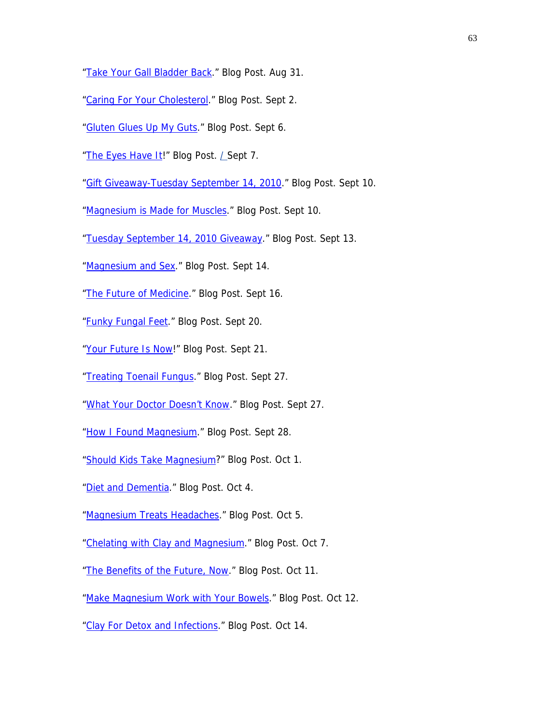- ["Take Your Gall Bladder Back.](http://drcarolyndean.com/2010/08/take-your-gall-bladder-back/)" Blog Post. Aug 31.
- ["Caring For Your Cholesterol.](http://drcarolyndean.com/2010/09/caring-for-your-cholesterol/)" Blog Post. Sept 2.
- ["Gluten Glues Up My Guts.](http://drcarolyndean.com/2010/09/gluten-glues-up-my-guts/)" Blog Post. Sept 6.
- ["The Eyes Have It!](http://drcarolyndean.com/2010/09/the-eyes-have-i)" Blog Post. *L* Sept 7.
- ["Gift Giveaway-Tuesday September 14, 2010.](http://drcarolyndean.com/2010/09/gift-giveaway-friday-september-11-2010/)" Blog Post. Sept 10.
- ["Magnesium is Made for Muscles.](http://drcarolyndean.com/2010/09/magnesium-is-made-for-muscles/)" Blog Post. Sept 10.
- ["Tuesday September 14, 2010 Giveaway.](http://drcarolyndean.com/2010/09/tuesday-september-14-2010-giveaway/)" Blog Post. Sept 13.
- ["Magnesium and Sex.](http://drcarolyndean.com/2010/09/magnesium-and-sex/)" Blog Post. Sept 14.
- ["The Future of Medicine](http://drcarolyndean.com/2010/09/the-future-of-medicine-2/)." Blog Post. Sept 16.
- "**Funky Fungal Feet.**" Blog Post. Sept 20.
- ["Your Future Is Now](http://drcarolyndean.com/2010/09/your-future-is-now/)!" Blog Post. Sept 21.
- ["Treating Toenail Fungus.](http://drcarolyndean.com/2010/09/treating-toenail-fungus/)" Blog Post. Sept 27.
- ["What Your Doctor Doesn't Know](http://drcarolyndean.com/2010/09/what-your-doctor-doesn%E2%80%99t-know/)." Blog Post. Sept 27.
- ["How I Found Magnesium.](http://drcarolyndean.com/2010/09/how-i-found-magnesium/)" Blog Post. Sept 28.
- ["Should Kids Take Magnesium](http://drcarolyndean.com/2010/10/should-kids-take-magnesium/)?" Blog Post. Oct 1.
- ["Diet and Dementia](http://drcarolyndean.com/2010/10/diet-and-dementia/)." Blog Post. Oct 4.
- ["Magnesium Treats Headaches.](http://drcarolyndean.com/2010/10/magnesium-treats-headaches/)" Blog Post. Oct 5.
- ["Chelating with Clay and Magnesium](http://drcarolyndean.com/2010/10/chelating-with-clay-and-magnesium/)." Blog Post. Oct 7.
- ["The Benefits of the Future, Now](http://drcarolyndean.com/2010/10/the-benefits-of-the-future-now/)." Blog Post. Oct 11.
- ["Make Magnesium Work with Your Bowels](http://drcarolyndean.com/2010/10/make-magnesium-work-with-your-bowels/)." Blog Post. Oct 12.
- ["Clay For Detox and Infections](http://drcarolyndean.com/2010/10/clay-for-detox-and-infections/)." Blog Post. Oct 14.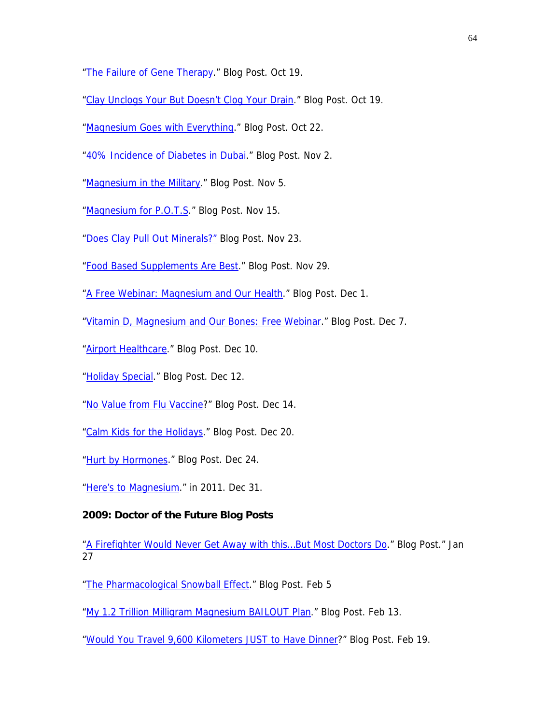["The Failure of Gene Therapy](http://drcarolyndean.com/2010/10/the-failure-of-gene-therapy/)." Blog Post. Oct 19.

["Clay Unclogs Your But Doesn't Clog Your Drain](http://drcarolyndean.com/2010/10/clay-unclogs-you-but-not-your-drain/)." Blog Post. Oct 19.

["Magnesium Goes with Everything.](http://drcarolyndean.com/2010/10/magnesium-goes-with-everything/)" Blog Post. Oct 22.

["40% Incidence of Diabetes in Dubai](http://drcarolyndean.com/2010/11/40-incidence-of-diabetes-in-dubai/)." Blog Post. Nov 2.

["Magnesium in the Military.](http://drcarolyndean.com/2010/11/magnesium-in-the-military/)" Blog Post. Nov 5.

["Magnesium for P.O.T.S](http://drcarolyndean.com/2010/11/magnesium-for-p-o-t-s/)." Blog Post. Nov 15.

["Does Clay Pull Out Minerals?"](http://drcarolyndean.com/2010/11/does-clay-pull-out-minerals/) Blog Post. Nov 23.

["Food Based Supplements Are Best.](http://drcarolyndean.com/2010/11/2986/)" Blog Post. Nov 29.

["A Free Webinar: Magnesium and Our Health](http://drcarolyndean.com/2010/12/a-free-webinar-magnesium-and-our-health/)." Blog Post. Dec 1.

["Vitamin D, Magnesium and Our Bones: Free Webinar](http://drcarolyndean.com/2010/12/vitamin-d-magnesium-and-our-bones-free-webinar/)." Blog Post. Dec 7.

["Airport Healthcare](http://drcarolyndean.com/2010/12/airport-healthcare/)." Blog Post. Dec 10.

["Holiday Special](http://drcarolyndean.com/2010/12/holiday-special/)." Blog Post. Dec 12.

["No Value from Flu Vaccine](http://drcarolyndean.com/2010/12/3021/)?" Blog Post. Dec 14.

["Calm Kids for the Holidays](http://drcarolyndean.com/2010/12/calm-kids-for-the-holidays/)." Blog Post. Dec 20.

["Hurt by Hormones](http://drcarolyndean.com/2010/12/hurt-by-hormones/)." Blog Post. Dec 24.

["Here's to Magnesium](http://drcarolyndean.com/2010/12/here%E2%80%99s-to-magnesium-in-2011/)." in 2011. Dec 31.

# **2009: Doctor of the Future Blog Posts**

"A Firefighter Would Never Get Away with this...But Most Doctors Do." Blog Post." Jan 27

["The Pharmacological Snowball Effect.](http://drcarolyndean.com/2009/02/the-pharmacological-snowball-effect/)" Blog Post. Feb 5

["My 1.2 Trillion Milligram Magnesium BAILOUT Plan](http://drcarolyndean.com/2009/02/my-12-trillion-milligram-magnesium-bailout-plan/)." Blog Post. Feb 13.

["Would You Travel 9,600 Kilometers JUST to Have Dinner?](http://drcarolyndean.com/2009/02/would-you-travel-9600-kilometers-just-to-have-dinner/)" Blog Post. Feb 19.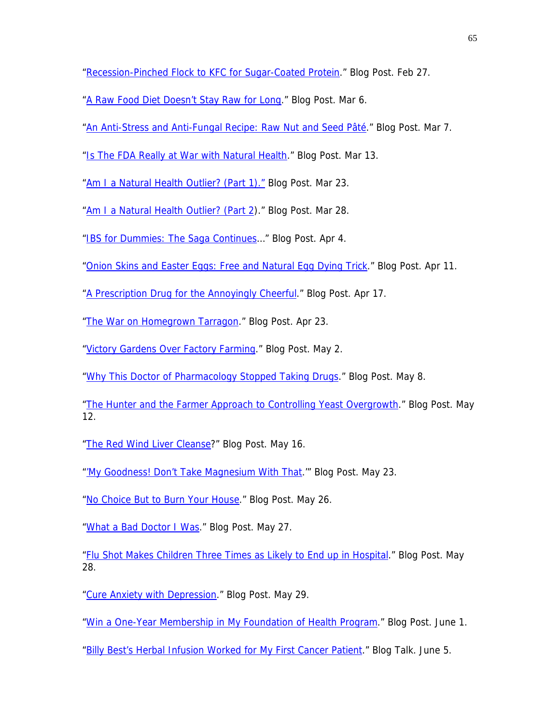["Recession-Pinched Flock to KFC for Sugar-Coated Protein](http://drcarolyndean.com/2009/02/home-cooked-food-versus-fast-food/)." Blog Post. Feb 27.

["A Raw Food Diet Doesn't Stay Raw for Long.](http://drcarolyndean.com/2009/03/a-raw-food-diet-doesnt-stay-raw-for-long/)" Blog Post. Mar 6.

["An Anti-Stress and Anti-Fungal Recipe: Raw Nut and Seed Pâté.](http://drcarolyndean.com/2009/03/an-anti-stress-and-anti-fungal-recipe-raw-nut-and-seed-pate/)" Blog Post. Mar 7.

["Is The FDA Really at War with Natural Health](http://drcarolyndean.com/2009/03/is-the-fda-really-at-war-with-natural-health/)." Blog Post. Mar 13.

["Am I a Natural Health Outlier? \(Part 1\)."](http://drcarolyndean.com/2009/03/am-i-a-natural-health-outlier-part-1/) Blog Post. Mar 23.

["Am I a Natural Health Outlier? \(Part 2\)](http://drcarolyndean.com/2009/03/am-i-a-natural-health-outlier-part-2/)." Blog Post. Mar 28.

["IBS for Dummies: The Saga Continues…](http://drcarolyndean.com/2009/04/ibs-for-dummies-the-saga-continues%E2%80%A6/)" Blog Post. Apr 4.

["Onion Skins and Easter Eggs: Free and Natural Egg Dying Trick.](http://drcarolyndean.com/2009/04/onion-skins-and-easter-eggs-free-and-natural-egg-dying-trick/)" Blog Post. Apr 11.

["A Prescription Drug for the Annoyingly Cheerful](http://drcarolyndean.com/2009/04/a-prescription-drug-for-the-annoyingly-cheerful/)." Blog Post. Apr 17.

["The War on Homegrown Tarragon](http://drcarolyndean.com/2009/04/the-war-on-homegrown-tarragon/)." Blog Post. Apr 23.

["Victory Gardens Over Factory Farming.](http://drcarolyndean.com/2009/05/victory-gardens-over-factory-farming/)" Blog Post. May 2.

["Why This Doctor of Pharmacology Stopped Taking Drugs](http://drcarolyndean.com/2009/05/why-this-doctor-of-pharmacology-stopped-taking-drugs/)." Blog Post. May 8.

["The Hunter and the Farmer Approach to Controlling Yeast Overgrowth.](http://drcarolyndean.com/2009/05/the-hunter-and-the-farmer-approach-to-controlling-yeast-overgrowth/)" Blog Post. May 12.

["The Red Wind Liver Cleanse?](http://drcarolyndean.com/2009/05/the-red-wine-liver-cleanse/)" Blog Post. May 16.

["'My Goodness! Don't Take Magnesium With That](http://drcarolyndean.com/2009/05/my-goodness-dont-take-magnesium-with-that%E2%80%A6/).'" Blog Post. May 23.

["No Choice But to Burn Your House.](http://drcarolyndean.com/2009/05/no-choice-but-to-burn-your-house/)" Blog Post. May 26.

["What a Bad Doctor I Was](http://drcarolyndean.com/2009/05/what-a-bad-doctor-i-was/)." Blog Post. May 27.

["Flu Shot Makes Children Three Times as Likely to End up in Hospital.](http://drcarolyndean.com/2009/05/flu-shot-makes-children-three-times-as-likely-to-end-up-in-the-hospital/)" Blog Post. May 28.

["Cure Anxiety with Depression.](http://drcarolyndean.com/2009/05/cure-anxiety-with-depression/)" Blog Post. May 29.

["Win a One-Year Membership in My Foundation of Health Program.](http://drcarolyndean.com/2009/06/win-a-one-year-membership-in-my-foundation-of-health-program/)" Blog Post. June 1.

["Billy Best's Herbal Infusion Worked for My First Cancer Patient](http://drcarolyndean.com/2009/06/billy-bests-herbal-infusion-worked-for-my-first-cancer-patient/)." Blog Talk. June 5.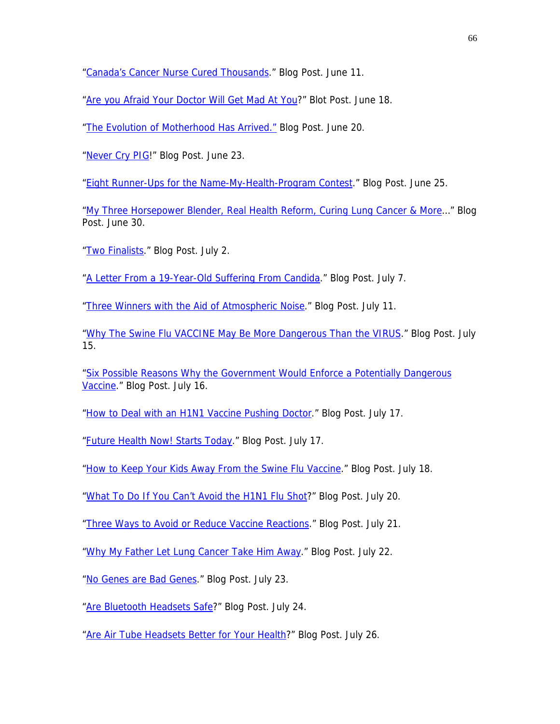["Canada's Cancer Nurse Cured Thousands](http://drcarolyndean.com/2009/06/canadas-cancer-nurse-cured-thousands/)." Blog Post. June 11.

["Are you Afraid Your Doctor Will Get Mad At You?](http://drcarolyndean.com/2009/06/are-you-afraid-your-doctor-will-get-mad-at-you/)" Blot Post. June 18.

["The Evolution of Motherhood Has Arrived."](http://drcarolyndean.com/2009/06/the-evolution-of-motherhood-has-arrived/) Blog Post. June 20.

["Never Cry PIG](http://drcarolyndean.com/2009/06/never-cry-pig/)!" Blog Post. June 23.

["Eight Runner-Ups for the Name-My-Health-Program Contest.](http://drcarolyndean.com/2009/06/eight-runner-ups-for-the-name-my-health-program-contest/)" Blog Post. June 25.

["My Three Horsepower Blender, Real Health Reform, Curing Lung Cancer & More](http://drcarolyndean.com/2009/06/my-three-horsepower-blender-real-health-reform-curing-lung-cancer-more%E2%80%A6/)…" Blog Post. June 30.

["Two Finalists](http://drcarolyndean.com/2009/07/two-finalists/)." Blog Post. July 2.

["A Letter From a 19-Year-Old Suffering From Candida.](http://drcarolyndean.com/2009/07/a-letter-from-a-19-year-old-suffering-from-candida/)" Blog Post. July 7.

["Three Winners with the Aid of Atmospheric Noise](http://drcarolyndean.com/2009/07/three-winners-with-the-aid-of-atmospheric-noise/)." Blog Post. July 11.

["Why The Swine Flu VACCINE May Be More Dangerous Than the VIRUS](http://drcarolyndean.com/2009/07/why-the-swine-flu-vaccine-may-be-more-dangerous-than-the-virus/)." Blog Post. July 15.

["Six Possible Reasons Why the Government Would Enforce a Potentially Dangerous](http://drcarolyndean.com/2009/07/six-possible-reasons-why-the-government-would-enforce-a-potentially-dangerous-vaccine/)  [Vaccine.](http://drcarolyndean.com/2009/07/six-possible-reasons-why-the-government-would-enforce-a-potentially-dangerous-vaccine/)" Blog Post. July 16.

["How to Deal with an H1N1 Vaccine Pushing Doctor.](http://drcarolyndean.com/2009/07/how-to-deal-with-an-h1n1-vaccine-pushing-doctor/)" Blog Post. July 17.

["Future Health Now! Starts Today.](http://drcarolyndean.com/2009/07/future-health-now-starts-today/)" Blog Post. July 17.

["How to Keep Your Kids Away From the Swine Flu Vaccine.](http://drcarolyndean.com/2009/07/how-to-keep-your-kids-away-from-the-swine-flu-vaccine/)" Blog Post. July 18.

["What To Do If You Can't Avoid the H1N1 Flu Shot?](http://drcarolyndean.com/2009/07/what-to-do-if-you-cant-avoid-the-h1n1-flu-shot/)" Blog Post. July 20.

["Three Ways to Avoid or Reduce Vaccine Reactions](http://drcarolyndean.com/2009/07/three-ways-to-avoid-or-reduce-vaccine-reactions/)." Blog Post. July 21.

["Why My Father Let Lung Cancer Take Him Away](http://drcarolyndean.com/2009/07/why-my-father-let-lung-cancer-take-him-away/)." Blog Post. July 22.

["No Genes are Bad Genes](http://drcarolyndean.com/2009/07/no-genes-are-bad-genes/)." Blog Post. July 23.

["Are Bluetooth Headsets Safe?](http://drcarolyndean.com/2009/07/are-bluetooth-headsets-safe/)" Blog Post. July 24.

["Are Air Tube Headsets Better for Your Health](http://drcarolyndean.com/2009/07/are-air-tube-headsets-better-for-your-health/)?" Blog Post. July 26.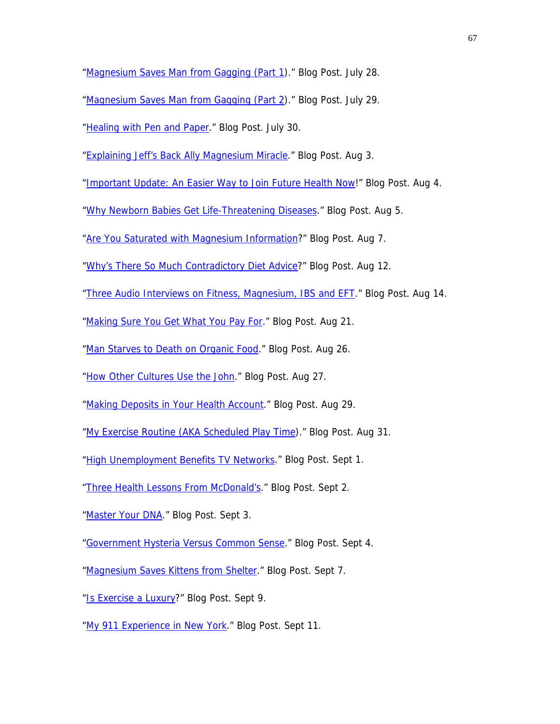["Magnesium Saves Man from Gagging \(Part 1\)](http://drcarolyndean.com/2009/07/a-magnesium-miracle-man-saved-from-gagging/)." Blog Post. July 28.

["Magnesium Saves Man from Gagging \(Part 2\)](http://drcarolyndean.com/2009/07/a-magnesium-miracle-part-2-man-saved-from-gagging/)." Blog Post. July 29.

["Healing with Pen and Paper.](http://drcarolyndean.com/2009/07/healing-with-pen-and-paper/)" Blog Post. July 30.

["Explaining Jeff's Back Ally Magnesium Miracle.](http://drcarolyndean.com/2009/08/explaining-jeffs-back-alley-magnesium-miracle/)" Blog Post. Aug 3.

["Important Update: An Easier Way to Join Future Health Now!](http://drcarolyndean.com/2009/08/important-update-an-easier-way-to-join-future-health-now/)" Blog Post. Aug 4.

["Why Newborn Babies Get Life-Threatening Diseases.](http://drcarolyndean.com/2009/08/why-newborn-babies-get-life-threatening-diseases/)" Blog Post. Aug 5.

["Are You Saturated with Magnesium Information?](http://drcarolyndean.com/2009/08/are-you-saturated-with-magnesium-information/)" Blog Post. Aug 7.

["Why's There So Much Contradictory Diet Advice?](http://drcarolyndean.com/2009/08/whys-there-so-much-contradictory-diet-advice/)" Blog Post. Aug 12.

["Three Audio Interviews on Fitness, Magnesium, IBS and EFT](http://drcarolyndean.com/2009/08/three-audio-interviews-on-fitness-magnesium-ibs-and-eft/)." Blog Post. Aug 14.

["Making Sure You Get What You Pay For](http://drcarolyndean.com/2009/08/making-sure-you-get-what-you-pay-for/)." Blog Post. Aug 21.

["Man Starves to Death on Organic Food.](http://drcarolyndean.com/2009/08/man-starves-to-death-on-organic-food/)" Blog Post. Aug 26.

["How Other Cultures Use the John.](http://drcarolyndean.com/2009/08/how-other-cultures-use-the-john/)" Blog Post. Aug 27.

["Making Deposits in Your Health Account](http://drcarolyndean.com/2009/08/making-deposits-in-your-health-account/)." Blog Post. Aug 29.

["My Exercise Routine \(AKA Scheduled Play Time](http://drcarolyndean.com/2009/08/my-exercise-routine-aka-scheduled-play-time/))." Blog Post. Aug 31.

["High Unemployment Benefits TV Networks.](http://drcarolyndean.com/2009/09/high-unemployment-benefits-tv-networks/)" Blog Post. Sept 1.

["Three Health Lessons From McDonald's](http://drcarolyndean.com/2009/09/three-health-lessons-from-mcdonalds/)." Blog Post. Sept 2.

["Master Your DNA.](http://drcarolyndean.com/2009/09/master-your-dna/)" Blog Post. Sept 3.

["Government Hysteria Versus Common Sense](http://drcarolyndean.com/2009/09/government-hysteria-versus-common-sense/)." Blog Post. Sept 4.

["Magnesium Saves Kittens from Shelter](http://drcarolyndean.com/2009/09/magnesium-saves-kittens-from-shelter/)." Blog Post. Sept 7.

["Is Exercise a Luxury?](http://drcarolyndean.com/2009/09/is-exercise-a-luxury/)" Blog Post. Sept 9.

["My 911 Experience in New York.](http://drcarolyndean.com/2009/09/my-911-experience-in-new-york/)" Blog Post. Sept 11.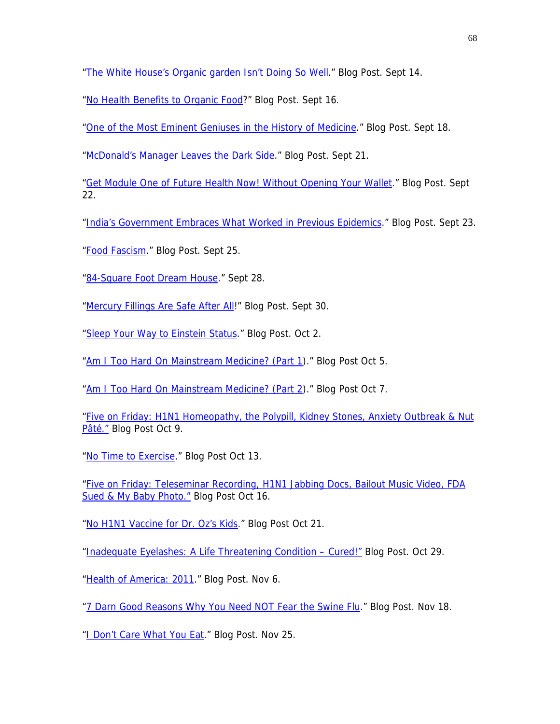["The White House's Organic garden Isn't Doing So Well.](http://drcarolyndean.com/2009/09/the-white-houses-organic-garden-isnt-doing-so-well/)" Blog Post. Sept 14.

["No Health Benefits to Organic Food?](http://drcarolyndean.com/2009/09/no-health-benefits-to-organic-food/)" Blog Post. Sept 16.

["One of the Most Eminent Geniuses in the History of Medicine.](http://drcarolyndean.com/2009/09/video-one-of-the-most-eminent-geniuses-in-the-history-of-medicine/)" Blog Post. Sept 18.

["McDonald's Manager Leaves the Dark Side](http://drcarolyndean.com/2009/09/mcdonalds-manager-leaves-the-dark-side/)." Blog Post. Sept 21.

["Get Module One of Future Health Now! Without Opening Your Wallet.](http://drcarolyndean.com/2009/09/get-module-one-of-future-health-now-without-opening-your-wallet/)" Blog Post. Sept 22.

["India's Government Embraces What Worked in Previous Epidemics](http://drcarolyndean.com/2009/09/indias-government-embraces-what-worked-in-previous-epidemics/)." Blog Post. Sept 23.

["Food Fascism.](http://drcarolyndean.com/2009/09/food-fascism/)" Blog Post. Sept 25.

["84-Square Foot Dream House](http://drcarolyndean.com/2009/09/84-square-foot-dream-house/)." Sept 28.

["Mercury Fillings Are Safe After All](http://drcarolyndean.com/2009/09/mercury-fillings-are-safe-after-all/)!" Blog Post. Sept 30.

["Sleep Your Way to Einstein Status](http://drcarolyndean.com/2009/10/sleep-your-way-to-einstein-status/)." Blog Post. Oct 2.

["Am I Too Hard On Mainstream Medicine? \(Part 1\)](http://drcarolyndean.com/2009/10/am-i-too-hard-on-mainstream-medicine-part-1/)." Blog Post Oct 5.

["Am I Too Hard On Mainstream Medicine? \(Part 2\)](http://drcarolyndean.com/2009/10/am-i-too-hard-on-mainstream-medicine-part-2/)." Blog Post Oct 7.

["Five on Friday: H1N1 Homeopathy, the Polypill, Kidney Stones, Anxiety Outbreak & Nut](http://drcarolyndean.com/2009/10/five-on-friday-h1n1-homeopathy-the-polypill-kidney-stones-anxiety-outbreak-nut-pate/)  [Pâté."](http://drcarolyndean.com/2009/10/five-on-friday-h1n1-homeopathy-the-polypill-kidney-stones-anxiety-outbreak-nut-pate/) Blog Post Oct 9.

["No Time to Exercise](http://drcarolyndean.com/2009/10/no-time-to-exercise/)." Blog Post Oct 13.

["Five on Friday: Teleseminar Recording, H1N1 Jabbing Docs, Bailout Music Video, FDA](http://drcarolyndean.com/2009/10/five-on-friday-teleseminar-recording-h1n1-jabbing-docs-bailout-music-video-fda-sued-my-baby-photo/)  [Sued & My Baby Photo."](http://drcarolyndean.com/2009/10/five-on-friday-teleseminar-recording-h1n1-jabbing-docs-bailout-music-video-fda-sued-my-baby-photo/) Blog Post Oct 16.

["No H1N1 Vaccine for Dr. Oz's Kids](http://drcarolyndean.com/2009/10/no-h1n1-vaccine-for-dr-ozs-kids/)." Blog Post Oct 21.

["Inadequate Eyelashes: A Life Threatening Condition – Cured!"](http://drcarolyndean.com/2009/10/inadequate-eyelashes-a-life-threatening-condition-%E2%80%93-cured/) Blog Post. Oct 29.

["Health of America: 2011](http://drcarolyndean.com/2009/11/health-of-america-2011/)." Blog Post. Nov 6.

["7 Darn Good Reasons Why You Need NOT Fear the Swine Flu.](http://drcarolyndean.com/2009/11/7-darn-good-reasons-why-you-need-not-fear-the-swine-flu/)" Blog Post. Nov 18.

["I Don't Care What You Eat.](http://drcarolyndean.com/2009/11/i-dont-care-what-you-eat/)" Blog Post. Nov 25.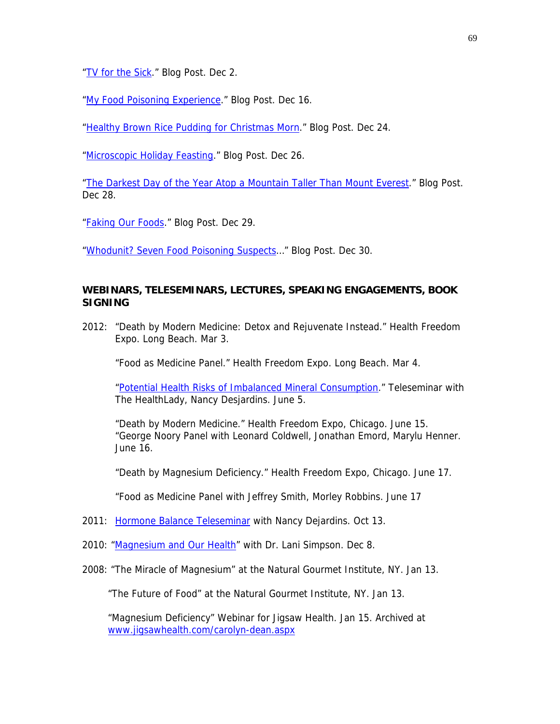["TV for the Sick.](http://drcarolyndean.com/2009/12/tv-for-the-sick/)" Blog Post. Dec 2.

["My Food Poisoning Experience](http://drcarolyndean.com/2009/12/an-evening-of-food-poisoning/)." Blog Post. Dec 16.

["Healthy Brown Rice Pudding for Christmas Morn.](http://drcarolyndean.com/2009/12/healthy-rice-pudding-for-christmas-morn/)" Blog Post. Dec 24.

["Microscopic Holiday Feasting](http://drcarolyndean.com/2009/12/microscopic-holiday-feasting/)." Blog Post. Dec 26.

["The Darkest Day of the Year Atop a Mountain Taller Than Mount Everest](http://drcarolyndean.com/2009/12/the-darkest-day-of-the-year-atop-a-mountain-taller-than-mt-everest/)." Blog Post. Dec 28.

["Faking Our Foods](http://drcarolyndean.com/2009/12/faking-our-foods/)." Blog Post. Dec 29.

"Whodunit? Seven Food Poisoning Suspects..." Blog Post. Dec 30.

### **WEBINARS, TELESEMINARS, LECTURES, SPEAKING ENGAGEMENTS, BOOK SIGNING**

2012: "Death by Modern Medicine: Detox and Rejuvenate Instead." Health Freedom Expo. Long Beach. Mar 3.

"Food as Medicine Panel." Health Freedom Expo. Long Beach. Mar 4.

["Potential Health Risks of Imbalanced Mineral Consumption.](http://www.webwire.com/ViewPressRel.asp?aId=157084%20http://healthlady.com/audio/InterviewWithDrCarolynDeanMay2012.mp3)" Teleseminar with The HealthLady, Nancy Desjardins. June 5.

 "Death by Modern Medicine." Health Freedom Expo, Chicago. June 15. "George Noory Panel with Leonard Coldwell, Jonathan Emord, Marylu Henner. June 16.

"Death by Magnesium Deficiency." Health Freedom Expo, Chicago. June 17.

"Food as Medicine Panel with Jeffrey Smith, Morley Robbins. June 17

- 2011:[Hormone Balance Teleseminar](http://healthlady.com/audio/InterviewWithCarolynDeanOctober2011.mp3) with Nancy Dejardins. Oct 13.
- 2010: "[Magnesium and Our Health](http://www.lanisimpson.com/seminars/webinars/magnesium-and-our-health-with-carolyn-dean/)" with Dr. Lani Simpson. Dec 8.
- 2008: "The Miracle of Magnesium" at the Natural Gourmet Institute, NY. Jan 13.

"The Future of Food" at the Natural Gourmet Institute, NY. Jan 13.

"Magnesium Deficiency" Webinar for Jigsaw Health. Jan 15. Archived at [www.jigsawhealth.com/carolyn-dean.aspx](http://www.jigsawhealth.com/carolyn-dean.aspx)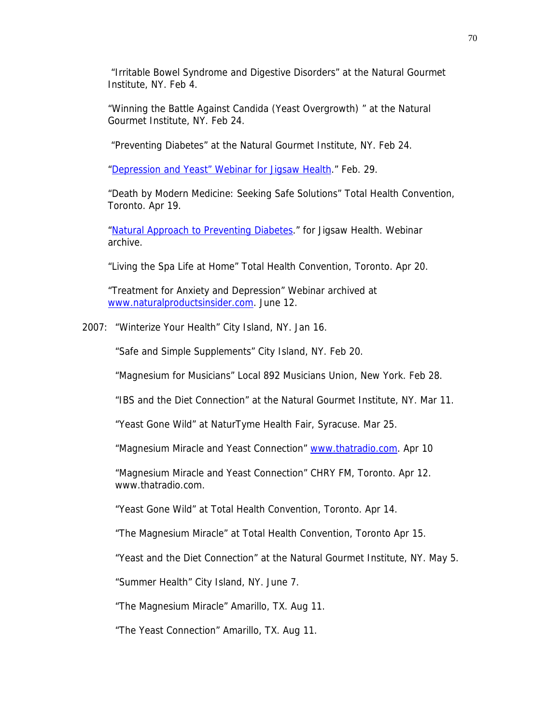"Irritable Bowel Syndrome and Digestive Disorders" at the Natural Gourmet Institute, NY. Feb 4.

"Winning the Battle Against Candida (Yeast Overgrowth) " at the Natural Gourmet Institute, NY. Feb 24.

"Preventing Diabetes" at the Natural Gourmet Institute, NY. Feb 24.

["Depression and Yeast" Webinar for Jigsaw Health](http://www.drcarolyndean.com/videos_youtube01.html)." Feb. 29.

"Death by Modern Medicine: Seeking Safe Solutions" Total Health Convention, Toronto. Apr 19.

["Natural Approach to Preventing Diabetes](http://www.jigsawhealth.com/articles/diabetes-webinar.htm)." for Jigsaw Health. Webinar archive.

"Living the Spa Life at Home" Total Health Convention, Toronto. Apr 20.

"Treatment for Anxiety and Depression" Webinar archived at [www.naturalproductsinsider.com](http://www.naturalproductsinsider.com/). June 12.

2007: "Winterize Your Health" City Island, NY. Jan 16.

"Safe and Simple Supplements" City Island, NY. Feb 20.

"Magnesium for Musicians" Local 892 Musicians Union, New York. Feb 28.

"IBS and the Diet Connection" at the Natural Gourmet Institute, NY. Mar 11.

"Yeast Gone Wild" at NaturTyme Health Fair, Syracuse. Mar 25.

"Magnesium Miracle and Yeast Connection" [www.thatradio.com.](http://www.thatradio.com/) Apr 10

"Magnesium Miracle and Yeast Connection" CHRY FM, Toronto. Apr 12. www.thatradio.com.

"Yeast Gone Wild" at Total Health Convention, Toronto. Apr 14.

"The Magnesium Miracle" at Total Health Convention, Toronto Apr 15.

"Yeast and the Diet Connection" at the Natural Gourmet Institute, NY. May 5.

"Summer Health" City Island, NY. June 7.

"The Magnesium Miracle" Amarillo, TX. Aug 11.

"The Yeast Connection" Amarillo, TX. Aug 11.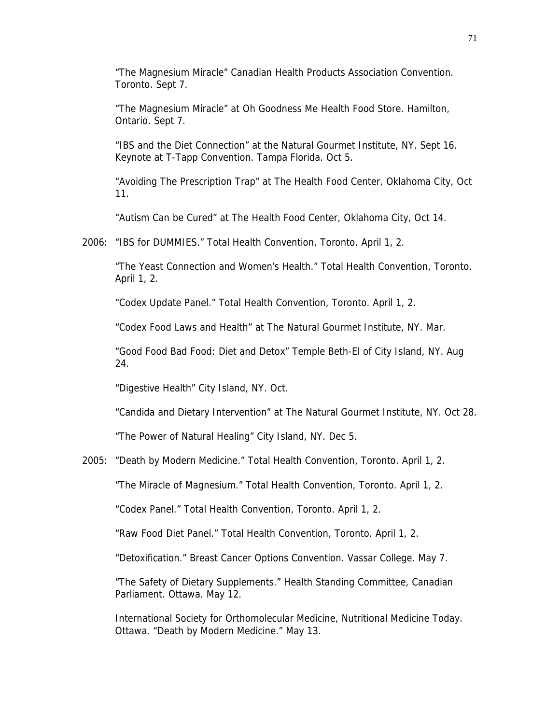"The Magnesium Miracle" Canadian Health Products Association Convention. Toronto. Sept 7.

 "The Magnesium Miracle" at Oh Goodness Me Health Food Store. Hamilton, Ontario. Sept 7.

 "IBS and the Diet Connection" at the Natural Gourmet Institute, NY. Sept 16. Keynote at T-Tapp Convention. Tampa Florida. Oct 5.

 "Avoiding The Prescription Trap" at The Health Food Center, Oklahoma City, Oct 11.

"Autism Can be Cured" at The Health Food Center, Oklahoma City, Oct 14.

2006: "IBS for DUMMIES." Total Health Convention, Toronto. April 1, 2.

"The Yeast Connection and Women's Health." Total Health Convention, Toronto. April 1, 2.

"Codex Update Panel." Total Health Convention, Toronto. April 1, 2.

"Codex Food Laws and Health" at The Natural Gourmet Institute, NY. Mar.

"Good Food Bad Food: Diet and Detox" Temple Beth-El of City Island, NY. Aug 24.

"Digestive Health" City Island, NY. Oct.

"Candida and Dietary Intervention" at The Natural Gourmet Institute, NY. Oct 28.

"The Power of Natural Healing" City Island, NY. Dec 5.

2005: "Death by Modern Medicine." Total Health Convention, Toronto. April 1, 2.

"The Miracle of Magnesium." Total Health Convention, Toronto. April 1, 2.

"Codex Panel." Total Health Convention, Toronto. April 1, 2.

"Raw Food Diet Panel." Total Health Convention, Toronto. April 1, 2.

"Detoxification." Breast Cancer Options Convention. Vassar College. May 7.

 "The Safety of Dietary Supplements." Health Standing Committee, Canadian Parliament. Ottawa. May 12.

 International Society for Orthomolecular Medicine, Nutritional Medicine Today. Ottawa. "Death by Modern Medicine." May 13.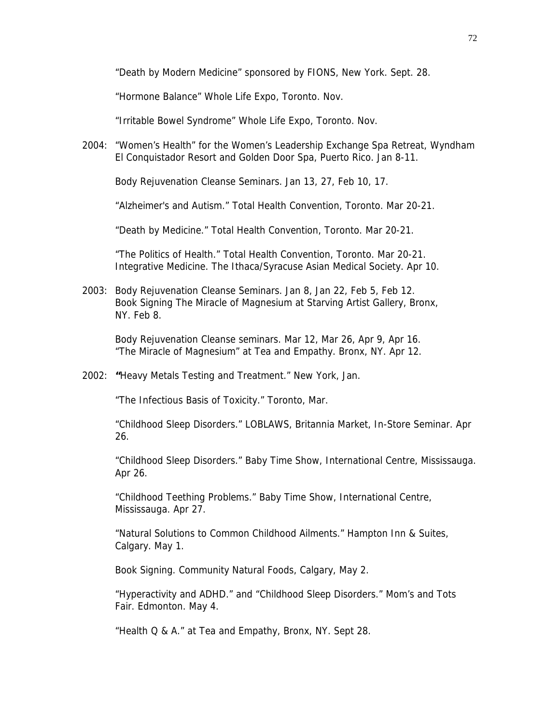"Death by Modern Medicine" sponsored by FIONS, New York. Sept. 28.

"Hormone Balance" Whole Life Expo, Toronto. Nov.

"Irritable Bowel Syndrome" Whole Life Expo, Toronto. Nov.

2004: "Women's Health" for the Women's Leadership Exchange Spa Retreat, Wyndham El Conquistador Resort and Golden Door Spa, Puerto Rico. Jan 8-11.

Body Rejuvenation Cleanse Seminars. Jan 13, 27, Feb 10, 17.

"Alzheimer's and Autism." Total Health Convention, Toronto. Mar 20-21.

"Death by Medicine." Total Health Convention, Toronto. Mar 20-21.

"The Politics of Health." Total Health Convention, Toronto. Mar 20-21. Integrative Medicine. The Ithaca/Syracuse Asian Medical Society. Apr 10.

2003: Body Rejuvenation Cleanse Seminars. Jan 8, Jan 22, Feb 5, Feb 12. Book Signing The Miracle of Magnesium at Starving Artist Gallery, Bronx, NY. Feb 8.

Body Rejuvenation Cleanse seminars. Mar 12, Mar 26, Apr 9, Apr 16. "The Miracle of Magnesium" at Tea and Empathy. Bronx, NY. Apr 12.

2002: **"**Heavy Metals Testing and Treatment." New York, Jan.

"The Infectious Basis of Toxicity." Toronto, Mar.

"Childhood Sleep Disorders." LOBLAWS, Britannia Market, In-Store Seminar. Apr 26.

"Childhood Sleep Disorders." Baby Time Show, International Centre, Mississauga. Apr 26.

 "Childhood Teething Problems." Baby Time Show, International Centre, Mississauga. Apr 27.

"Natural Solutions to Common Childhood Ailments." Hampton Inn & Suites, Calgary. May 1.

Book Signing. Community Natural Foods, Calgary, May 2.

"Hyperactivity and ADHD." and "Childhood Sleep Disorders." Mom's and Tots Fair. Edmonton. May 4.

"Health Q & A." at Tea and Empathy, Bronx, NY. Sept 28.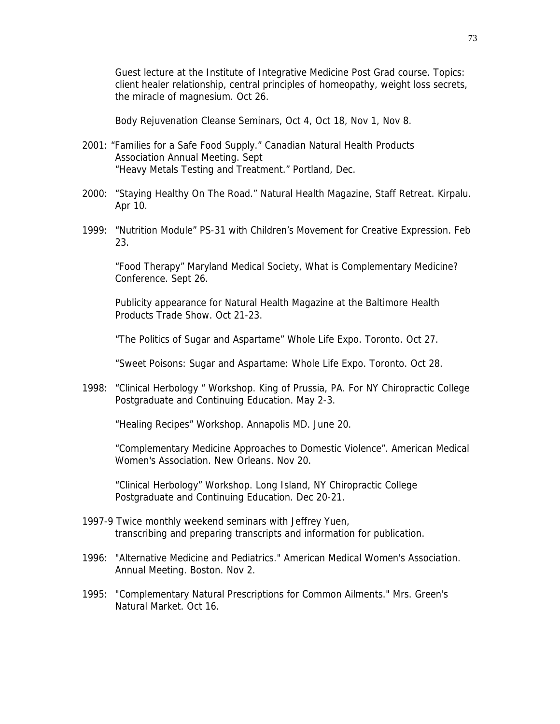Guest lecture at the Institute of Integrative Medicine Post Grad course. Topics: client healer relationship, central principles of homeopathy, weight loss secrets, the miracle of magnesium. Oct 26.

Body Rejuvenation Cleanse Seminars, Oct 4, Oct 18, Nov 1, Nov 8.

- 2001: "Families for a Safe Food Supply." Canadian Natural Health Products Association Annual Meeting. Sept "Heavy Metals Testing and Treatment." Portland, Dec.
- 2000: "Staying Healthy On The Road." Natural Health Magazine, Staff Retreat. Kirpalu. Apr 10.
- 1999: "Nutrition Module" PS-31 with Children's Movement for Creative Expression. Feb 23.

"Food Therapy" Maryland Medical Society, What is Complementary Medicine? Conference. Sept 26.

Publicity appearance for Natural Health Magazine at the Baltimore Health Products Trade Show. Oct 21-23.

"The Politics of Sugar and Aspartame" Whole Life Expo. Toronto. Oct 27.

"Sweet Poisons: Sugar and Aspartame: Whole Life Expo. Toronto. Oct 28.

1998: "Clinical Herbology " Workshop. King of Prussia, PA. For NY Chiropractic College Postgraduate and Continuing Education. May 2-3.

"Healing Recipes" Workshop. Annapolis MD. June 20.

"Complementary Medicine Approaches to Domestic Violence". American Medical Women's Association. New Orleans. Nov 20.

"Clinical Herbology" Workshop. Long Island, NY Chiropractic College Postgraduate and Continuing Education. Dec 20-21.

- 1997-9 Twice monthly weekend seminars with Jeffrey Yuen, transcribing and preparing transcripts and information for publication.
- 1996: "Alternative Medicine and Pediatrics." American Medical Women's Association. Annual Meeting. Boston. Nov 2.
- 1995: "Complementary Natural Prescriptions for Common Ailments." Mrs. Green's Natural Market. Oct 16.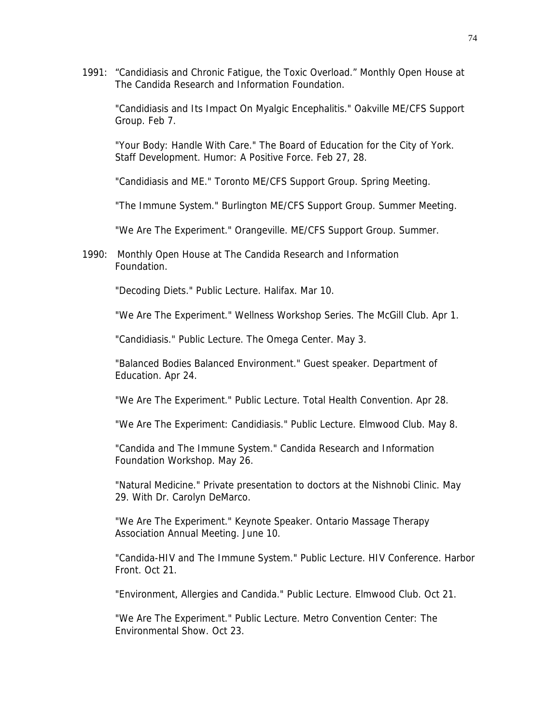1991: "Candidiasis and Chronic Fatigue, the Toxic Overload." Monthly Open House at The Candida Research and Information Foundation.

"Candidiasis and Its Impact On Myalgic Encephalitis." Oakville ME/CFS Support Group. Feb 7.

"Your Body: Handle With Care." The Board of Education for the City of York. Staff Development. Humor: A Positive Force. Feb 27, 28.

"Candidiasis and ME." Toronto ME/CFS Support Group. Spring Meeting.

"The Immune System." Burlington ME/CFS Support Group. Summer Meeting.

"We Are The Experiment." Orangeville. ME/CFS Support Group. Summer.

1990: Monthly Open House at The Candida Research and Information Foundation.

"Decoding Diets." Public Lecture. Halifax. Mar 10.

"We Are The Experiment." Wellness Workshop Series. The McGill Club. Apr 1.

"Candidiasis." Public Lecture. The Omega Center. May 3.

 "Balanced Bodies Balanced Environment." Guest speaker. Department of Education. Apr 24.

"We Are The Experiment." Public Lecture. Total Health Convention. Apr 28.

"We Are The Experiment: Candidiasis." Public Lecture. Elmwood Club. May 8.

"Candida and The Immune System." Candida Research and Information Foundation Workshop. May 26.

"Natural Medicine." Private presentation to doctors at the Nishnobi Clinic. May 29. With Dr. Carolyn DeMarco.

"We Are The Experiment." Keynote Speaker. Ontario Massage Therapy Association Annual Meeting. June 10.

 "Candida-HIV and The Immune System." Public Lecture. HIV Conference. Harbor Front. Oct 21.

"Environment, Allergies and Candida." Public Lecture. Elmwood Club. Oct 21.

"We Are The Experiment." Public Lecture. Metro Convention Center: The Environmental Show. Oct 23.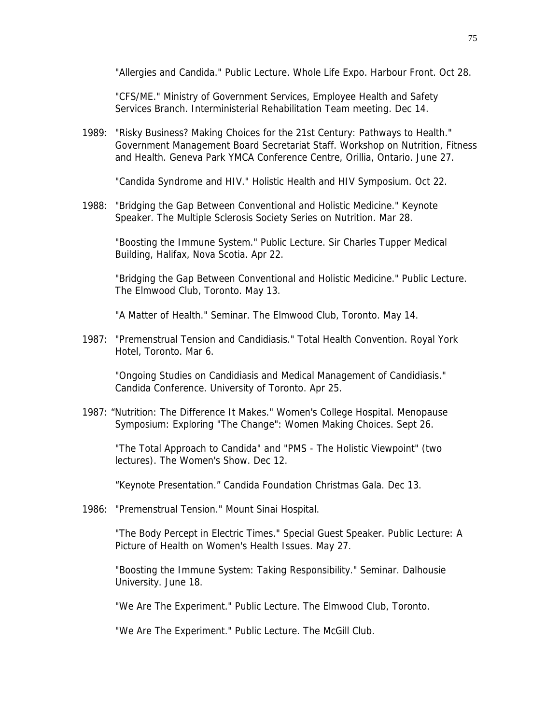"Allergies and Candida." Public Lecture. Whole Life Expo. Harbour Front. Oct 28.

"CFS/ME." Ministry of Government Services, Employee Health and Safety Services Branch. Interministerial Rehabilitation Team meeting. Dec 14.

1989: "Risky Business? Making Choices for the 21st Century: Pathways to Health." Government Management Board Secretariat Staff. Workshop on Nutrition, Fitness and Health. Geneva Park YMCA Conference Centre, Orillia, Ontario. June 27.

"Candida Syndrome and HIV." Holistic Health and HIV Symposium. Oct 22.

1988: "Bridging the Gap Between Conventional and Holistic Medicine." Keynote Speaker. The Multiple Sclerosis Society Series on Nutrition. Mar 28.

"Boosting the Immune System." Public Lecture. Sir Charles Tupper Medical Building, Halifax, Nova Scotia. Apr 22.

"Bridging the Gap Between Conventional and Holistic Medicine." Public Lecture. The Elmwood Club, Toronto. May 13.

"A Matter of Health." Seminar. The Elmwood Club, Toronto. May 14.

1987: "Premenstrual Tension and Candidiasis." Total Health Convention. Royal York Hotel, Toronto. Mar 6.

"Ongoing Studies on Candidiasis and Medical Management of Candidiasis." Candida Conference. University of Toronto. Apr 25.

1987: "Nutrition: The Difference It Makes." Women's College Hospital. Menopause Symposium: Exploring "The Change": Women Making Choices. Sept 26.

"The Total Approach to Candida" and "PMS - The Holistic Viewpoint" (two lectures). The Women's Show. Dec 12.

"Keynote Presentation." Candida Foundation Christmas Gala. Dec 13.

1986: "Premenstrual Tension." Mount Sinai Hospital.

"The Body Percept in Electric Times." Special Guest Speaker. Public Lecture: A Picture of Health on Women's Health Issues. May 27.

"Boosting the Immune System: Taking Responsibility." Seminar. Dalhousie University. June 18.

"We Are The Experiment." Public Lecture. The Elmwood Club, Toronto.

"We Are The Experiment." Public Lecture. The McGill Club.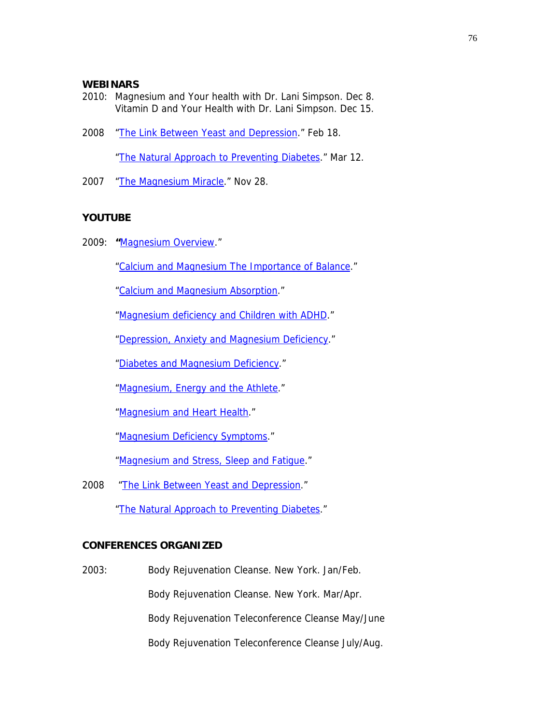## **WEBINARS**

- 2010: Magnesium and Your health with Dr. Lani Simpson. Dec 8. Vitamin D and Your Health with Dr. Lani Simpson. Dec 15.
- 2008 ["The Link Between Yeast and Depression](http://www.jigsawhealth.com/articles/depression-yeast-webinar.html)." Feb 18.

["The Natural Approach to Preventing Diabetes](http://www.jigsawhealth.com/articles/diabetes-webinar.html)." Mar 12.

2007 ["The Magnesium Miracle.](http://www.jigsawhealth.com/articles/magnesium-webinar.html)" Nov 28.

## **YOUTUBE**

2009: **"**[Magnesium Overview.](http://www.nutritionalmagnesium.org/video-audio/magnesium-overview.htm)"

["Calcium and Magnesium The Importance of Balance](http://www.nutritionalmagnesium.org/video-audio/magnesium-overview.html)."

["Calcium and Magnesium Absorption.](http://www.nutritionalmagnesium.org/video-audio/calcium-absorption.html)"

["Magnesium deficiency and Children with ADHD.](http://www.nutritionalmagnesium.org/video-audio/children-and-adhd.html)"

["Depression, Anxiety and Magnesium Deficiency.](http://www.nutritionalmagnesium.org/video-audio/depression-and-anxiety.html)"

["Diabetes and Magnesium Deficiency](http://www.nutritionalmagnesium.org/video-audio/diabetes.html)."

["Magnesium, Energy and the Athlete.](http://www.nutritionalmagnesium.org/video-audio/energy-and-athlete-performance.html)"

["Magnesium and Heart Health.](http://www.nutritionalmagnesium.org/video-audio/heart-health.html)"

["Magnesium Deficiency Symptoms](http://www.nutritionalmagnesium.org/video-audio/magnesium-deficiency.html)."

["Magnesium and Stress, Sleep and Fatigue](http://www.nutritionalmagnesium.org/video-audio/stress.html)."

2008 "[The Link Between Yeast and Depression.](http://www.youtube.com/watch?v=rQO1e5wJyOQ)"

["The Natural Approach to Preventing Diabetes](http://www.youtube.com/watch?v=Xkz8khaLJb8&feature=related)."

## **CONFERENCES ORGANIZED**

2003: Body Rejuvenation Cleanse. New York. Jan/Feb. Body Rejuvenation Cleanse. New York. Mar/Apr. Body Rejuvenation Teleconference Cleanse May/June Body Rejuvenation Teleconference Cleanse July/Aug.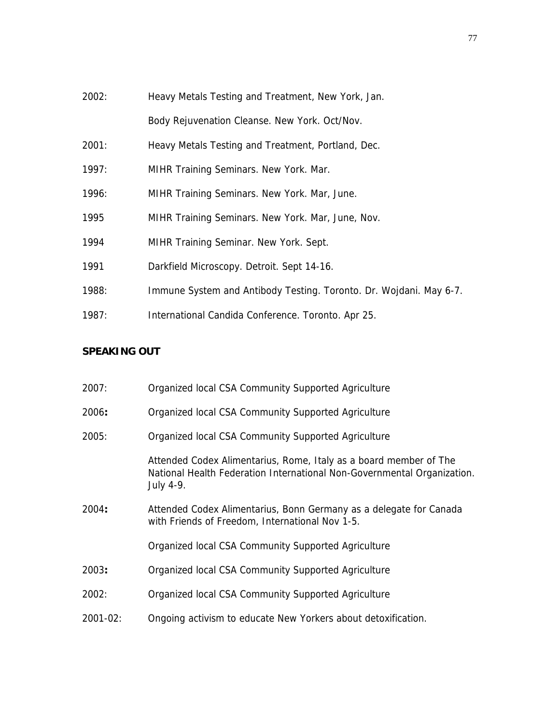- 2002: Heavy Metals Testing and Treatment, New York, Jan. Body Rejuvenation Cleanse. New York. Oct/Nov.
- 2001: Heavy Metals Testing and Treatment, Portland, Dec.
- 1997: MIHR Training Seminars. New York. Mar.
- 1996: MIHR Training Seminars. New York. Mar, June.
- 1995 MIHR Training Seminars. New York. Mar, June, Nov.
- 1994 MIHR Training Seminar. New York. Sept.
- 1991 Darkfield Microscopy. Detroit. Sept 14-16.
- 1988: Immune System and Antibody Testing. Toronto. Dr. Wojdani. May 6-7.
- 1987: International Candida Conference. Toronto. Apr 25.

## **SPEAKING OUT**

| 2007:    | Organized local CSA Community Supported Agriculture                                                                                                       |
|----------|-----------------------------------------------------------------------------------------------------------------------------------------------------------|
| 2006:    | Organized local CSA Community Supported Agriculture                                                                                                       |
| 2005:    | Organized local CSA Community Supported Agriculture                                                                                                       |
|          | Attended Codex Alimentarius, Rome, Italy as a board member of The<br>National Health Federation International Non-Governmental Organization.<br>July 4-9. |
| 2004:    | Attended Codex Alimentarius, Bonn Germany as a delegate for Canada<br>with Friends of Freedom, International Nov 1-5.                                     |
|          | Organized local CSA Community Supported Agriculture                                                                                                       |
| 2003:    | Organized local CSA Community Supported Agriculture                                                                                                       |
| 2002:    | Organized local CSA Community Supported Agriculture                                                                                                       |
| 2001-02: | Ongoing activism to educate New Yorkers about detoxification.                                                                                             |